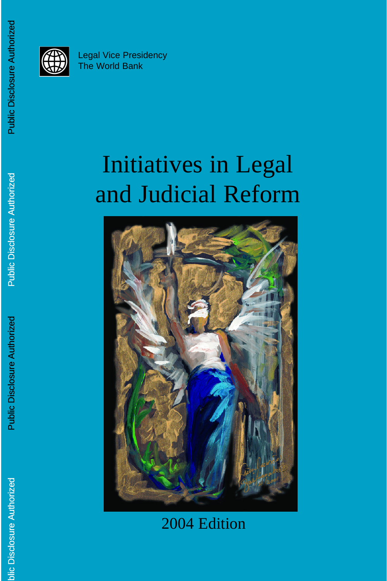

# Initiatives in Legal and Judicial Reform



## 2004 Edition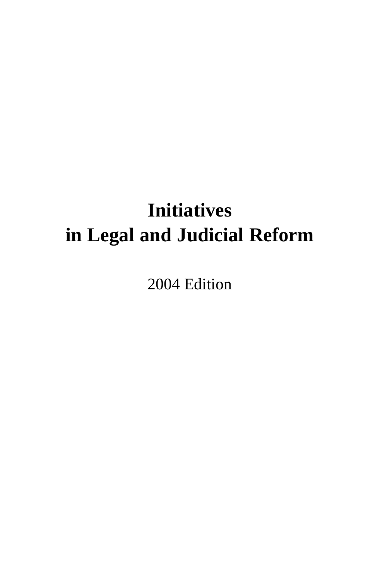## **Initiatives in Legal and Judicial Reform**

2004 Edition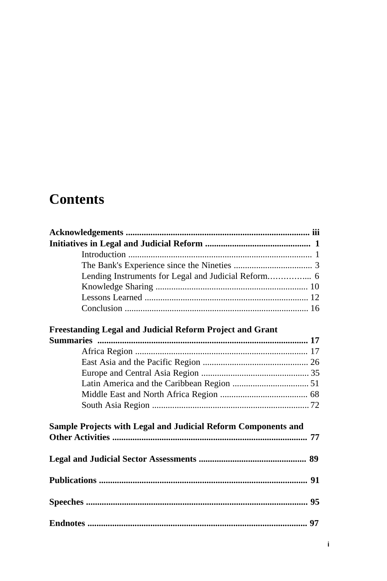## **Contents**

| <b>Freestanding Legal and Judicial Reform Project and Grant</b> |  |
|-----------------------------------------------------------------|--|
|                                                                 |  |
|                                                                 |  |
|                                                                 |  |
|                                                                 |  |
|                                                                 |  |
|                                                                 |  |
|                                                                 |  |
| Sample Projects with Legal and Judicial Reform Components and   |  |
|                                                                 |  |
|                                                                 |  |
|                                                                 |  |
|                                                                 |  |
|                                                                 |  |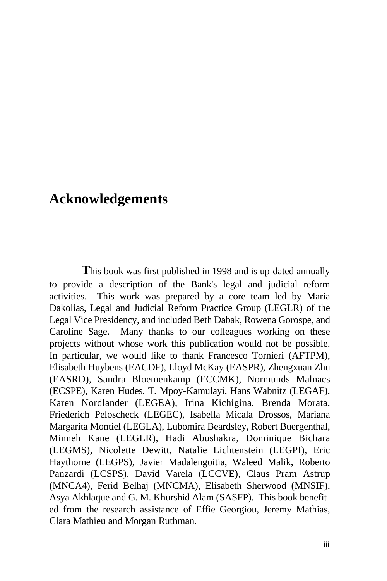## **Acknowledgements**

**T**his book was first published in 1998 and is up-dated annually to provide a description of the Bank's legal and judicial reform activities. This work was prepared by a core team led by Maria Dakolias, Legal and Judicial Reform Practice Group (LEGLR) of the Legal Vice Presidency, and included Beth Dabak, Rowena Gorospe, and Caroline Sage. Many thanks to our colleagues working on these projects without whose work this publication would not be possible. In particular, we would like to thank Francesco Tornieri (AFTPM), Elisabeth Huybens (EACDF), Lloyd McKay (EASPR), Zhengxuan Zhu (EASRD), Sandra Bloemenkamp (ECCMK), Normunds Malnacs (ECSPE), Karen Hudes, T. Mpoy-Kamulayi, Hans Wabnitz (LEGAF), Karen Nordlander (LEGEA), Irina Kichigina, Brenda Morata, Friederich Peloscheck (LEGEC), Isabella Micala Drossos, Mariana Margarita Montiel (LEGLA), Lubomira Beardsley, Robert Buergenthal, Minneh Kane (LEGLR), Hadi Abushakra, Dominique Bichara (LEGMS), Nicolette Dewitt, Natalie Lichtenstein (LEGPI), Eric Haythorne (LEGPS), Javier Madalengoitia, Waleed Malik, Roberto Panzardi (LCSPS), David Varela (LCCVE), Claus Pram Astrup (MNCA4), Ferid Belhaj (MNCMA), Elisabeth Sherwood (MNSIF), Asya Akhlaque and G. M. Khurshid Alam (SASFP). This book benefited from the research assistance of Effie Georgiou, Jeremy Mathias, Clara Mathieu and Morgan Ruthman.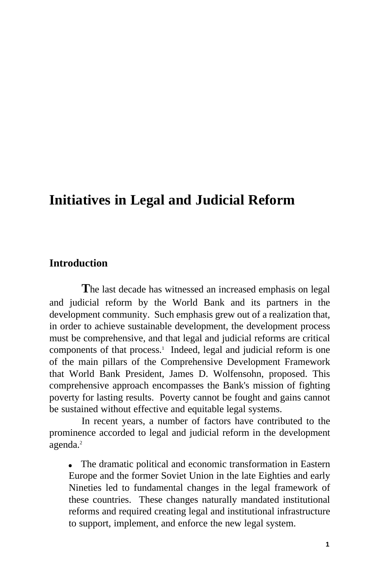## **Initiatives in Legal and Judicial Reform**

#### **Introduction**

**T**he last decade has witnessed an increased emphasis on legal and judicial reform by the World Bank and its partners in the development community. Such emphasis grew out of a realization that, in order to achieve sustainable development, the development process must be comprehensive, and that legal and judicial reforms are critical components of that process.<sup>1</sup> Indeed, legal and judicial reform is one of the main pillars of the Comprehensive Development Framework that World Bank President, James D. Wolfensohn, proposed. This comprehensive approach encompasses the Bank's mission of fighting poverty for lasting results. Poverty cannot be fought and gains cannot be sustained without effective and equitable legal systems.

In recent years, a number of factors have contributed to the prominence accorded to legal and judicial reform in the development agenda.<sup>2</sup>

• The dramatic political and economic transformation in Eastern Europe and the former Soviet Union in the late Eighties and early Nineties led to fundamental changes in the legal framework of these countries. These changes naturally mandated institutional reforms and required creating legal and institutional infrastructure to support, implement, and enforce the new legal system.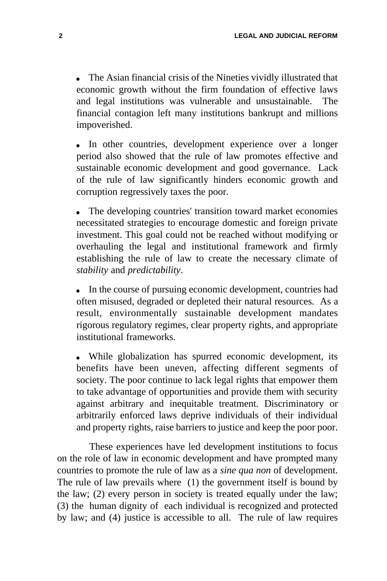$\bullet$  The Asian financial crisis of the Nineties vividly illustrated that economic growth without the firm foundation of effective laws and legal institutions was vulnerable and unsustainable. The financial contagion left many institutions bankrupt and millions impoverished.

In other countries, development experience over a longer period also showed that the rule of law promotes effective and sustainable economic development and good governance. Lack of the rule of law significantly hinders economic growth and corruption regressively taxes the poor.

The developing countries' transition toward market economies necessitated strategies to encourage domestic and foreign private investment. This goal could not be reached without modifying or overhauling the legal and institutional framework and firmly establishing the rule of law to create the necessary climate of *stability* and *predictability*.

 $\bullet$  In the course of pursuing economic development, countries had often misused, degraded or depleted their natural resources. As a result, environmentally sustainable development mandates rigorous regulatory regimes, clear property rights, and appropriate institutional frameworks.

• While globalization has spurred economic development, its benefits have been uneven, affecting different segments of society. The poor continue to lack legal rights that empower them to take advantage of opportunities and provide them with security against arbitrary and inequitable treatment. Discriminatory or arbitrarily enforced laws deprive individuals of their individual and property rights, raise barriers to justice and keep the poor poor.

These experiences have led development institutions to focus on the role of law in economic development and have prompted many countries to promote the rule of law as a *sine qua non* of development. The rule of law prevails where (1) the government itself is bound by the law; (2) every person in society is treated equally under the law; (3) the human dignity of each individual is recognized and protected by law; and (4) justice is accessible to all. The rule of law requires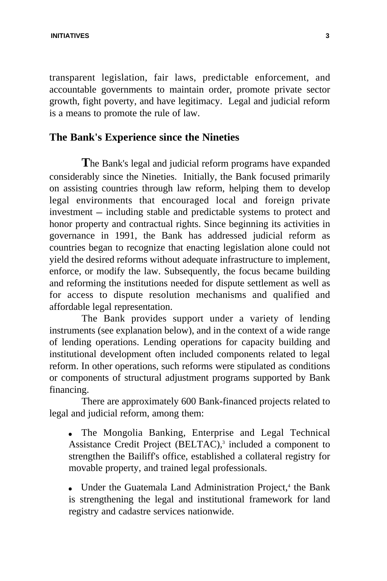**INITIATIVES 3**

transparent legislation, fair laws, predictable enforcement, and accountable governments to maintain order, promote private sector growth, fight poverty, and have legitimacy. Legal and judicial reform is a means to promote the rule of law.

#### **The Bank's Experience since the Nineties**

**T**he Bank's legal and judicial reform programs have expanded considerably since the Nineties. Initially, the Bank focused primarily on assisting countries through law reform, helping them to develop legal environments that encouraged local and foreign private  $investment$  - including stable and predictable systems to protect and honor property and contractual rights. Since beginning its activities in governance in 1991, the Bank has addressed judicial reform as countries began to recognize that enacting legislation alone could not yield the desired reforms without adequate infrastructure to implement, enforce, or modify the law. Subsequently, the focus became building and reforming the institutions needed for dispute settlement as well as for access to dispute resolution mechanisms and qualified and affordable legal representation.

The Bank provides support under a variety of lending instruments (see explanation below), and in the context of a wide range of lending operations. Lending operations for capacity building and institutional development often included components related to legal reform. In other operations, such reforms were stipulated as conditions or components of structural adjustment programs supported by Bank financing.

There are approximately 600 Bank-financed projects related to legal and judicial reform, among them:

• The Mongolia Banking, Enterprise and Legal Technical Assistance Credit Project (BELTAC),<sup>3</sup> included a component to strengthen the Bailiff's office, established a collateral registry for movable property, and trained legal professionals.

• Under the Guatemala Land Administration Project,<sup>4</sup> the Bank is strengthening the legal and institutional framework for land registry and cadastre services nationwide.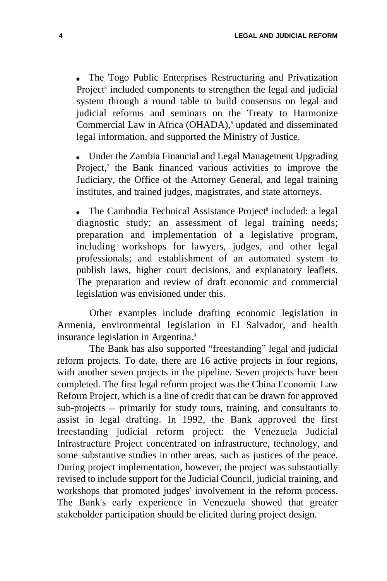• The Togo Public Enterprises Restructuring and Privatization Project<sup>5</sup> included components to strengthen the legal and judicial system through a round table to build consensus on legal and judicial reforms and seminars on the Treaty to Harmonize Commercial Law in Africa (OHADA),<sup>6</sup> updated and disseminated legal information, and supported the Ministry of Justice.

Under the Zambia Financial and Legal Management Upgrading Project,<sup>7</sup> the Bank financed various activities to improve the Judiciary, the Office of the Attorney General, and legal training institutes, and trained judges, magistrates, and state attorneys.

• The Cambodia Technical Assistance Project<sup>8</sup> included: a legal diagnostic study; an assessment of legal training needs; preparation and implementation of a legislative program, including workshops for lawyers, judges, and other legal professionals; and establishment of an automated system to publish laws, higher court decisions, and explanatory leaflets. The preparation and review of draft economic and commercial legislation was envisioned under this.

Other examples include drafting economic legislation in Armenia, environmental legislation in El Salvador, and health insurance legislation in Argentina.<sup>9</sup>

The Bank has also supported "freestanding" legal and judicial reform projects. To date, there are 16 active projects in four regions, with another seven projects in the pipeline. Seven projects have been completed. The first legal reform project was the China Economic Law Reform Project, which is a line of credit that can be drawn for approved  $sub-projects - primarily for study tours, training, and consultants to$ assist in legal drafting. In 1992, the Bank approved the first freestanding judicial reform project: the Venezuela Judicial Infrastructure Project concentrated on infrastructure, technology, and some substantive studies in other areas, such as justices of the peace. During project implementation, however, the project was substantially revised to include support for the Judicial Council, judicial training, and workshops that promoted judges' involvement in the reform process. The Bank's early experience in Venezuela showed that greater stakeholder participation should be elicited during project design.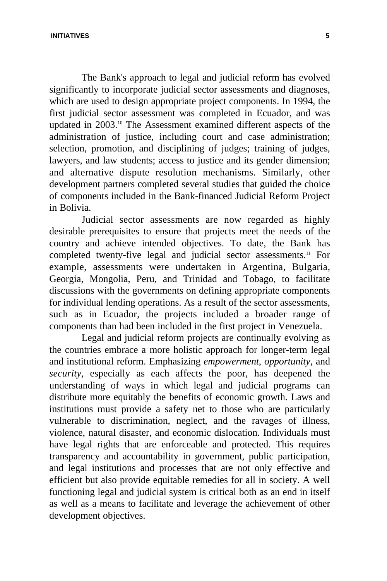**INITIATIVES 5**

The Bank's approach to legal and judicial reform has evolved significantly to incorporate judicial sector assessments and diagnoses, which are used to design appropriate project components. In 1994, the first judicial sector assessment was completed in Ecuador, and was updated in 2003.<sup>10</sup> The Assessment examined different aspects of the administration of justice, including court and case administration; selection, promotion, and disciplining of judges; training of judges, lawyers, and law students; access to justice and its gender dimension; and alternative dispute resolution mechanisms. Similarly, other development partners completed several studies that guided the choice of components included in the Bank-financed Judicial Reform Project in Bolivia.

Judicial sector assessments are now regarded as highly desirable prerequisites to ensure that projects meet the needs of the country and achieve intended objectives. To date, the Bank has completed twenty-five legal and judicial sector assessments.<sup>11</sup> For example, assessments were undertaken in Argentina, Bulgaria, Georgia, Mongolia, Peru, and Trinidad and Tobago, to facilitate discussions with the governments on defining appropriate components for individual lending operations. As a result of the sector assessments, such as in Ecuador, the projects included a broader range of components than had been included in the first project in Venezuela.

Legal and judicial reform projects are continually evolving as the countries embrace a more holistic approach for longer-term legal and institutional reform. Emphasizing *empowerment*, *opportunity*, and *security*, especially as each affects the poor, has deepened the understanding of ways in which legal and judicial programs can distribute more equitably the benefits of economic growth. Laws and institutions must provide a safety net to those who are particularly vulnerable to discrimination, neglect, and the ravages of illness, violence, natural disaster, and economic dislocation. Individuals must have legal rights that are enforceable and protected. This requires transparency and accountability in government, public participation, and legal institutions and processes that are not only effective and efficient but also provide equitable remedies for all in society. A well functioning legal and judicial system is critical both as an end in itself as well as a means to facilitate and leverage the achievement of other development objectives.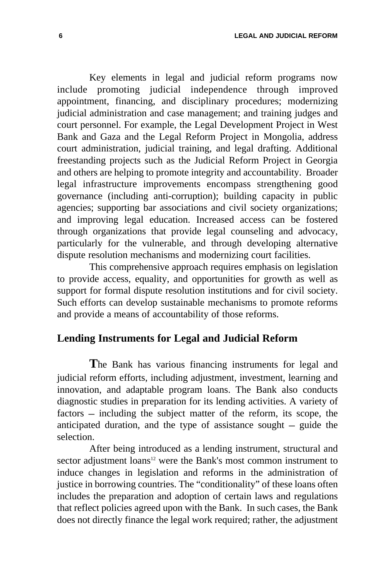Key elements in legal and judicial reform programs now include promoting judicial independence through improved appointment, financing, and disciplinary procedures; modernizing judicial administration and case management; and training judges and court personnel. For example, the Legal Development Project in West Bank and Gaza and the Legal Reform Project in Mongolia, address court administration, judicial training, and legal drafting. Additional freestanding projects such as the Judicial Reform Project in Georgia and others are helping to promote integrity and accountability. Broader legal infrastructure improvements encompass strengthening good governance (including anti-corruption); building capacity in public agencies; supporting bar associations and civil society organizations; and improving legal education. Increased access can be fostered through organizations that provide legal counseling and advocacy, particularly for the vulnerable, and through developing alternative dispute resolution mechanisms and modernizing court facilities.

This comprehensive approach requires emphasis on legislation to provide access, equality, and opportunities for growth as well as support for formal dispute resolution institutions and for civil society. Such efforts can develop sustainable mechanisms to promote reforms and provide a means of accountability of those reforms.

#### **Lending Instruments for Legal and Judicial Reform**

**T**he Bank has various financing instruments for legal and judicial reform efforts, including adjustment, investment, learning and innovation, and adaptable program loans. The Bank also conducts diagnostic studies in preparation for its lending activities. A variety of factors – including the subject matter of the reform, its scope, the anticipated duration, and the type of assistance sought  $-$  guide the selection.

After being introduced as a lending instrument, structural and sector adjustment loans<sup>12</sup> were the Bank's most common instrument to induce changes in legislation and reforms in the administration of justice in borrowing countries. The "conditionality" of these loans often includes the preparation and adoption of certain laws and regulations that reflect policies agreed upon with the Bank. In such cases, the Bank does not directly finance the legal work required; rather, the adjustment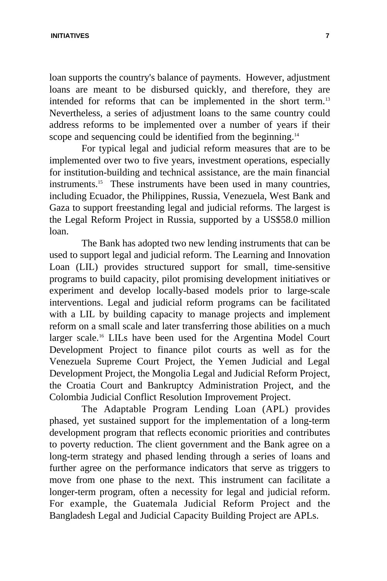loan supports the country's balance of payments. However, adjustment loans are meant to be disbursed quickly, and therefore, they are intended for reforms that can be implemented in the short term.<sup>13</sup> Nevertheless, a series of adjustment loans to the same country could address reforms to be implemented over a number of years if their scope and sequencing could be identified from the beginning.<sup>14</sup>

For typical legal and judicial reform measures that are to be implemented over two to five years, investment operations, especially for institution-building and technical assistance, are the main financial instruments.<sup>15</sup> These instruments have been used in many countries, including Ecuador, the Philippines, Russia, Venezuela, West Bank and Gaza to support freestanding legal and judicial reforms. The largest is the Legal Reform Project in Russia, supported by a US\$58.0 million loan.

The Bank has adopted two new lending instruments that can be used to support legal and judicial reform. The Learning and Innovation Loan (LIL) provides structured support for small, time-sensitive programs to build capacity, pilot promising development initiatives or experiment and develop locally-based models prior to large-scale interventions. Legal and judicial reform programs can be facilitated with a LIL by building capacity to manage projects and implement reform on a small scale and later transferring those abilities on a much larger scale.<sup>16</sup> LILs have been used for the Argentina Model Court Development Project to finance pilot courts as well as for the Venezuela Supreme Court Project, the Yemen Judicial and Legal Development Project, the Mongolia Legal and Judicial Reform Project, the Croatia Court and Bankruptcy Administration Project, and the Colombia Judicial Conflict Resolution Improvement Project.

The Adaptable Program Lending Loan (APL) provides phased, yet sustained support for the implementation of a long-term development program that reflects economic priorities and contributes to poverty reduction. The client government and the Bank agree on a long-term strategy and phased lending through a series of loans and further agree on the performance indicators that serve as triggers to move from one phase to the next. This instrument can facilitate a longer-term program, often a necessity for legal and judicial reform. For example, the Guatemala Judicial Reform Project and the Bangladesh Legal and Judicial Capacity Building Project are APLs.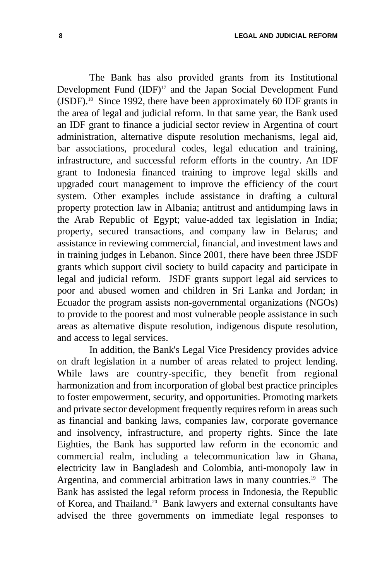The Bank has also provided grants from its Institutional Development Fund  $(IDF)^{17}$  and the Japan Social Development Fund  $(JSDF)$ <sup>18</sup> Since 1992, there have been approximately 60 IDF grants in the area of legal and judicial reform. In that same year, the Bank used an IDF grant to finance a judicial sector review in Argentina of court administration, alternative dispute resolution mechanisms, legal aid, bar associations, procedural codes, legal education and training, infrastructure, and successful reform efforts in the country. An IDF grant to Indonesia financed training to improve legal skills and upgraded court management to improve the efficiency of the court system. Other examples include assistance in drafting a cultural property protection law in Albania; antitrust and antidumping laws in the Arab Republic of Egypt; value-added tax legislation in India; property, secured transactions, and company law in Belarus; and assistance in reviewing commercial, financial, and investment laws and in training judges in Lebanon. Since 2001, there have been three JSDF grants which support civil society to build capacity and participate in legal and judicial reform. JSDF grants support legal aid services to poor and abused women and children in Sri Lanka and Jordan; in Ecuador the program assists non-governmental organizations (NGOs) to provide to the poorest and most vulnerable people assistance in such areas as alternative dispute resolution, indigenous dispute resolution, and access to legal services.

In addition, the Bank's Legal Vice Presidency provides advice on draft legislation in a number of areas related to project lending. While laws are country-specific, they benefit from regional harmonization and from incorporation of global best practice principles to foster empowerment, security, and opportunities. Promoting markets and private sector development frequently requires reform in areas such as financial and banking laws, companies law, corporate governance and insolvency, infrastructure, and property rights. Since the late Eighties, the Bank has supported law reform in the economic and commercial realm, including a telecommunication law in Ghana, electricity law in Bangladesh and Colombia, anti-monopoly law in Argentina, and commercial arbitration laws in many countries.<sup>19</sup> The Bank has assisted the legal reform process in Indonesia, the Republic of Korea, and Thailand.<sup>20</sup> Bank lawyers and external consultants have advised the three governments on immediate legal responses to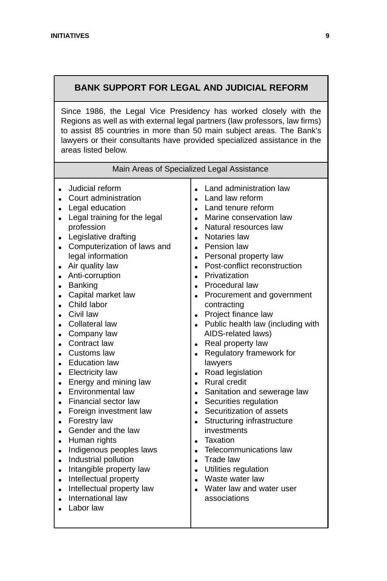#### **BANK SUPPORT FOR LEGAL AND JUDICIAL REFORM**

Since 1986, the Legal Vice Presidency has worked closely with the Regions as well as with external legal partners (law professors, law firms) to assist 85 countries in more than 50 main subject areas. The Bank's lawyers or their consultants have provided specialized assistance in the areas listed below.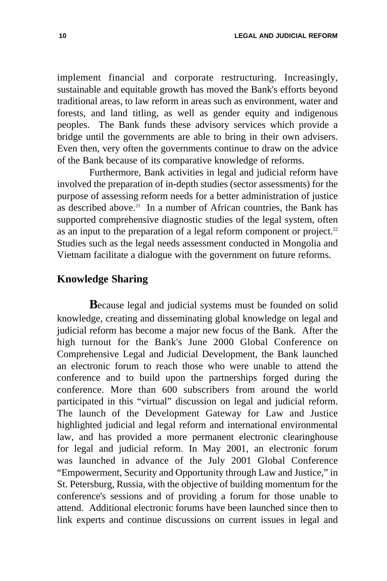implement financial and corporate restructuring. Increasingly, sustainable and equitable growth has moved the Bank's efforts beyond traditional areas, to law reform in areas such as environment, water and forests, and land titling, as well as gender equity and indigenous peoples. The Bank funds these advisory services which provide a bridge until the governments are able to bring in their own advisers. Even then, very often the governments continue to draw on the advice of the Bank because of its comparative knowledge of reforms.

Furthermore, Bank activities in legal and judicial reform have involved the preparation of in-depth studies (sector assessments) for the purpose of assessing reform needs for a better administration of justice as described above.<sup>21</sup> In a number of African countries, the Bank has supported comprehensive diagnostic studies of the legal system, often as an input to the preparation of a legal reform component or project.<sup>22</sup> Studies such as the legal needs assessment conducted in Mongolia and Vietnam facilitate a dialogue with the government on future reforms.

#### **Knowledge Sharing**

**B**ecause legal and judicial systems must be founded on solid knowledge, creating and disseminating global knowledge on legal and judicial reform has become a major new focus of the Bank. After the high turnout for the Bank's June 2000 Global Conference on Comprehensive Legal and Judicial Development, the Bank launched an electronic forum to reach those who were unable to attend the conference and to build upon the partnerships forged during the conference. More than 600 subscribers from around the world participated in this "virtual" discussion on legal and judicial reform. The launch of the Development Gateway for Law and Justice highlighted judicial and legal reform and international environmental law, and has provided a more permanent electronic clearinghouse for legal and judicial reform. In May 2001, an electronic forum was launched in advance of the July 2001 Global Conference "Empowerment, Security and Opportunity through Law and Justice," in St. Petersburg, Russia, with the objective of building momentum for the conference's sessions and of providing a forum for those unable to attend. Additional electronic forums have been launched since then to link experts and continue discussions on current issues in legal and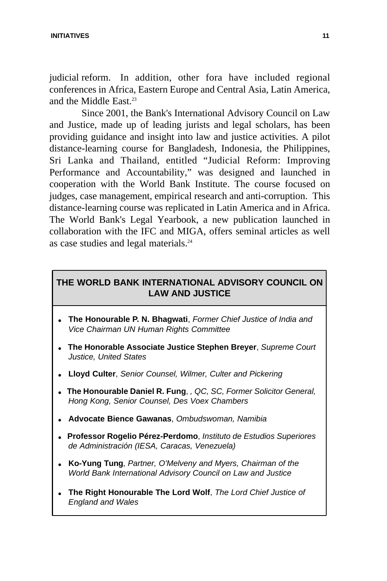judicial reform. In addition, other fora have included regional conferences in Africa, Eastern Europe and Central Asia, Latin America, and the Middle East.<sup>23</sup>

Since 2001, the Bank's International Advisory Council on Law and Justice, made up of leading jurists and legal scholars, has been providing guidance and insight into law and justice activities. A pilot distance-learning course for Bangladesh, Indonesia, the Philippines, Sri Lanka and Thailand, entitled "Judicial Reform: Improving Performance and Accountability," was designed and launched in cooperation with the World Bank Institute. The course focused on judges, case management, empirical research and anti-corruption. This distance-learning course was replicated in Latin America and in Africa. The World Bank's Legal Yearbook, a new publication launched in collaboration with the IFC and MIGA, offers seminal articles as well as case studies and legal materials.<sup>24</sup>

#### **THE WORLD BANK INTERNATIONAL ADVISORY COUNCIL ON LAW AND JUSTICE**

- **.** The Honourable P. N. Bhagwati, *Former Chief Justice of India and Vice Chairman UN Human Rights Committee*
- <sup>l</sup> **The Honorable Associate Justice Stephen Breyer**, *Supreme Court Justice, United States*
- <sup>l</sup> **Lloyd Culter**, *Senior Counsel, Wilmer, Culter and Pickering*
- <sup>l</sup> **The Honourable Daniel R. Fung**, *, QC, SC, Former Solicitor General, Hong Kong, Senior Counsel, Des Voex Chambers*
- **.** Advocate Bience Gawanas, Ombudswoman, Namibia
- <sup>l</sup> **Professor Rogelio Pérez-Perdomo**, *Instituto de Estudios Superiores de Administración (IESA, Caracas, Venezuela)*
- **.** Ko-Yung Tung, Partner, O'Melveny and Myers, Chairman of the *World Bank International Advisory Council on Law and Justice*
- <sup>l</sup> **The Right Honourable The Lord Wolf**, *The Lord Chief Justice of England and Wales*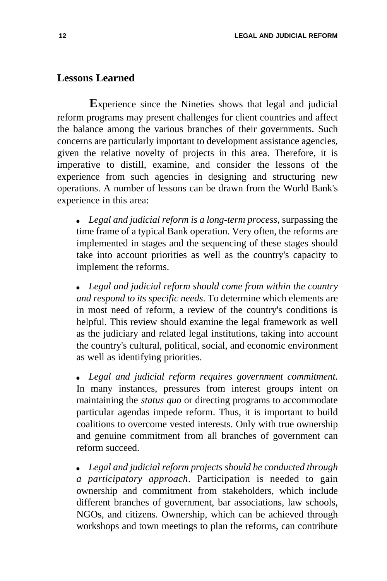#### **Lessons Learned**

**E**xperience since the Nineties shows that legal and judicial reform programs may present challenges for client countries and affect the balance among the various branches of their governments. Such concerns are particularly important to development assistance agencies, given the relative novelty of projects in this area. Therefore, it is imperative to distill, examine, and consider the lessons of the experience from such agencies in designing and structuring new operations. A number of lessons can be drawn from the World Bank's experience in this area:

• Legal and judicial reform is a long-term process, surpassing the time frame of a typical Bank operation. Very often, the reforms are implemented in stages and the sequencing of these stages should take into account priorities as well as the country's capacity to implement the reforms.

• Legal and judicial reform should come from within the country *and respond to its specific needs*. To determine which elements are in most need of reform, a review of the country's conditions is helpful. This review should examine the legal framework as well as the judiciary and related legal institutions, taking into account the country's cultural, political, social, and economic environment as well as identifying priorities.

Legal and judicial reform requires government commitment. In many instances, pressures from interest groups intent on maintaining the *status quo* or directing programs to accommodate particular agendas impede reform. Thus, it is important to build coalitions to overcome vested interests. Only with true ownership and genuine commitment from all branches of government can reform succeed.

**•** Legal and judicial reform projects should be conducted through *a participatory approach*. Participation is needed to gain ownership and commitment from stakeholders, which include different branches of government, bar associations, law schools, NGOs, and citizens. Ownership, which can be achieved through workshops and town meetings to plan the reforms, can contribute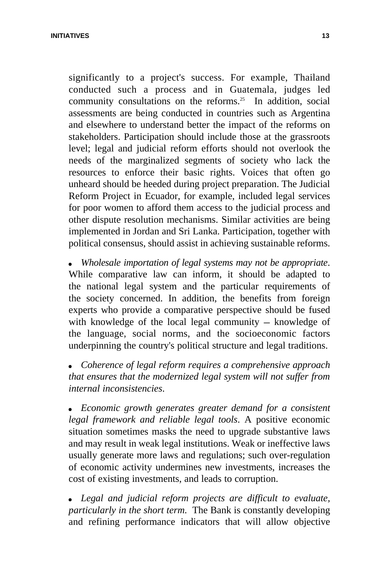**INITIATIVES 13**

significantly to a project's success. For example, Thailand conducted such a process and in Guatemala, judges led community consultations on the reforms.<sup>25</sup> In addition, social assessments are being conducted in countries such as Argentina and elsewhere to understand better the impact of the reforms on stakeholders. Participation should include those at the grassroots level; legal and judicial reform efforts should not overlook the needs of the marginalized segments of society who lack the resources to enforce their basic rights. Voices that often go unheard should be heeded during project preparation. The Judicial Reform Project in Ecuador, for example, included legal services for poor women to afford them access to the judicial process and other dispute resolution mechanisms. Similar activities are being implemented in Jordan and Sri Lanka. Participation, together with political consensus, should assist in achieving sustainable reforms.

• Wholesale importation of legal systems may not be appropriate. While comparative law can inform, it should be adapted to the national legal system and the particular requirements of the society concerned. In addition, the benefits from foreign experts who provide a comparative perspective should be fused with knowledge of the local legal community  $-$  knowledge of the language, social norms, and the socioeconomic factors underpinning the country's political structure and legal traditions.

**•** Coherence of legal reform requires a comprehensive approach *that ensures that the modernized legal system will not suffer from internal inconsistencies*.

*Economic growth generates greater demand for a consistent legal framework and reliable legal tools*. A positive economic situation sometimes masks the need to upgrade substantive laws and may result in weak legal institutions. Weak or ineffective laws usually generate more laws and regulations; such over-regulation of economic activity undermines new investments, increases the cost of existing investments, and leads to corruption.

**Legal and judicial reform projects are difficult to evaluate,** *particularly in the short term*. The Bank is constantly developing and refining performance indicators that will allow objective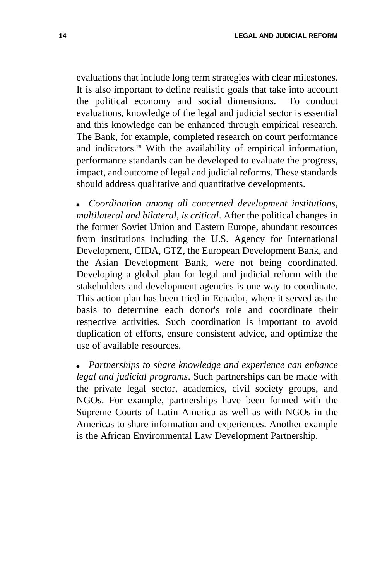evaluations that include long term strategies with clear milestones. It is also important to define realistic goals that take into account the political economy and social dimensions. To conduct evaluations, knowledge of the legal and judicial sector is essential and this knowledge can be enhanced through empirical research. The Bank, for example, completed research on court performance and indicators.<sup>26</sup> With the availability of empirical information, performance standards can be developed to evaluate the progress, impact, and outcome of legal and judicial reforms. These standards should address qualitative and quantitative developments.

**•** Coordination among all concerned development institutions, *multilateral and bilateral, is critical*. After the political changes in the former Soviet Union and Eastern Europe, abundant resources from institutions including the U.S. Agency for International Development, CIDA, GTZ, the European Development Bank, and the Asian Development Bank, were not being coordinated. Developing a global plan for legal and judicial reform with the stakeholders and development agencies is one way to coordinate. This action plan has been tried in Ecuador, where it served as the basis to determine each donor's role and coordinate their respective activities. Such coordination is important to avoid duplication of efforts, ensure consistent advice, and optimize the use of available resources.

**•** Partnerships to share knowledge and experience can enhance *legal and judicial programs*. Such partnerships can be made with the private legal sector, academics, civil society groups, and NGOs. For example, partnerships have been formed with the Supreme Courts of Latin America as well as with NGOs in the Americas to share information and experiences. Another example is the African Environmental Law Development Partnership.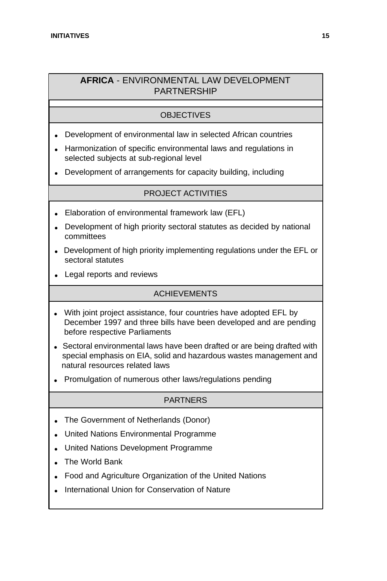#### **AFRICA** - ENVIRONMENTAL LAW DEVELOPMENT PARTNERSHIP

#### OBJECTIVES

- Development of environmental law in selected African countries
- <sup>l</sup> Harmonization of specific environmental laws and regulations in selected subjects at sub-regional level
- Development of arrangements for capacity building, including

#### PROJECT ACTIVITIES

- Elaboration of environmental framework law (EFL)
- Development of high priority sectoral statutes as decided by national committees
- Development of high priority implementing regulations under the EFL or sectoral statutes
- Legal reports and reviews

#### ACHIEVEMENTS

- With joint project assistance, four countries have adopted EFL by December 1997 and three bills have been developed and are pending before respective Parliaments
- Sectoral environmental laws have been drafted or are being drafted with special emphasis on EIA, solid and hazardous wastes management and natural resources related laws
- Promulgation of numerous other laws/regulations pending

#### **PARTNERS**

- The Government of Netherlands (Donor)
- <sup>l</sup> United Nations Environmental Programme
- <sup>l</sup> United Nations Development Programme
- The World Bank
- Food and Agriculture Organization of the United Nations
- International Union for Conservation of Nature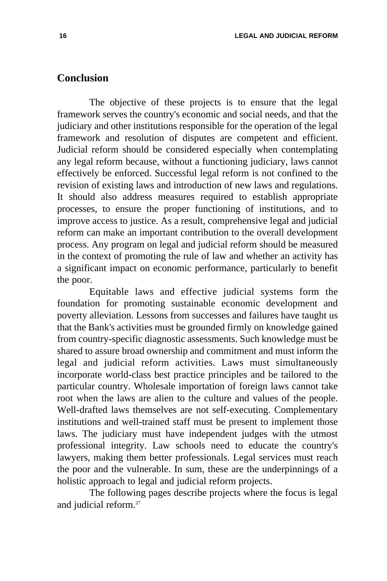#### **Conclusion**

The objective of these projects is to ensure that the legal framework serves the country's economic and social needs, and that the judiciary and other institutions responsible for the operation of the legal framework and resolution of disputes are competent and efficient. Judicial reform should be considered especially when contemplating any legal reform because, without a functioning judiciary, laws cannot effectively be enforced. Successful legal reform is not confined to the revision of existing laws and introduction of new laws and regulations. It should also address measures required to establish appropriate processes, to ensure the proper functioning of institutions, and to improve access to justice. As a result, comprehensive legal and judicial reform can make an important contribution to the overall development process. Any program on legal and judicial reform should be measured in the context of promoting the rule of law and whether an activity has a significant impact on economic performance, particularly to benefit the poor.

Equitable laws and effective judicial systems form the foundation for promoting sustainable economic development and poverty alleviation. Lessons from successes and failures have taught us that the Bank's activities must be grounded firmly on knowledge gained from country-specific diagnostic assessments. Such knowledge must be shared to assure broad ownership and commitment and must inform the legal and judicial reform activities. Laws must simultaneously incorporate world-class best practice principles and be tailored to the particular country. Wholesale importation of foreign laws cannot take root when the laws are alien to the culture and values of the people. Well-drafted laws themselves are not self-executing. Complementary institutions and well-trained staff must be present to implement those laws. The judiciary must have independent judges with the utmost professional integrity. Law schools need to educate the country's lawyers, making them better professionals. Legal services must reach the poor and the vulnerable. In sum, these are the underpinnings of a holistic approach to legal and judicial reform projects.

The following pages describe projects where the focus is legal and judicial reform.<sup>27</sup>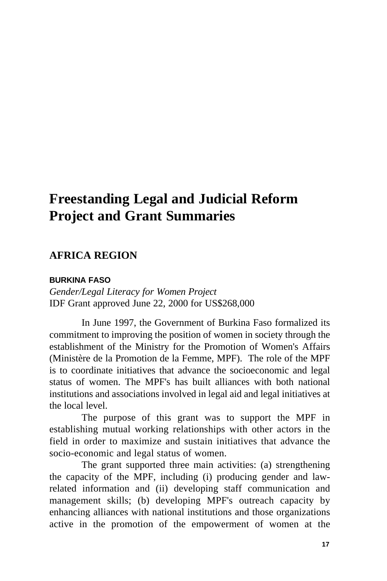## **Freestanding Legal and Judicial Reform Project and Grant Summaries**

#### **AFRICA REGION**

#### **BURKINA FASO**

*Gender/Legal Literacy for Women Project* IDF Grant approved June 22, 2000 for US\$268,000

In June 1997, the Government of Burkina Faso formalized its commitment to improving the position of women in society through the establishment of the Ministry for the Promotion of Women's Affairs (Ministère de la Promotion de la Femme, MPF). The role of the MPF is to coordinate initiatives that advance the socioeconomic and legal status of women. The MPF's has built alliances with both national institutions and associations involved in legal aid and legal initiatives at the local level.

The purpose of this grant was to support the MPF in establishing mutual working relationships with other actors in the field in order to maximize and sustain initiatives that advance the socio-economic and legal status of women.

The grant supported three main activities: (a) strengthening the capacity of the MPF, including (i) producing gender and lawrelated information and (ii) developing staff communication and management skills; (b) developing MPF's outreach capacity by enhancing alliances with national institutions and those organizations active in the promotion of the empowerment of women at the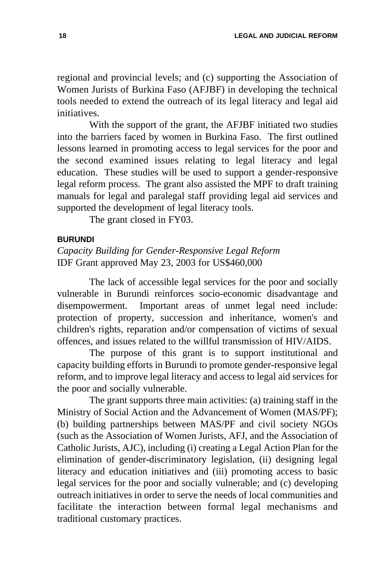regional and provincial levels; and (c) supporting the Association of Women Jurists of Burkina Faso (AFJBF) in developing the technical tools needed to extend the outreach of its legal literacy and legal aid initiatives.

With the support of the grant, the AFJBF initiated two studies into the barriers faced by women in Burkina Faso. The first outlined lessons learned in promoting access to legal services for the poor and the second examined issues relating to legal literacy and legal education. These studies will be used to support a gender-responsive legal reform process. The grant also assisted the MPF to draft training manuals for legal and paralegal staff providing legal aid services and supported the development of legal literacy tools.

The grant closed in FY03.

#### **BURUNDI**

*Capacity Building for Gender-Responsive Legal Reform* IDF Grant approved May 23, 2003 for US\$460,000

The lack of accessible legal services for the poor and socially vulnerable in Burundi reinforces socio-economic disadvantage and disempowerment. Important areas of unmet legal need include: protection of property, succession and inheritance, women's and children's rights, reparation and/or compensation of victims of sexual offences, and issues related to the willful transmission of HIV/AIDS.

The purpose of this grant is to support institutional and capacity building efforts in Burundi to promote gender-responsive legal reform, and to improve legal literacy and access to legal aid services for the poor and socially vulnerable.

The grant supports three main activities: (a) training staff in the Ministry of Social Action and the Advancement of Women (MAS/PF); (b) building partnerships between MAS/PF and civil society NGOs (such as the Association of Women Jurists, AFJ, and the Association of Catholic Jurists, AJC), including (i) creating a Legal Action Plan for the elimination of gender-discriminatory legislation, (ii) designing legal literacy and education initiatives and (iii) promoting access to basic legal services for the poor and socially vulnerable; and (c) developing outreach initiatives in order to serve the needs of local communities and facilitate the interaction between formal legal mechanisms and traditional customary practices.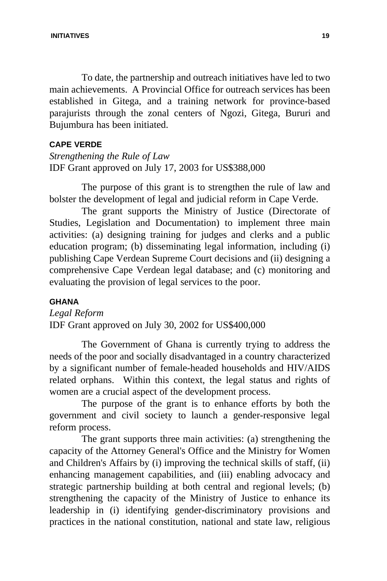To date, the partnership and outreach initiatives have led to two main achievements. A Provincial Office for outreach services has been established in Gitega, and a training network for province-based parajurists through the zonal centers of Ngozi, Gitega, Bururi and Bujumbura has been initiated.

#### **CAPE VERDE**

*Strengthening the Rule of Law* IDF Grant approved on July 17, 2003 for US\$388,000

The purpose of this grant is to strengthen the rule of law and bolster the development of legal and judicial reform in Cape Verde.

The grant supports the Ministry of Justice (Directorate of Studies, Legislation and Documentation) to implement three main activities: (a) designing training for judges and clerks and a public education program; (b) disseminating legal information, including (i) publishing Cape Verdean Supreme Court decisions and (ii) designing a comprehensive Cape Verdean legal database; and (c) monitoring and evaluating the provision of legal services to the poor.

#### **GHANA**

*Legal Reform* IDF Grant approved on July 30, 2002 for US\$400,000

The Government of Ghana is currently trying to address the needs of the poor and socially disadvantaged in a country characterized by a significant number of female-headed households and HIV/AIDS related orphans. Within this context, the legal status and rights of women are a crucial aspect of the development process.

The purpose of the grant is to enhance efforts by both the government and civil society to launch a gender-responsive legal reform process.

The grant supports three main activities: (a) strengthening the capacity of the Attorney General's Office and the Ministry for Women and Children's Affairs by (i) improving the technical skills of staff, (ii) enhancing management capabilities, and (iii) enabling advocacy and strategic partnership building at both central and regional levels; (b) strengthening the capacity of the Ministry of Justice to enhance its leadership in (i) identifying gender-discriminatory provisions and practices in the national constitution, national and state law, religious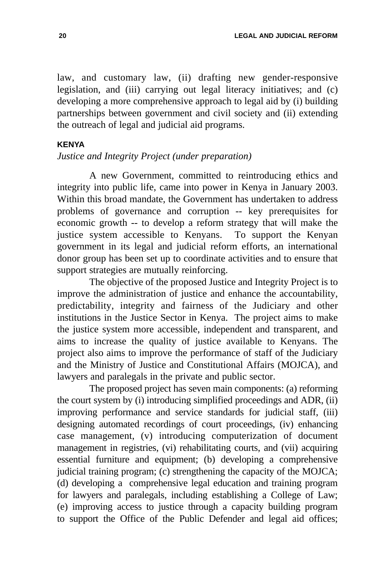law, and customary law, (ii) drafting new gender-responsive legislation, and (iii) carrying out legal literacy initiatives; and (c) developing a more comprehensive approach to legal aid by (i) building partnerships between government and civil society and (ii) extending the outreach of legal and judicial aid programs.

#### **KENYA**

#### *Justice and Integrity Project (under preparation)*

A new Government, committed to reintroducing ethics and integrity into public life, came into power in Kenya in January 2003. Within this broad mandate, the Government has undertaken to address problems of governance and corruption -- key prerequisites for economic growth -- to develop a reform strategy that will make the justice system accessible to Kenyans. To support the Kenyan government in its legal and judicial reform efforts, an international donor group has been set up to coordinate activities and to ensure that support strategies are mutually reinforcing.

The objective of the proposed Justice and Integrity Project is to improve the administration of justice and enhance the accountability, predictability, integrity and fairness of the Judiciary and other institutions in the Justice Sector in Kenya. The project aims to make the justice system more accessible, independent and transparent, and aims to increase the quality of justice available to Kenyans. The project also aims to improve the performance of staff of the Judiciary and the Ministry of Justice and Constitutional Affairs (MOJCA), and lawyers and paralegals in the private and public sector.

The proposed project has seven main components: (a) reforming the court system by (i) introducing simplified proceedings and ADR, (ii) improving performance and service standards for judicial staff, (iii) designing automated recordings of court proceedings, (iv) enhancing case management, (v) introducing computerization of document management in registries, (vi) rehabilitating courts, and (vii) acquiring essential furniture and equipment; (b) developing a comprehensive judicial training program; (c) strengthening the capacity of the MOJCA; (d) developing a comprehensive legal education and training program for lawyers and paralegals, including establishing a College of Law; (e) improving access to justice through a capacity building program to support the Office of the Public Defender and legal aid offices;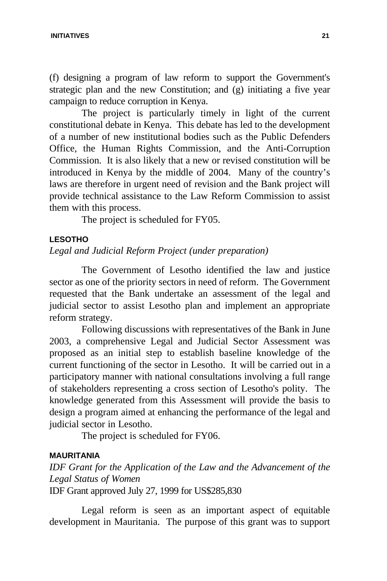(f) designing a program of law reform to support the Government's strategic plan and the new Constitution; and (g) initiating a five year campaign to reduce corruption in Kenya.

The project is particularly timely in light of the current constitutional debate in Kenya. This debate has led to the development of a number of new institutional bodies such as the Public Defenders Office, the Human Rights Commission, and the Anti-Corruption Commission. It is also likely that a new or revised constitution will be introduced in Kenya by the middle of 2004. Many of the country's laws are therefore in urgent need of revision and the Bank project will provide technical assistance to the Law Reform Commission to assist them with this process.

The project is scheduled for FY05.

#### **LESOTHO**

#### *Legal and Judicial Reform Project (under preparation)*

The Government of Lesotho identified the law and justice sector as one of the priority sectors in need of reform. The Government requested that the Bank undertake an assessment of the legal and judicial sector to assist Lesotho plan and implement an appropriate reform strategy.

Following discussions with representatives of the Bank in June 2003, a comprehensive Legal and Judicial Sector Assessment was proposed as an initial step to establish baseline knowledge of the current functioning of the sector in Lesotho. It will be carried out in a participatory manner with national consultations involving a full range of stakeholders representing a cross section of Lesotho's polity. The knowledge generated from this Assessment will provide the basis to design a program aimed at enhancing the performance of the legal and judicial sector in Lesotho.

The project is scheduled for FY06.

#### **MAURITANIA**

*IDF Grant for the Application of the Law and the Advancement of the Legal Status of Women* IDF Grant approved July 27, 1999 for US\$285,830

Legal reform is seen as an important aspect of equitable development in Mauritania. The purpose of this grant was to support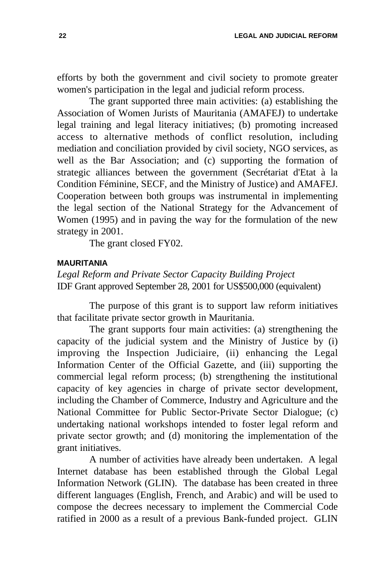efforts by both the government and civil society to promote greater women's participation in the legal and judicial reform process.

The grant supported three main activities: (a) establishing the Association of Women Jurists of Mauritania (AMAFEJ) to undertake legal training and legal literacy initiatives; (b) promoting increased access to alternative methods of conflict resolution, including mediation and conciliation provided by civil society, NGO services, as well as the Bar Association; and (c) supporting the formation of strategic alliances between the government (Secrétariat d'Etat à la Condition Féminine, SECF, and the Ministry of Justice) and AMAFEJ. Cooperation between both groups was instrumental in implementing the legal section of the National Strategy for the Advancement of Women (1995) and in paving the way for the formulation of the new strategy in 2001.

The grant closed FY02.

#### **MAURITANIA**

*Legal Reform and Private Sector Capacity Building Project* IDF Grant approved September 28, 2001 for US\$500,000 (equivalent)

The purpose of this grant is to support law reform initiatives that facilitate private sector growth in Mauritania.

The grant supports four main activities: (a) strengthening the capacity of the judicial system and the Ministry of Justice by (i) improving the Inspection Judiciaire, (ii) enhancing the Legal Information Center of the Official Gazette, and (iii) supporting the commercial legal reform process; (b) strengthening the institutional capacity of key agencies in charge of private sector development, including the Chamber of Commerce, Industry and Agriculture and the National Committee for Public Sector-Private Sector Dialogue; (c) undertaking national workshops intended to foster legal reform and private sector growth; and (d) monitoring the implementation of the grant initiatives.

A number of activities have already been undertaken. A legal Internet database has been established through the Global Legal Information Network (GLIN). The database has been created in three different languages (English, French, and Arabic) and will be used to compose the decrees necessary to implement the Commercial Code ratified in 2000 as a result of a previous Bank-funded project. GLIN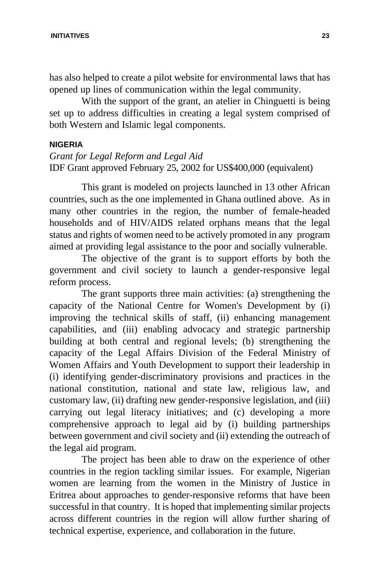has also helped to create a pilot website for environmental laws that has opened up lines of communication within the legal community.

With the support of the grant, an atelier in Chinguetti is being set up to address difficulties in creating a legal system comprised of both Western and Islamic legal components.

#### **NIGERIA**

#### *Grant for Legal Reform and Legal Aid* IDF Grant approved February 25, 2002 for US\$400,000 (equivalent)

This grant is modeled on projects launched in 13 other African countries, such as the one implemented in Ghana outlined above. As in many other countries in the region, the number of female-headed households and of HIV/AIDS related orphans means that the legal status and rights of women need to be actively promoted in any program aimed at providing legal assistance to the poor and socially vulnerable.

The objective of the grant is to support efforts by both the government and civil society to launch a gender-responsive legal reform process.

The grant supports three main activities: (a) strengthening the capacity of the National Centre for Women's Development by (i) improving the technical skills of staff, (ii) enhancing management capabilities, and (iii) enabling advocacy and strategic partnership building at both central and regional levels; (b) strengthening the capacity of the Legal Affairs Division of the Federal Ministry of Women Affairs and Youth Development to support their leadership in (i) identifying gender-discriminatory provisions and practices in the national constitution, national and state law, religious law, and customary law, (ii) drafting new gender-responsive legislation, and (iii) carrying out legal literacy initiatives; and (c) developing a more comprehensive approach to legal aid by (i) building partnerships between government and civil society and (ii) extending the outreach of the legal aid program.

The project has been able to draw on the experience of other countries in the region tackling similar issues. For example, Nigerian women are learning from the women in the Ministry of Justice in Eritrea about approaches to gender-responsive reforms that have been successful in that country. It is hoped that implementing similar projects across different countries in the region will allow further sharing of technical expertise, experience, and collaboration in the future.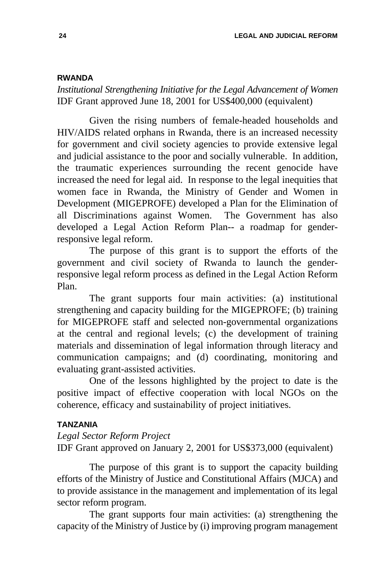#### **RWANDA**

*Institutional Strengthening Initiative for the Legal Advancement of Women* IDF Grant approved June 18, 2001 for US\$400,000 (equivalent)

Given the rising numbers of female-headed households and HIV/AIDS related orphans in Rwanda, there is an increased necessity for government and civil society agencies to provide extensive legal and judicial assistance to the poor and socially vulnerable. In addition, the traumatic experiences surrounding the recent genocide have increased the need for legal aid. In response to the legal inequities that women face in Rwanda, the Ministry of Gender and Women in Development (MIGEPROFE) developed a Plan for the Elimination of all Discriminations against Women. The Government has also developed a Legal Action Reform Plan-- a roadmap for genderresponsive legal reform.

The purpose of this grant is to support the efforts of the government and civil society of Rwanda to launch the genderresponsive legal reform process as defined in the Legal Action Reform Plan.

The grant supports four main activities: (a) institutional strengthening and capacity building for the MIGEPROFE; (b) training for MIGEPROFE staff and selected non-governmental organizations at the central and regional levels; (c) the development of training materials and dissemination of legal information through literacy and communication campaigns; and (d) coordinating, monitoring and evaluating grant-assisted activities.

One of the lessons highlighted by the project to date is the positive impact of effective cooperation with local NGOs on the coherence, efficacy and sustainability of project initiatives.

#### **TANZANIA**

#### *Legal Sector Reform Project*

IDF Grant approved on January 2, 2001 for US\$373,000 (equivalent)

The purpose of this grant is to support the capacity building efforts of the Ministry of Justice and Constitutional Affairs (MJCA) and to provide assistance in the management and implementation of its legal sector reform program.

The grant supports four main activities: (a) strengthening the capacity of the Ministry of Justice by (i) improving program management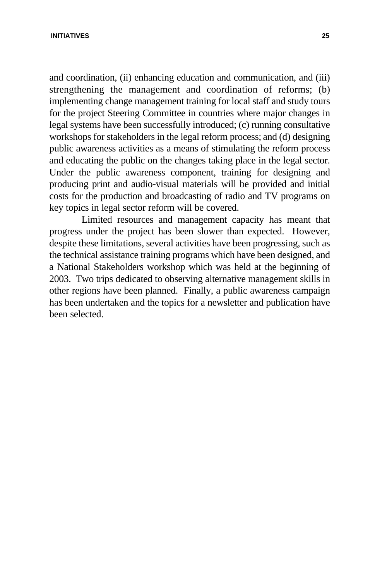#### **INITIATIVES 25**

and coordination, (ii) enhancing education and communication, and (iii) strengthening the management and coordination of reforms; (b) implementing change management training for local staff and study tours for the project Steering Committee in countries where major changes in legal systems have been successfully introduced; (c) running consultative workshops for stakeholders in the legal reform process; and (d) designing public awareness activities as a means of stimulating the reform process and educating the public on the changes taking place in the legal sector. Under the public awareness component, training for designing and producing print and audio-visual materials will be provided and initial costs for the production and broadcasting of radio and TV programs on key topics in legal sector reform will be covered.

Limited resources and management capacity has meant that progress under the project has been slower than expected. However, despite these limitations, several activities have been progressing, such as the technical assistance training programs which have been designed, and a National Stakeholders workshop which was held at the beginning of 2003. Two trips dedicated to observing alternative management skills in other regions have been planned. Finally, a public awareness campaign has been undertaken and the topics for a newsletter and publication have been selected.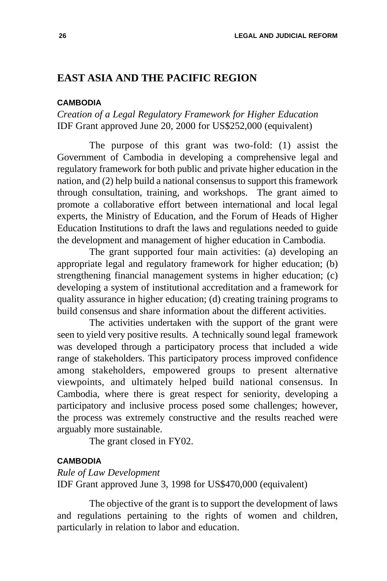#### **EAST ASIA AND THE PACIFIC REGION**

#### **CAMBODIA**

#### *Creation of a Legal Regulatory Framework for Higher Education* IDF Grant approved June 20, 2000 for US\$252,000 (equivalent)

The purpose of this grant was two-fold: (1) assist the Government of Cambodia in developing a comprehensive legal and regulatory framework for both public and private higher education in the nation, and (2) help build a national consensus to support this framework through consultation, training, and workshops. The grant aimed to promote a collaborative effort between international and local legal experts, the Ministry of Education, and the Forum of Heads of Higher Education Institutions to draft the laws and regulations needed to guide the development and management of higher education in Cambodia.

The grant supported four main activities: (a) developing an appropriate legal and regulatory framework for higher education; (b) strengthening financial management systems in higher education; (c) developing a system of institutional accreditation and a framework for quality assurance in higher education; (d) creating training programs to build consensus and share information about the different activities.

The activities undertaken with the support of the grant were seen to yield very positive results. A technically sound legal framework was developed through a participatory process that included a wide range of stakeholders. This participatory process improved confidence among stakeholders, empowered groups to present alternative viewpoints, and ultimately helped build national consensus. In Cambodia, where there is great respect for seniority, developing a participatory and inclusive process posed some challenges; however, the process was extremely constructive and the results reached were arguably more sustainable.

The grant closed in FY02.

#### **CAMBODIA**

*Rule of Law Development*  IDF Grant approved June 3, 1998 for US\$470,000 (equivalent)

The objective of the grant is to support the development of laws and regulations pertaining to the rights of women and children, particularly in relation to labor and education.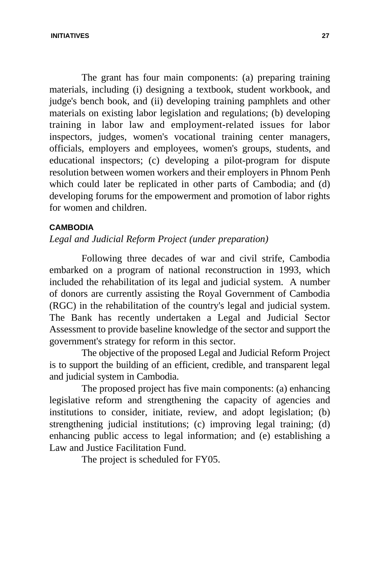The grant has four main components: (a) preparing training materials, including (i) designing a textbook, student workbook, and judge's bench book, and (ii) developing training pamphlets and other materials on existing labor legislation and regulations; (b) developing training in labor law and employment-related issues for labor inspectors, judges, women's vocational training center managers, officials, employers and employees, women's groups, students, and educational inspectors; (c) developing a pilot-program for dispute resolution between women workers and their employers in Phnom Penh which could later be replicated in other parts of Cambodia; and (d) developing forums for the empowerment and promotion of labor rights for women and children.

#### **CAMBODIA**

*Legal and Judicial Reform Project (under preparation)*

Following three decades of war and civil strife, Cambodia embarked on a program of national reconstruction in 1993, which included the rehabilitation of its legal and judicial system. A number of donors are currently assisting the Royal Government of Cambodia (RGC) in the rehabilitation of the country's legal and judicial system. The Bank has recently undertaken a Legal and Judicial Sector Assessment to provide baseline knowledge of the sector and support the government's strategy for reform in this sector.

The objective of the proposed Legal and Judicial Reform Project is to support the building of an efficient, credible, and transparent legal and judicial system in Cambodia.

The proposed project has five main components: (a) enhancing legislative reform and strengthening the capacity of agencies and institutions to consider, initiate, review, and adopt legislation; (b) strengthening judicial institutions; (c) improving legal training; (d) enhancing public access to legal information; and (e) establishing a Law and Justice Facilitation Fund.

The project is scheduled for FY05.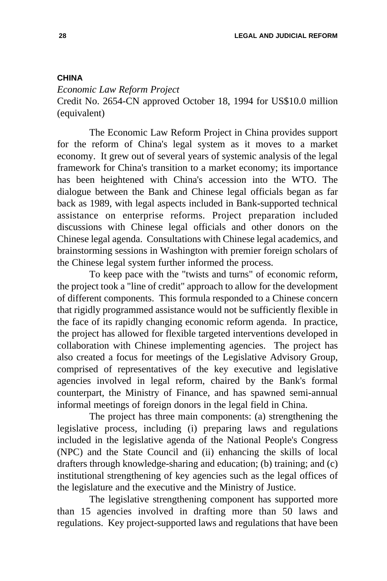#### **CHINA**

*Economic Law Reform Project*  Credit No. 2654-CN approved October 18, 1994 for US\$10.0 million (equivalent)

The Economic Law Reform Project in China provides support for the reform of China's legal system as it moves to a market economy. It grew out of several years of systemic analysis of the legal framework for China's transition to a market economy; its importance has been heightened with China's accession into the WTO. The dialogue between the Bank and Chinese legal officials began as far back as 1989, with legal aspects included in Bank-supported technical assistance on enterprise reforms. Project preparation included discussions with Chinese legal officials and other donors on the Chinese legal agenda. Consultations with Chinese legal academics, and brainstorming sessions in Washington with premier foreign scholars of the Chinese legal system further informed the process.

To keep pace with the "twists and turns" of economic reform, the project took a "line of credit" approach to allow for the development of different components. This formula responded to a Chinese concern that rigidly programmed assistance would not be sufficiently flexible in the face of its rapidly changing economic reform agenda. In practice, the project has allowed for flexible targeted interventions developed in collaboration with Chinese implementing agencies. The project has also created a focus for meetings of the Legislative Advisory Group, comprised of representatives of the key executive and legislative agencies involved in legal reform, chaired by the Bank's formal counterpart, the Ministry of Finance, and has spawned semi-annual informal meetings of foreign donors in the legal field in China.

The project has three main components: (a) strengthening the legislative process, including (i) preparing laws and regulations included in the legislative agenda of the National People's Congress (NPC) and the State Council and (ii) enhancing the skills of local drafters through knowledge-sharing and education; (b) training; and (c) institutional strengthening of key agencies such as the legal offices of the legislature and the executive and the Ministry of Justice.

The legislative strengthening component has supported more than 15 agencies involved in drafting more than 50 laws and regulations. Key project-supported laws and regulations that have been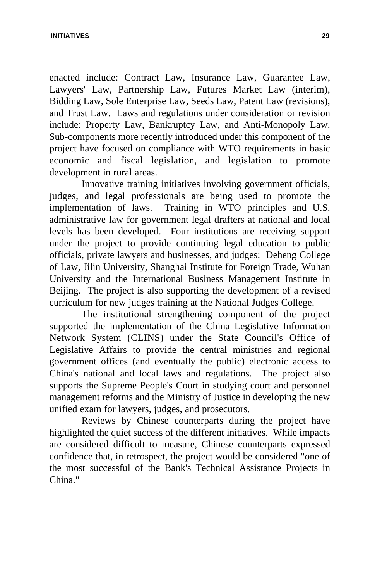#### **INITIATIVES 29**

enacted include: Contract Law, Insurance Law, Guarantee Law, Lawyers' Law, Partnership Law, Futures Market Law (interim), Bidding Law, Sole Enterprise Law, Seeds Law, Patent Law (revisions), and Trust Law. Laws and regulations under consideration or revision include: Property Law, Bankruptcy Law, and Anti-Monopoly Law. Sub-components more recently introduced under this component of the project have focused on compliance with WTO requirements in basic economic and fiscal legislation, and legislation to promote development in rural areas.

Innovative training initiatives involving government officials, judges, and legal professionals are being used to promote the implementation of laws. Training in WTO principles and U.S. administrative law for government legal drafters at national and local levels has been developed. Four institutions are receiving support under the project to provide continuing legal education to public officials, private lawyers and businesses, and judges: Deheng College of Law, Jilin University, Shanghai Institute for Foreign Trade, Wuhan University and the International Business Management Institute in Beijing. The project is also supporting the development of a revised curriculum for new judges training at the National Judges College.

The institutional strengthening component of the project supported the implementation of the China Legislative Information Network System (CLINS) under the State Council's Office of Legislative Affairs to provide the central ministries and regional government offices (and eventually the public) electronic access to China's national and local laws and regulations. The project also supports the Supreme People's Court in studying court and personnel management reforms and the Ministry of Justice in developing the new unified exam for lawyers, judges, and prosecutors.

Reviews by Chinese counterparts during the project have highlighted the quiet success of the different initiatives. While impacts are considered difficult to measure, Chinese counterparts expressed confidence that, in retrospect, the project would be considered "one of the most successful of the Bank's Technical Assistance Projects in China."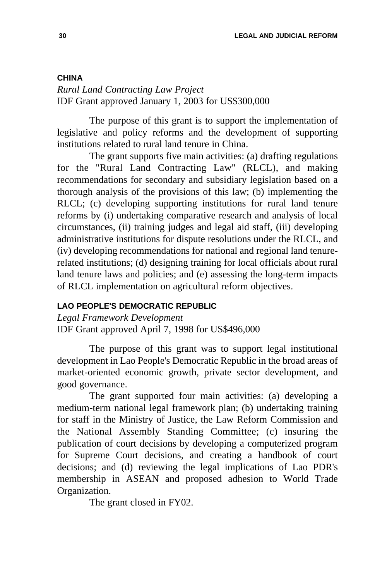### **CHINA**

*Rural Land Contracting Law Project*  IDF Grant approved January 1, 2003 for US\$300,000

The purpose of this grant is to support the implementation of legislative and policy reforms and the development of supporting institutions related to rural land tenure in China.

The grant supports five main activities: (a) drafting regulations for the "Rural Land Contracting Law" (RLCL), and making recommendations for secondary and subsidiary legislation based on a thorough analysis of the provisions of this law; (b) implementing the RLCL; (c) developing supporting institutions for rural land tenure reforms by (i) undertaking comparative research and analysis of local circumstances, (ii) training judges and legal aid staff, (iii) developing administrative institutions for dispute resolutions under the RLCL, and (iv) developing recommendations for national and regional land tenurerelated institutions; (d) designing training for local officials about rural land tenure laws and policies; and (e) assessing the long-term impacts of RLCL implementation on agricultural reform objectives.

# **LAO PEOPLE'S DEMOCRATIC REPUBLIC**

*Legal Framework Development*  IDF Grant approved April 7, 1998 for US\$496,000

The purpose of this grant was to support legal institutional development in Lao People's Democratic Republic in the broad areas of market-oriented economic growth, private sector development, and good governance.

The grant supported four main activities: (a) developing a medium-term national legal framework plan; (b) undertaking training for staff in the Ministry of Justice, the Law Reform Commission and the National Assembly Standing Committee; (c) insuring the publication of court decisions by developing a computerized program for Supreme Court decisions, and creating a handbook of court decisions; and (d) reviewing the legal implications of Lao PDR's membership in ASEAN and proposed adhesion to World Trade Organization.

The grant closed in FY02.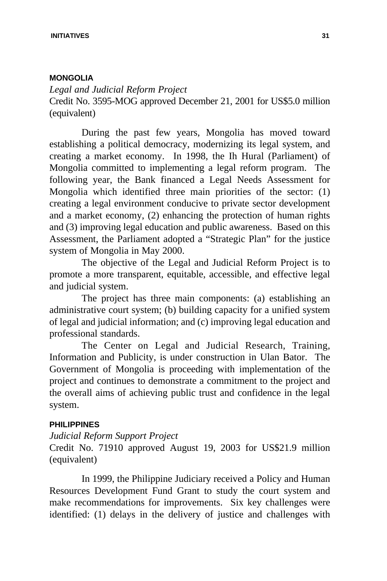### **MONGOLIA**

*Legal and Judicial Reform Project* Credit No. 3595-MOG approved December 21, 2001 for US\$5.0 million (equivalent)

During the past few years, Mongolia has moved toward establishing a political democracy, modernizing its legal system, and creating a market economy. In 1998, the Ih Hural (Parliament) of Mongolia committed to implementing a legal reform program. The following year, the Bank financed a Legal Needs Assessment for Mongolia which identified three main priorities of the sector: (1) creating a legal environment conducive to private sector development and a market economy, (2) enhancing the protection of human rights and (3) improving legal education and public awareness. Based on this Assessment, the Parliament adopted a "Strategic Plan" for the justice system of Mongolia in May 2000.

The objective of the Legal and Judicial Reform Project is to promote a more transparent, equitable, accessible, and effective legal and judicial system.

The project has three main components: (a) establishing an administrative court system; (b) building capacity for a unified system of legal and judicial information; and (c) improving legal education and professional standards.

The Center on Legal and Judicial Research, Training, Information and Publicity, is under construction in Ulan Bator. The Government of Mongolia is proceeding with implementation of the project and continues to demonstrate a commitment to the project and the overall aims of achieving public trust and confidence in the legal system.

# **PHILIPPINES**

# *Judicial Reform Support Project*

Credit No. 71910 approved August 19, 2003 for US\$21.9 million (equivalent)

In 1999, the Philippine Judiciary received a Policy and Human Resources Development Fund Grant to study the court system and make recommendations for improvements. Six key challenges were identified: (1) delays in the delivery of justice and challenges with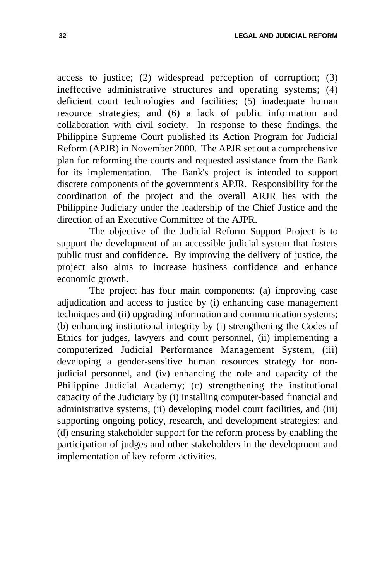access to justice; (2) widespread perception of corruption; (3) ineffective administrative structures and operating systems; (4) deficient court technologies and facilities; (5) inadequate human resource strategies; and (6) a lack of public information and collaboration with civil society. In response to these findings, the Philippine Supreme Court published its Action Program for Judicial Reform (APJR) in November 2000. The APJR set out a comprehensive plan for reforming the courts and requested assistance from the Bank for its implementation. The Bank's project is intended to support discrete components of the government's APJR. Responsibility for the coordination of the project and the overall ARJR lies with the Philippine Judiciary under the leadership of the Chief Justice and the direction of an Executive Committee of the AJPR.

The objective of the Judicial Reform Support Project is to support the development of an accessible judicial system that fosters public trust and confidence. By improving the delivery of justice, the project also aims to increase business confidence and enhance economic growth.

The project has four main components: (a) improving case adjudication and access to justice by (i) enhancing case management techniques and (ii) upgrading information and communication systems; (b) enhancing institutional integrity by (i) strengthening the Codes of Ethics for judges, lawyers and court personnel, (ii) implementing a computerized Judicial Performance Management System, (iii) developing a gender-sensitive human resources strategy for nonjudicial personnel, and (iv) enhancing the role and capacity of the Philippine Judicial Academy; (c) strengthening the institutional capacity of the Judiciary by (i) installing computer-based financial and administrative systems, (ii) developing model court facilities, and (iii) supporting ongoing policy, research, and development strategies; and (d) ensuring stakeholder support for the reform process by enabling the participation of judges and other stakeholders in the development and implementation of key reform activities.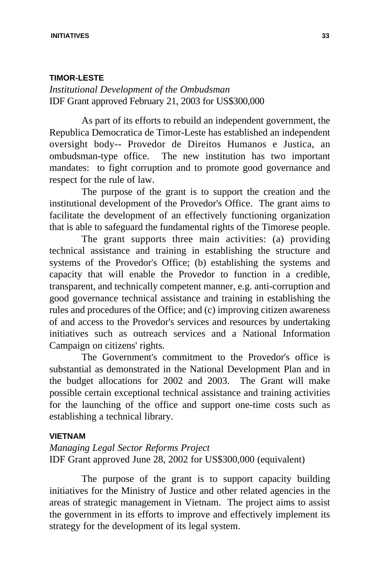### **TIMOR-LESTE**

*Institutional Development of the Ombudsman* IDF Grant approved February 21, 2003 for US\$300,000

As part of its efforts to rebuild an independent government, the Republica Democratica de Timor-Leste has established an independent oversight body-- Provedor de Direitos Humanos e Justica, an ombudsman-type office. The new institution has two important mandates: to fight corruption and to promote good governance and respect for the rule of law.

The purpose of the grant is to support the creation and the institutional development of the Provedor's Office. The grant aims to facilitate the development of an effectively functioning organization that is able to safeguard the fundamental rights of the Timorese people.

The grant supports three main activities: (a) providing technical assistance and training in establishing the structure and systems of the Provedor's Office; (b) establishing the systems and capacity that will enable the Provedor to function in a credible, transparent, and technically competent manner, e.g. anti-corruption and good governance technical assistance and training in establishing the rules and procedures of the Office; and (c) improving citizen awareness of and access to the Provedor's services and resources by undertaking initiatives such as outreach services and a National Information Campaign on citizens' rights.

The Government's commitment to the Provedor's office is substantial as demonstrated in the National Development Plan and in the budget allocations for 2002 and 2003. The Grant will make possible certain exceptional technical assistance and training activities for the launching of the office and support one-time costs such as establishing a technical library.

# **VIETNAM**

*Managing Legal Sector Reforms Project* IDF Grant approved June 28, 2002 for US\$300,000 (equivalent)

The purpose of the grant is to support capacity building initiatives for the Ministry of Justice and other related agencies in the areas of strategic management in Vietnam. The project aims to assist the government in its efforts to improve and effectively implement its strategy for the development of its legal system.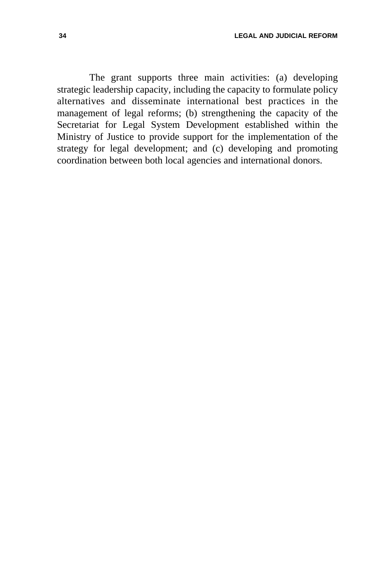The grant supports three main activities: (a) developing strategic leadership capacity, including the capacity to formulate policy alternatives and disseminate international best practices in the management of legal reforms; (b) strengthening the capacity of the Secretariat for Legal System Development established within the Ministry of Justice to provide support for the implementation of the strategy for legal development; and (c) developing and promoting coordination between both local agencies and international donors.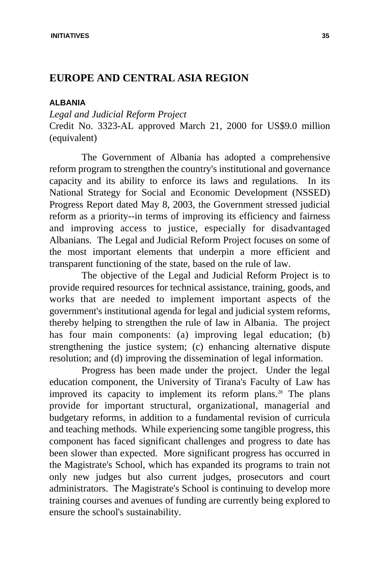# **EUROPE AND CENTRAL ASIA REGION**

### **ALBANIA**

*Legal and Judicial Reform Project*  Credit No. 3323-AL approved March 21, 2000 for US\$9.0 million (equivalent)

The Government of Albania has adopted a comprehensive reform program to strengthen the country's institutional and governance capacity and its ability to enforce its laws and regulations. In its National Strategy for Social and Economic Development (NSSED) Progress Report dated May 8, 2003, the Government stressed judicial reform as a priority--in terms of improving its efficiency and fairness and improving access to justice, especially for disadvantaged Albanians. The Legal and Judicial Reform Project focuses on some of the most important elements that underpin a more efficient and transparent functioning of the state, based on the rule of law.

The objective of the Legal and Judicial Reform Project is to provide required resources for technical assistance, training, goods, and works that are needed to implement important aspects of the government's institutional agenda for legal and judicial system reforms, thereby helping to strengthen the rule of law in Albania. The project has four main components: (a) improving legal education; (b) strengthening the justice system; (c) enhancing alternative dispute resolution; and (d) improving the dissemination of legal information.

Progress has been made under the project. Under the legal education component, the University of Tirana's Faculty of Law has improved its capacity to implement its reform plans.<sup>28</sup> The plans provide for important structural, organizational, managerial and budgetary reforms, in addition to a fundamental revision of curricula and teaching methods. While experiencing some tangible progress, this component has faced significant challenges and progress to date has been slower than expected. More significant progress has occurred in the Magistrate's School, which has expanded its programs to train not only new judges but also current judges, prosecutors and court administrators. The Magistrate's School is continuing to develop more training courses and avenues of funding are currently being explored to ensure the school's sustainability.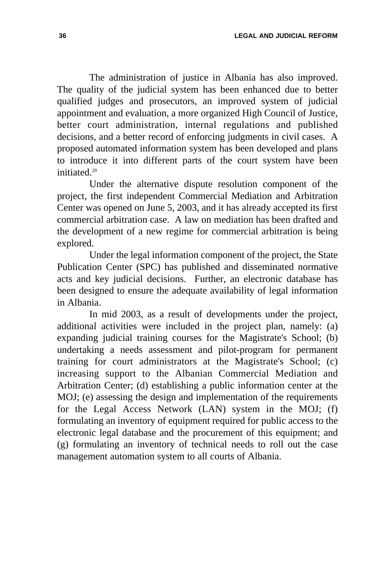The administration of justice in Albania has also improved. The quality of the judicial system has been enhanced due to better qualified judges and prosecutors, an improved system of judicial appointment and evaluation, a more organized High Council of Justice, better court administration, internal regulations and published decisions, and a better record of enforcing judgments in civil cases. A proposed automated information system has been developed and plans to introduce it into different parts of the court system have been initiated<sup>29</sup>

Under the alternative dispute resolution component of the project, the first independent Commercial Mediation and Arbitration Center was opened on June 5, 2003, and it has already accepted its first commercial arbitration case. A law on mediation has been drafted and the development of a new regime for commercial arbitration is being explored.

Under the legal information component of the project, the State Publication Center (SPC) has published and disseminated normative acts and key judicial decisions. Further, an electronic database has been designed to ensure the adequate availability of legal information in Albania.

In mid 2003, as a result of developments under the project, additional activities were included in the project plan, namely: (a) expanding judicial training courses for the Magistrate's School; (b) undertaking a needs assessment and pilot-program for permanent training for court administrators at the Magistrate's School; (c) increasing support to the Albanian Commercial Mediation and Arbitration Center; (d) establishing a public information center at the MOJ; (e) assessing the design and implementation of the requirements for the Legal Access Network (LAN) system in the MOJ; (f) formulating an inventory of equipment required for public access to the electronic legal database and the procurement of this equipment; and (g) formulating an inventory of technical needs to roll out the case management automation system to all courts of Albania.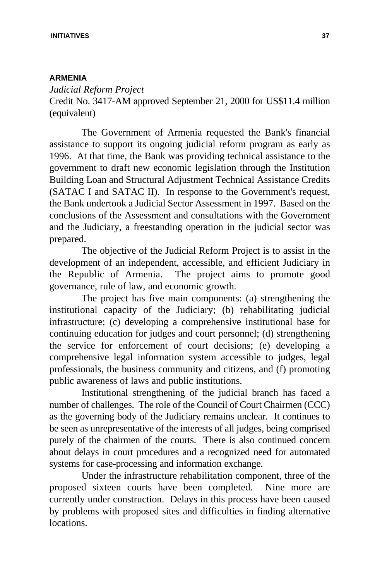# **ARMENIA**

*Judicial Reform Project*  Credit No. 3417-AM approved September 21, 2000 for US\$11.4 million (equivalent)

The Government of Armenia requested the Bank's financial assistance to support its ongoing judicial reform program as early as 1996. At that time, the Bank was providing technical assistance to the government to draft new economic legislation through the Institution Building Loan and Structural Adjustment Technical Assistance Credits (SATAC I and SATAC II). In response to the Government's request, the Bank undertook a Judicial Sector Assessment in 1997. Based on the conclusions of the Assessment and consultations with the Government and the Judiciary, a freestanding operation in the judicial sector was prepared.

The objective of the Judicial Reform Project is to assist in the development of an independent, accessible, and efficient Judiciary in the Republic of Armenia. The project aims to promote good governance, rule of law, and economic growth.

The project has five main components: (a) strengthening the institutional capacity of the Judiciary; (b) rehabilitating judicial infrastructure; (c) developing a comprehensive institutional base for continuing education for judges and court personnel; (d) strengthening the service for enforcement of court decisions; (e) developing a comprehensive legal information system accessible to judges, legal professionals, the business community and citizens, and (f) promoting public awareness of laws and public institutions.

Institutional strengthening of the judicial branch has faced a number of challenges. The role of the Council of Court Chairmen (CCC) as the governing body of the Judiciary remains unclear. It continues to be seen as unrepresentative of the interests of all judges, being comprised purely of the chairmen of the courts. There is also continued concern about delays in court procedures and a recognized need for automated systems for case-processing and information exchange.

Under the infrastructure rehabilitation component, three of the proposed sixteen courts have been completed. Nine more are currently under construction. Delays in this process have been caused by problems with proposed sites and difficulties in finding alternative locations.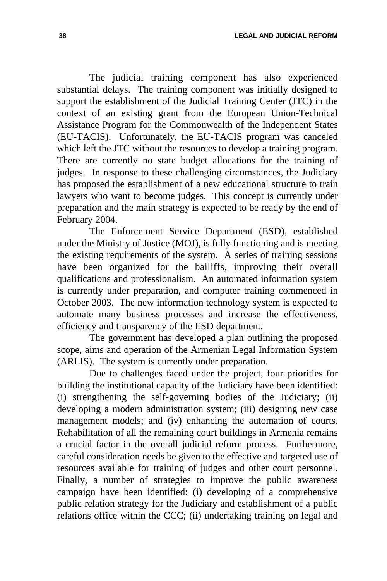**38 LEGAL AND JUDICIAL REFORM**

The judicial training component has also experienced substantial delays. The training component was initially designed to support the establishment of the Judicial Training Center (JTC) in the context of an existing grant from the European Union-Technical Assistance Program for the Commonwealth of the Independent States (EU-TACIS). Unfortunately, the EU-TACIS program was canceled which left the JTC without the resources to develop a training program. There are currently no state budget allocations for the training of judges. In response to these challenging circumstances, the Judiciary has proposed the establishment of a new educational structure to train lawyers who want to become judges. This concept is currently under preparation and the main strategy is expected to be ready by the end of February 2004.

The Enforcement Service Department (ESD), established under the Ministry of Justice (MOJ), is fully functioning and is meeting the existing requirements of the system. A series of training sessions have been organized for the bailiffs, improving their overall qualifications and professionalism. An automated information system is currently under preparation, and computer training commenced in October 2003. The new information technology system is expected to automate many business processes and increase the effectiveness, efficiency and transparency of the ESD department.

The government has developed a plan outlining the proposed scope, aims and operation of the Armenian Legal Information System (ARLIS). The system is currently under preparation.

Due to challenges faced under the project, four priorities for building the institutional capacity of the Judiciary have been identified: (i) strengthening the self-governing bodies of the Judiciary; (ii) developing a modern administration system; (iii) designing new case management models; and (iv) enhancing the automation of courts. Rehabilitation of all the remaining court buildings in Armenia remains a crucial factor in the overall judicial reform process. Furthermore, careful consideration needs be given to the effective and targeted use of resources available for training of judges and other court personnel. Finally, a number of strategies to improve the public awareness campaign have been identified: (i) developing of a comprehensive public relation strategy for the Judiciary and establishment of a public relations office within the CCC; (ii) undertaking training on legal and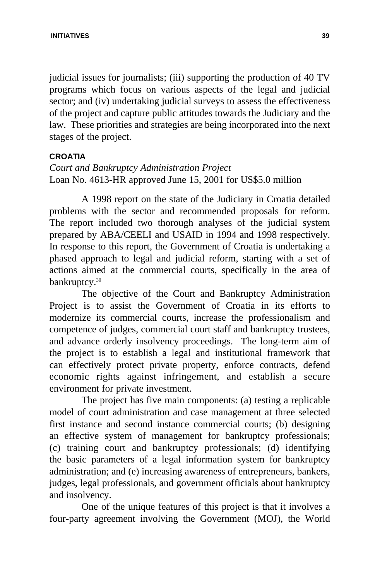judicial issues for journalists; (iii) supporting the production of 40 TV programs which focus on various aspects of the legal and judicial sector; and (iv) undertaking judicial surveys to assess the effectiveness of the project and capture public attitudes towards the Judiciary and the law. These priorities and strategies are being incorporated into the next stages of the project.

### **CROATIA**

# *Court and Bankruptcy Administration Project*  Loan No. 4613-HR approved June 15, 2001 for US\$5.0 million

A 1998 report on the state of the Judiciary in Croatia detailed problems with the sector and recommended proposals for reform. The report included two thorough analyses of the judicial system prepared by ABA/CEELI and USAID in 1994 and 1998 respectively. In response to this report, the Government of Croatia is undertaking a phased approach to legal and judicial reform, starting with a set of actions aimed at the commercial courts, specifically in the area of bankruptcy.<sup>30</sup>

The objective of the Court and Bankruptcy Administration Project is to assist the Government of Croatia in its efforts to modernize its commercial courts, increase the professionalism and competence of judges, commercial court staff and bankruptcy trustees, and advance orderly insolvency proceedings. The long-term aim of the project is to establish a legal and institutional framework that can effectively protect private property, enforce contracts, defend economic rights against infringement, and establish a secure environment for private investment.

The project has five main components: (a) testing a replicable model of court administration and case management at three selected first instance and second instance commercial courts; (b) designing an effective system of management for bankruptcy professionals; (c) training court and bankruptcy professionals; (d) identifying the basic parameters of a legal information system for bankruptcy administration; and (e) increasing awareness of entrepreneurs, bankers, judges, legal professionals, and government officials about bankruptcy and insolvency.

One of the unique features of this project is that it involves a four-party agreement involving the Government (MOJ), the World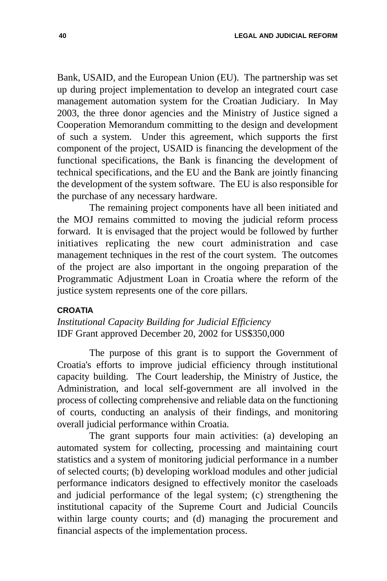Bank, USAID, and the European Union (EU). The partnership was set up during project implementation to develop an integrated court case management automation system for the Croatian Judiciary. In May 2003, the three donor agencies and the Ministry of Justice signed a Cooperation Memorandum committing to the design and development of such a system. Under this agreement, which supports the first component of the project, USAID is financing the development of the functional specifications, the Bank is financing the development of technical specifications, and the EU and the Bank are jointly financing the development of the system software. The EU is also responsible for the purchase of any necessary hardware.

The remaining project components have all been initiated and the MOJ remains committed to moving the judicial reform process forward. It is envisaged that the project would be followed by further initiatives replicating the new court administration and case management techniques in the rest of the court system. The outcomes of the project are also important in the ongoing preparation of the Programmatic Adjustment Loan in Croatia where the reform of the justice system represents one of the core pillars.

### **CROATIA**

*Institutional Capacity Building for Judicial Efficiency*  IDF Grant approved December 20, 2002 for US\$350,000

The purpose of this grant is to support the Government of Croatia's efforts to improve judicial efficiency through institutional capacity building. The Court leadership, the Ministry of Justice, the Administration, and local self-government are all involved in the process of collecting comprehensive and reliable data on the functioning of courts, conducting an analysis of their findings, and monitoring overall judicial performance within Croatia.

The grant supports four main activities: (a) developing an automated system for collecting, processing and maintaining court statistics and a system of monitoring judicial performance in a number of selected courts; (b) developing workload modules and other judicial performance indicators designed to effectively monitor the caseloads and judicial performance of the legal system; (c) strengthening the institutional capacity of the Supreme Court and Judicial Councils within large county courts; and (d) managing the procurement and financial aspects of the implementation process.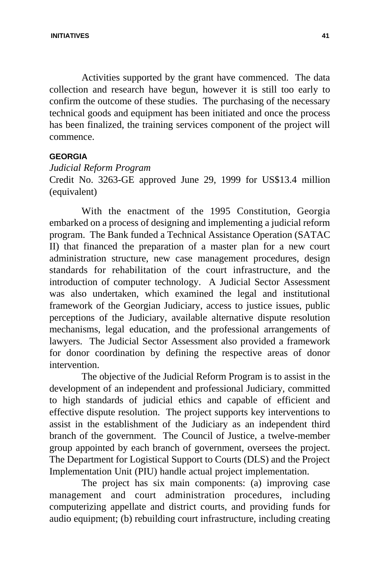Activities supported by the grant have commenced. The data collection and research have begun, however it is still too early to confirm the outcome of these studies. The purchasing of the necessary technical goods and equipment has been initiated and once the process has been finalized, the training services component of the project will commence.

# **GEORGIA**

# *Judicial Reform Program*

Credit No. 3263-GE approved June 29, 1999 for US\$13.4 million (equivalent)

With the enactment of the 1995 Constitution, Georgia embarked on a process of designing and implementing a judicial reform program. The Bank funded a Technical Assistance Operation (SATAC II) that financed the preparation of a master plan for a new court administration structure, new case management procedures, design standards for rehabilitation of the court infrastructure, and the introduction of computer technology. A Judicial Sector Assessment was also undertaken, which examined the legal and institutional framework of the Georgian Judiciary, access to justice issues, public perceptions of the Judiciary, available alternative dispute resolution mechanisms, legal education, and the professional arrangements of lawyers. The Judicial Sector Assessment also provided a framework for donor coordination by defining the respective areas of donor intervention.

The objective of the Judicial Reform Program is to assist in the development of an independent and professional Judiciary, committed to high standards of judicial ethics and capable of efficient and effective dispute resolution. The project supports key interventions to assist in the establishment of the Judiciary as an independent third branch of the government. The Council of Justice, a twelve-member group appointed by each branch of government, oversees the project. The Department for Logistical Support to Courts (DLS) and the Project Implementation Unit (PIU) handle actual project implementation.

The project has six main components: (a) improving case management and court administration procedures, including computerizing appellate and district courts, and providing funds for audio equipment; (b) rebuilding court infrastructure, including creating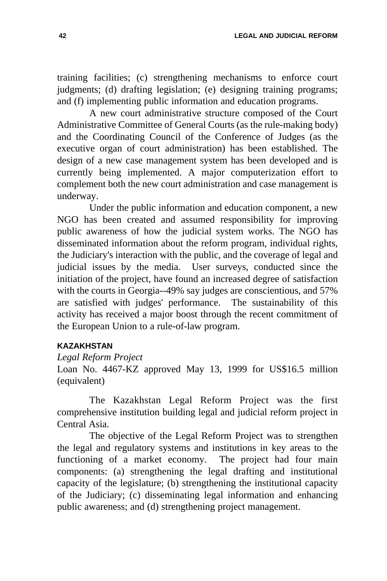training facilities; (c) strengthening mechanisms to enforce court judgments; (d) drafting legislation; (e) designing training programs; and (f) implementing public information and education programs.

A new court administrative structure composed of the Court Administrative Committee of General Courts (as the rule-making body) and the Coordinating Council of the Conference of Judges (as the executive organ of court administration) has been established. The design of a new case management system has been developed and is currently being implemented. A major computerization effort to complement both the new court administration and case management is underway.

Under the public information and education component, a new NGO has been created and assumed responsibility for improving public awareness of how the judicial system works. The NGO has disseminated information about the reform program, individual rights, the Judiciary's interaction with the public, and the coverage of legal and judicial issues by the media. User surveys, conducted since the initiation of the project, have found an increased degree of satisfaction with the courts in Georgia--49% say judges are conscientious, and 57% are satisfied with judges' performance. The sustainability of this activity has received a major boost through the recent commitment of the European Union to a rule-of-law program.

# **KAZAKHSTAN**

### *Legal Reform Project*

Loan No. 4467-KZ approved May 13, 1999 for US\$16.5 million (equivalent)

The Kazakhstan Legal Reform Project was the first comprehensive institution building legal and judicial reform project in Central Asia.

The objective of the Legal Reform Project was to strengthen the legal and regulatory systems and institutions in key areas to the functioning of a market economy. The project had four main components: (a) strengthening the legal drafting and institutional capacity of the legislature; (b) strengthening the institutional capacity of the Judiciary; (c) disseminating legal information and enhancing public awareness; and (d) strengthening project management.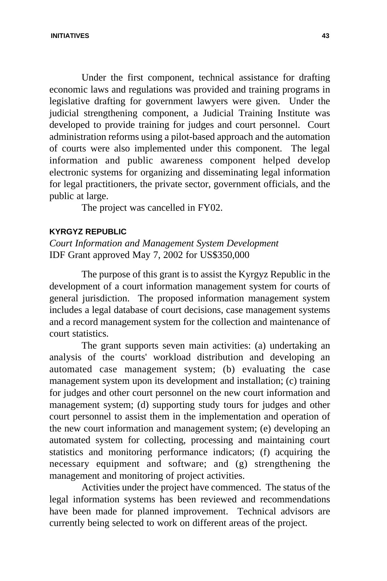Under the first component, technical assistance for drafting economic laws and regulations was provided and training programs in legislative drafting for government lawyers were given. Under the judicial strengthening component, a Judicial Training Institute was developed to provide training for judges and court personnel. Court administration reforms using a pilot-based approach and the automation of courts were also implemented under this component. The legal information and public awareness component helped develop electronic systems for organizing and disseminating legal information for legal practitioners, the private sector, government officials, and the public at large.

The project was cancelled in FY02.

### **KYRGYZ REPUBLIC**

*Court Information and Management System Development* IDF Grant approved May 7, 2002 for US\$350,000

The purpose of this grant is to assist the Kyrgyz Republic in the development of a court information management system for courts of general jurisdiction. The proposed information management system includes a legal database of court decisions, case management systems and a record management system for the collection and maintenance of court statistics.

The grant supports seven main activities: (a) undertaking an analysis of the courts' workload distribution and developing an automated case management system; (b) evaluating the case management system upon its development and installation; (c) training for judges and other court personnel on the new court information and management system; (d) supporting study tours for judges and other court personnel to assist them in the implementation and operation of the new court information and management system; (e) developing an automated system for collecting, processing and maintaining court statistics and monitoring performance indicators; (f) acquiring the necessary equipment and software; and (g) strengthening the management and monitoring of project activities.

Activities under the project have commenced. The status of the legal information systems has been reviewed and recommendations have been made for planned improvement. Technical advisors are currently being selected to work on different areas of the project.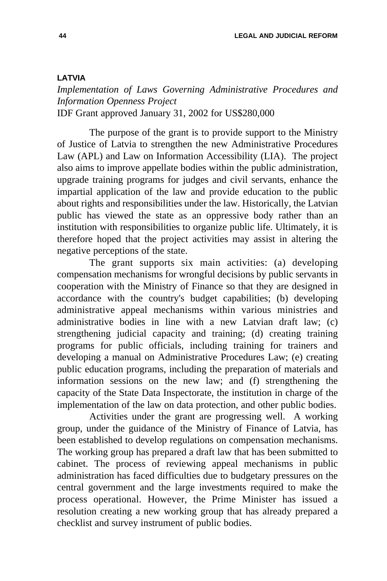### **LATVIA**

*Implementation of Laws Governing Administrative Procedures and Information Openness Project* IDF Grant approved January 31, 2002 for US\$280,000

The purpose of the grant is to provide support to the Ministry of Justice of Latvia to strengthen the new Administrative Procedures Law (APL) and Law on Information Accessibility (LIA). The project also aims to improve appellate bodies within the public administration, upgrade training programs for judges and civil servants, enhance the impartial application of the law and provide education to the public about rights and responsibilities under the law. Historically, the Latvian public has viewed the state as an oppressive body rather than an institution with responsibilities to organize public life. Ultimately, it is therefore hoped that the project activities may assist in altering the negative perceptions of the state.

The grant supports six main activities: (a) developing compensation mechanisms for wrongful decisions by public servants in cooperation with the Ministry of Finance so that they are designed in accordance with the country's budget capabilities; (b) developing administrative appeal mechanisms within various ministries and administrative bodies in line with a new Latvian draft law; (c) strengthening judicial capacity and training; (d) creating training programs for public officials, including training for trainers and developing a manual on Administrative Procedures Law; (e) creating public education programs, including the preparation of materials and information sessions on the new law; and (f) strengthening the capacity of the State Data Inspectorate, the institution in charge of the implementation of the law on data protection, and other public bodies.

Activities under the grant are progressing well. A working group, under the guidance of the Ministry of Finance of Latvia, has been established to develop regulations on compensation mechanisms. The working group has prepared a draft law that has been submitted to cabinet. The process of reviewing appeal mechanisms in public administration has faced difficulties due to budgetary pressures on the central government and the large investments required to make the process operational. However, the Prime Minister has issued a resolution creating a new working group that has already prepared a checklist and survey instrument of public bodies.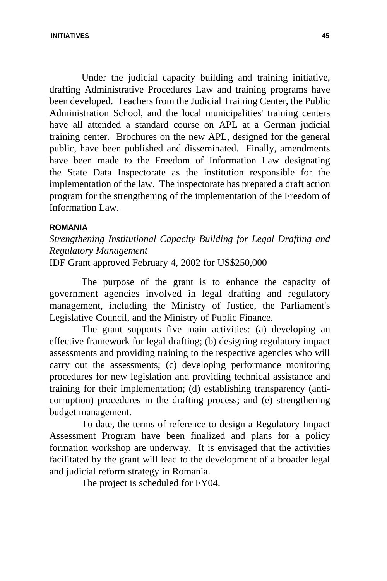Under the judicial capacity building and training initiative, drafting Administrative Procedures Law and training programs have been developed. Teachers from the Judicial Training Center, the Public Administration School, and the local municipalities' training centers have all attended a standard course on APL at a German judicial training center. Brochures on the new APL, designed for the general public, have been published and disseminated. Finally, amendments have been made to the Freedom of Information Law designating the State Data Inspectorate as the institution responsible for the implementation of the law. The inspectorate has prepared a draft action program for the strengthening of the implementation of the Freedom of Information Law.

## **ROMANIA**

*Strengthening Institutional Capacity Building for Legal Drafting and Regulatory Management* IDF Grant approved February 4, 2002 for US\$250,000

The purpose of the grant is to enhance the capacity of government agencies involved in legal drafting and regulatory management, including the Ministry of Justice, the Parliament's Legislative Council, and the Ministry of Public Finance.

The grant supports five main activities: (a) developing an effective framework for legal drafting; (b) designing regulatory impact assessments and providing training to the respective agencies who will carry out the assessments; (c) developing performance monitoring procedures for new legislation and providing technical assistance and training for their implementation; (d) establishing transparency (anticorruption) procedures in the drafting process; and (e) strengthening budget management.

To date, the terms of reference to design a Regulatory Impact Assessment Program have been finalized and plans for a policy formation workshop are underway. It is envisaged that the activities facilitated by the grant will lead to the development of a broader legal and judicial reform strategy in Romania.

The project is scheduled for FY04.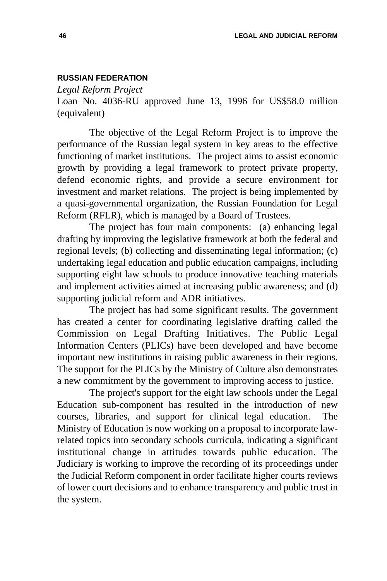# **RUSSIAN FEDERATION**

*Legal Reform Project*

Loan No. 4036-RU approved June 13, 1996 for US\$58.0 million (equivalent)

The objective of the Legal Reform Project is to improve the performance of the Russian legal system in key areas to the effective functioning of market institutions. The project aims to assist economic growth by providing a legal framework to protect private property, defend economic rights, and provide a secure environment for investment and market relations. The project is being implemented by a quasi-governmental organization, the Russian Foundation for Legal Reform (RFLR), which is managed by a Board of Trustees.

The project has four main components: (a) enhancing legal drafting by improving the legislative framework at both the federal and regional levels; (b) collecting and disseminating legal information; (c) undertaking legal education and public education campaigns, including supporting eight law schools to produce innovative teaching materials and implement activities aimed at increasing public awareness; and (d) supporting judicial reform and ADR initiatives.

The project has had some significant results. The government has created a center for coordinating legislative drafting called the Commission on Legal Drafting Initiatives. The Public Legal Information Centers (PLICs) have been developed and have become important new institutions in raising public awareness in their regions. The support for the PLICs by the Ministry of Culture also demonstrates a new commitment by the government to improving access to justice.

The project's support for the eight law schools under the Legal Education sub-component has resulted in the introduction of new courses, libraries, and support for clinical legal education. The Ministry of Education is now working on a proposal to incorporate lawrelated topics into secondary schools curricula, indicating a significant institutional change in attitudes towards public education. The Judiciary is working to improve the recording of its proceedings under the Judicial Reform component in order facilitate higher courts reviews of lower court decisions and to enhance transparency and public trust in the system.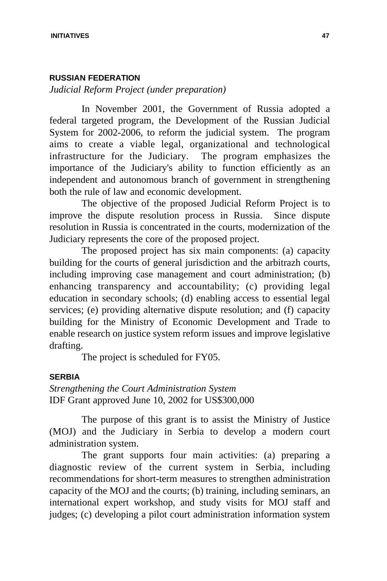## **RUSSIAN FEDERATION**

*Judicial Reform Project (under preparation)*

In November 2001, the Government of Russia adopted a federal targeted program, the Development of the Russian Judicial System for 2002-2006, to reform the judicial system. The program aims to create a viable legal, organizational and technological infrastructure for the Judiciary. The program emphasizes the importance of the Judiciary's ability to function efficiently as an independent and autonomous branch of government in strengthening both the rule of law and economic development.

The objective of the proposed Judicial Reform Project is to improve the dispute resolution process in Russia. Since dispute resolution in Russia is concentrated in the courts, modernization of the Judiciary represents the core of the proposed project.

The proposed project has six main components: (a) capacity building for the courts of general jurisdiction and the arbitrazh courts, including improving case management and court administration; (b) enhancing transparency and accountability; (c) providing legal education in secondary schools; (d) enabling access to essential legal services; (e) providing alternative dispute resolution; and (f) capacity building for the Ministry of Economic Development and Trade to enable research on justice system reform issues and improve legislative drafting.

The project is scheduled for FY05.

#### **SERBIA**

*Strengthening the Court Administration System*  IDF Grant approved June 10, 2002 for US\$300,000

The purpose of this grant is to assist the Ministry of Justice (MOJ) and the Judiciary in Serbia to develop a modern court administration system.

The grant supports four main activities: (a) preparing a diagnostic review of the current system in Serbia, including recommendations for short-term measures to strengthen administration capacity of the MOJ and the courts; (b) training, including seminars, an international expert workshop, and study visits for MOJ staff and judges; (c) developing a pilot court administration information system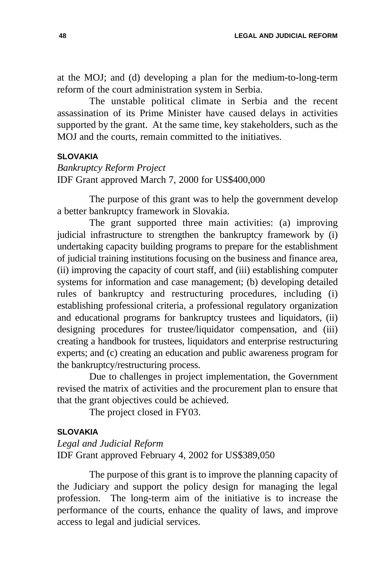at the MOJ; and (d) developing a plan for the medium-to-long-term reform of the court administration system in Serbia.

The unstable political climate in Serbia and the recent assassination of its Prime Minister have caused delays in activities supported by the grant. At the same time, key stakeholders, such as the MOJ and the courts, remain committed to the initiatives.

# **SLOVAKIA**

# *Bankruptcy Reform Project*  IDF Grant approved March 7, 2000 for US\$400,000

The purpose of this grant was to help the government develop a better bankruptcy framework in Slovakia.

The grant supported three main activities: (a) improving judicial infrastructure to strengthen the bankruptcy framework by (i) undertaking capacity building programs to prepare for the establishment of judicial training institutions focusing on the business and finance area, (ii) improving the capacity of court staff, and (iii) establishing computer systems for information and case management; (b) developing detailed rules of bankruptcy and restructuring procedures, including (i) establishing professional criteria, a professional regulatory organization and educational programs for bankruptcy trustees and liquidators, (ii) designing procedures for trustee/liquidator compensation, and (iii) creating a handbook for trustees, liquidators and enterprise restructuring experts; and (c) creating an education and public awareness program for the bankruptcy/restructuring process.

Due to challenges in project implementation, the Government revised the matrix of activities and the procurement plan to ensure that that the grant objectives could be achieved.

The project closed in FY03.

### **SLOVAKIA**

*Legal and Judicial Reform* IDF Grant approved February 4, 2002 for US\$389,050

The purpose of this grant is to improve the planning capacity of the Judiciary and support the policy design for managing the legal profession. The long-term aim of the initiative is to increase the performance of the courts, enhance the quality of laws, and improve access to legal and judicial services.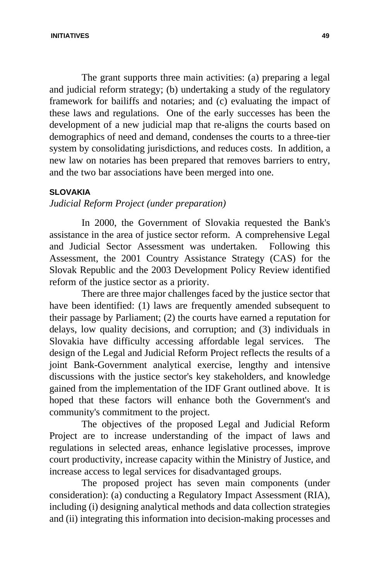The grant supports three main activities: (a) preparing a legal and judicial reform strategy; (b) undertaking a study of the regulatory framework for bailiffs and notaries; and (c) evaluating the impact of these laws and regulations. One of the early successes has been the development of a new judicial map that re-aligns the courts based on demographics of need and demand, condenses the courts to a three-tier system by consolidating jurisdictions, and reduces costs. In addition, a new law on notaries has been prepared that removes barriers to entry, and the two bar associations have been merged into one.

### **SLOVAKIA**

# *Judicial Reform Project (under preparation)*

In 2000, the Government of Slovakia requested the Bank's assistance in the area of justice sector reform. A comprehensive Legal and Judicial Sector Assessment was undertaken. Following this Assessment, the 2001 Country Assistance Strategy (CAS) for the Slovak Republic and the 2003 Development Policy Review identified reform of the justice sector as a priority.

There are three major challenges faced by the justice sector that have been identified: (1) laws are frequently amended subsequent to their passage by Parliament; (2) the courts have earned a reputation for delays, low quality decisions, and corruption; and (3) individuals in Slovakia have difficulty accessing affordable legal services. The design of the Legal and Judicial Reform Project reflects the results of a joint Bank-Government analytical exercise, lengthy and intensive discussions with the justice sector's key stakeholders, and knowledge gained from the implementation of the IDF Grant outlined above. It is hoped that these factors will enhance both the Government's and community's commitment to the project.

The objectives of the proposed Legal and Judicial Reform Project are to increase understanding of the impact of laws and regulations in selected areas, enhance legislative processes, improve court productivity, increase capacity within the Ministry of Justice, and increase access to legal services for disadvantaged groups.

The proposed project has seven main components (under consideration): (a) conducting a Regulatory Impact Assessment (RIA), including (i) designing analytical methods and data collection strategies and (ii) integrating this information into decision-making processes and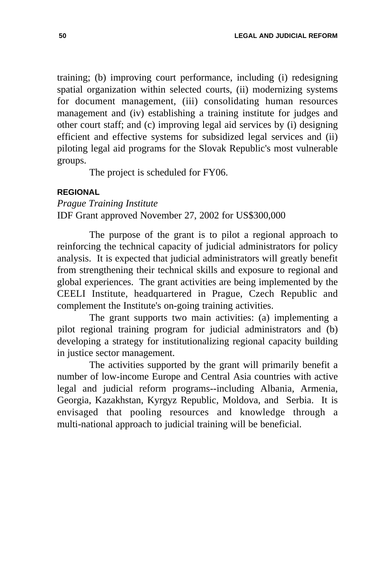training; (b) improving court performance, including (i) redesigning spatial organization within selected courts, (ii) modernizing systems for document management, (iii) consolidating human resources management and (iv) establishing a training institute for judges and other court staff; and (c) improving legal aid services by (i) designing efficient and effective systems for subsidized legal services and (ii) piloting legal aid programs for the Slovak Republic's most vulnerable groups.

The project is scheduled for FY06.

# **REGIONAL**

*Prague Training Institute* IDF Grant approved November 27, 2002 for US\$300,000

The purpose of the grant is to pilot a regional approach to reinforcing the technical capacity of judicial administrators for policy analysis. It is expected that judicial administrators will greatly benefit from strengthening their technical skills and exposure to regional and global experiences. The grant activities are being implemented by the CEELI Institute, headquartered in Prague, Czech Republic and complement the Institute's on-going training activities.

The grant supports two main activities: (a) implementing a pilot regional training program for judicial administrators and (b) developing a strategy for institutionalizing regional capacity building in justice sector management.

The activities supported by the grant will primarily benefit a number of low-income Europe and Central Asia countries with active legal and judicial reform programs--including Albania, Armenia, Georgia, Kazakhstan, Kyrgyz Republic, Moldova, and Serbia. It is envisaged that pooling resources and knowledge through a multi-national approach to judicial training will be beneficial.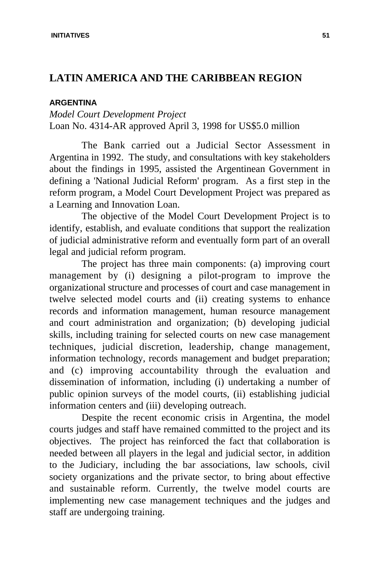# **LATIN AMERICA AND THE CARIBBEAN REGION**

# **ARGENTINA**

*Model Court Development Project*  Loan No. 4314-AR approved April 3, 1998 for US\$5.0 million

The Bank carried out a Judicial Sector Assessment in Argentina in 1992. The study, and consultations with key stakeholders about the findings in 1995, assisted the Argentinean Government in defining a 'National Judicial Reform' program. As a first step in the reform program, a Model Court Development Project was prepared as a Learning and Innovation Loan.

The objective of the Model Court Development Project is to identify, establish, and evaluate conditions that support the realization of judicial administrative reform and eventually form part of an overall legal and judicial reform program.

The project has three main components: (a) improving court management by (i) designing a pilot-program to improve the organizational structure and processes of court and case management in twelve selected model courts and (ii) creating systems to enhance records and information management, human resource management and court administration and organization; (b) developing judicial skills, including training for selected courts on new case management techniques, judicial discretion, leadership, change management, information technology, records management and budget preparation; and (c) improving accountability through the evaluation and dissemination of information, including (i) undertaking a number of public opinion surveys of the model courts, (ii) establishing judicial information centers and (iii) developing outreach.

Despite the recent economic crisis in Argentina, the model courts judges and staff have remained committed to the project and its objectives. The project has reinforced the fact that collaboration is needed between all players in the legal and judicial sector, in addition to the Judiciary, including the bar associations, law schools, civil society organizations and the private sector, to bring about effective and sustainable reform. Currently, the twelve model courts are implementing new case management techniques and the judges and staff are undergoing training.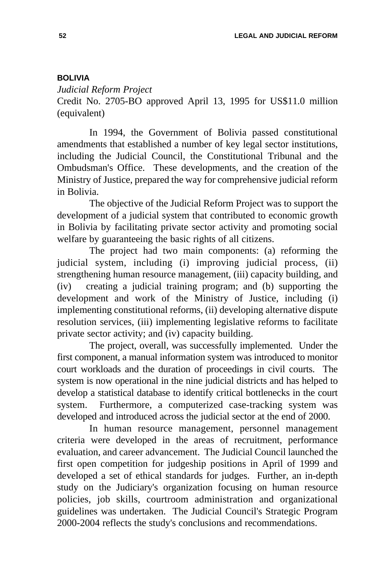# **BOLIVIA**

*Judicial Reform Project*

Credit No. 2705-BO approved April 13, 1995 for US\$11.0 million (equivalent)

In 1994, the Government of Bolivia passed constitutional amendments that established a number of key legal sector institutions, including the Judicial Council, the Constitutional Tribunal and the Ombudsman's Office. These developments, and the creation of the Ministry of Justice, prepared the way for comprehensive judicial reform in Bolivia.

The objective of the Judicial Reform Project was to support the development of a judicial system that contributed to economic growth in Bolivia by facilitating private sector activity and promoting social welfare by guaranteeing the basic rights of all citizens.

The project had two main components: (a) reforming the judicial system, including (i) improving judicial process, (ii) strengthening human resource management, (iii) capacity building, and (iv) creating a judicial training program; and (b) supporting the development and work of the Ministry of Justice, including (i) implementing constitutional reforms, (ii) developing alternative dispute resolution services, (iii) implementing legislative reforms to facilitate private sector activity; and (iv) capacity building.

The project, overall, was successfully implemented. Under the first component, a manual information system was introduced to monitor court workloads and the duration of proceedings in civil courts. The system is now operational in the nine judicial districts and has helped to develop a statistical database to identify critical bottlenecks in the court system. Furthermore, a computerized case-tracking system was developed and introduced across the judicial sector at the end of 2000.

In human resource management, personnel management criteria were developed in the areas of recruitment, performance evaluation, and career advancement. The Judicial Council launched the first open competition for judgeship positions in April of 1999 and developed a set of ethical standards for judges. Further, an in-depth study on the Judiciary's organization focusing on human resource policies, job skills, courtroom administration and organizational guidelines was undertaken. The Judicial Council's Strategic Program 2000-2004 reflects the study's conclusions and recommendations.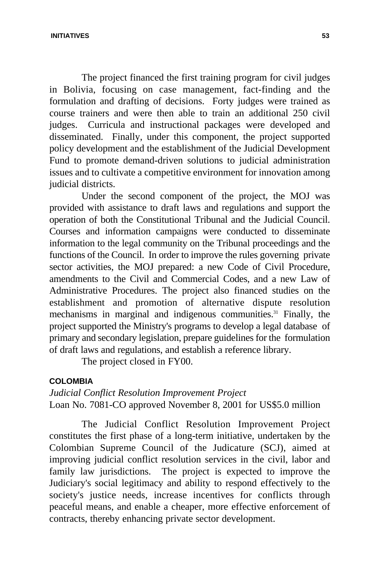The project financed the first training program for civil judges in Bolivia, focusing on case management, fact-finding and the formulation and drafting of decisions. Forty judges were trained as course trainers and were then able to train an additional 250 civil judges. Curricula and instructional packages were developed and disseminated. Finally, under this component, the project supported policy development and the establishment of the Judicial Development Fund to promote demand-driven solutions to judicial administration issues and to cultivate a competitive environment for innovation among judicial districts.

Under the second component of the project, the MOJ was provided with assistance to draft laws and regulations and support the operation of both the Constitutional Tribunal and the Judicial Council. Courses and information campaigns were conducted to disseminate information to the legal community on the Tribunal proceedings and the functions of the Council. In order to improve the rules governing private sector activities, the MOJ prepared: a new Code of Civil Procedure, amendments to the Civil and Commercial Codes, and a new Law of Administrative Procedures. The project also financed studies on the establishment and promotion of alternative dispute resolution mechanisms in marginal and indigenous communities.<sup>31</sup> Finally, the project supported the Ministry's programs to develop a legal database of primary and secondary legislation, prepare guidelines for the formulation of draft laws and regulations, and establish a reference library.

The project closed in FY00.

# **COLOMBIA**

*Judicial Conflict Resolution Improvement Project* Loan No. 7081-CO approved November 8, 2001 for US\$5.0 million

The Judicial Conflict Resolution Improvement Project constitutes the first phase of a long-term initiative, undertaken by the Colombian Supreme Council of the Judicature (SCJ), aimed at improving judicial conflict resolution services in the civil, labor and family law jurisdictions. The project is expected to improve the Judiciary's social legitimacy and ability to respond effectively to the society's justice needs, increase incentives for conflicts through peaceful means, and enable a cheaper, more effective enforcement of contracts, thereby enhancing private sector development.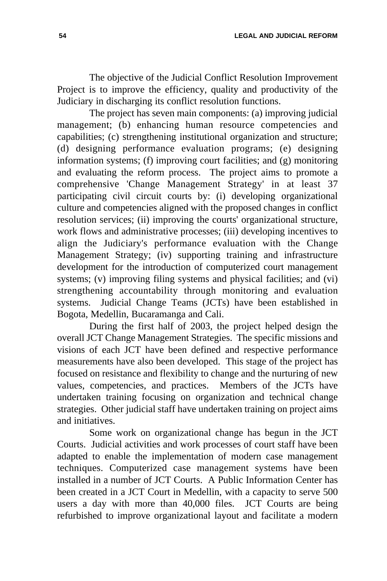**54 LEGAL AND JUDICIAL REFORM**

The objective of the Judicial Conflict Resolution Improvement Project is to improve the efficiency, quality and productivity of the Judiciary in discharging its conflict resolution functions.

The project has seven main components: (a) improving judicial management; (b) enhancing human resource competencies and capabilities; (c) strengthening institutional organization and structure; (d) designing performance evaluation programs; (e) designing information systems; (f) improving court facilities; and (g) monitoring and evaluating the reform process. The project aims to promote a comprehensive 'Change Management Strategy' in at least 37 participating civil circuit courts by: (i) developing organizational culture and competencies aligned with the proposed changes in conflict resolution services; (ii) improving the courts' organizational structure, work flows and administrative processes; (iii) developing incentives to align the Judiciary's performance evaluation with the Change Management Strategy; (iv) supporting training and infrastructure development for the introduction of computerized court management systems; (v) improving filing systems and physical facilities; and (vi) strengthening accountability through monitoring and evaluation systems. Judicial Change Teams (JCTs) have been established in Bogota, Medellin, Bucaramanga and Cali.

During the first half of 2003, the project helped design the overall JCT Change Management Strategies. The specific missions and visions of each JCT have been defined and respective performance measurements have also been developed. This stage of the project has focused on resistance and flexibility to change and the nurturing of new values, competencies, and practices. Members of the JCTs have undertaken training focusing on organization and technical change strategies. Other judicial staff have undertaken training on project aims and initiatives.

Some work on organizational change has begun in the JCT Courts. Judicial activities and work processes of court staff have been adapted to enable the implementation of modern case management techniques. Computerized case management systems have been installed in a number of JCT Courts. A Public Information Center has been created in a JCT Court in Medellin, with a capacity to serve 500 users a day with more than 40,000 files. JCT Courts are being refurbished to improve organizational layout and facilitate a modern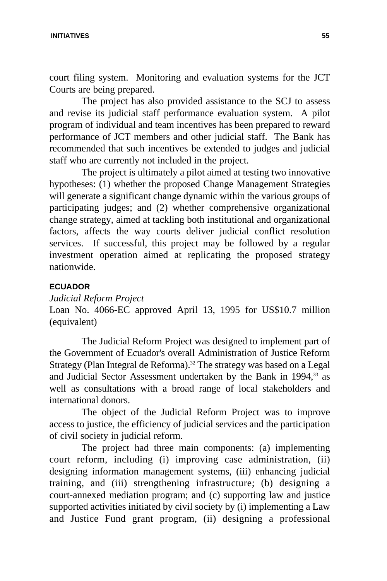#### **INITIATIVES 55**

court filing system. Monitoring and evaluation systems for the JCT Courts are being prepared.

The project has also provided assistance to the SCJ to assess and revise its judicial staff performance evaluation system. A pilot program of individual and team incentives has been prepared to reward performance of JCT members and other judicial staff. The Bank has recommended that such incentives be extended to judges and judicial staff who are currently not included in the project.

The project is ultimately a pilot aimed at testing two innovative hypotheses: (1) whether the proposed Change Management Strategies will generate a significant change dynamic within the various groups of participating judges; and (2) whether comprehensive organizational change strategy, aimed at tackling both institutional and organizational factors, affects the way courts deliver judicial conflict resolution services. If successful, this project may be followed by a regular investment operation aimed at replicating the proposed strategy nationwide.

### **ECUADOR**

# *Judicial Reform Project*

Loan No. 4066-EC approved April 13, 1995 for US\$10.7 million (equivalent)

The Judicial Reform Project was designed to implement part of the Government of Ecuador's overall Administration of Justice Reform Strategy (Plan Integral de Reforma).<sup>32</sup> The strategy was based on a Legal and Judicial Sector Assessment undertaken by the Bank in 1994,<sup>33</sup> as well as consultations with a broad range of local stakeholders and international donors.

The object of the Judicial Reform Project was to improve access to justice, the efficiency of judicial services and the participation of civil society in judicial reform.

The project had three main components: (a) implementing court reform, including (i) improving case administration, (ii) designing information management systems, (iii) enhancing judicial training, and (iii) strengthening infrastructure; (b) designing a court-annexed mediation program; and (c) supporting law and justice supported activities initiated by civil society by (i) implementing a Law and Justice Fund grant program, (ii) designing a professional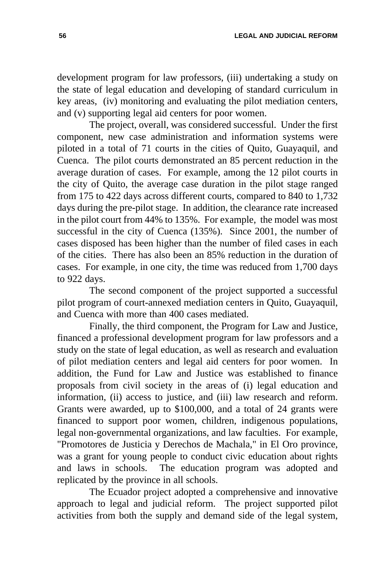development program for law professors, (iii) undertaking a study on the state of legal education and developing of standard curriculum in key areas, (iv) monitoring and evaluating the pilot mediation centers, and (v) supporting legal aid centers for poor women.

The project, overall, was considered successful. Under the first component, new case administration and information systems were piloted in a total of 71 courts in the cities of Quito, Guayaquil, and Cuenca. The pilot courts demonstrated an 85 percent reduction in the average duration of cases. For example, among the 12 pilot courts in the city of Quito, the average case duration in the pilot stage ranged from 175 to 422 days across different courts, compared to 840 to 1,732 days during the pre-pilot stage. In addition, the clearance rate increased in the pilot court from 44% to 135%. For example, the model was most successful in the city of Cuenca (135%). Since 2001, the number of cases disposed has been higher than the number of filed cases in each of the cities. There has also been an 85% reduction in the duration of cases. For example, in one city, the time was reduced from 1,700 days to 922 days.

The second component of the project supported a successful pilot program of court-annexed mediation centers in Quito, Guayaquil, and Cuenca with more than 400 cases mediated.

Finally, the third component, the Program for Law and Justice, financed a professional development program for law professors and a study on the state of legal education, as well as research and evaluation of pilot mediation centers and legal aid centers for poor women. In addition, the Fund for Law and Justice was established to finance proposals from civil society in the areas of (i) legal education and information, (ii) access to justice, and (iii) law research and reform. Grants were awarded, up to \$100,000, and a total of 24 grants were financed to support poor women, children, indigenous populations, legal non-governmental organizations, and law faculties. For example, "Promotores de Justicia y Derechos de Machala," in El Oro province, was a grant for young people to conduct civic education about rights and laws in schools. The education program was adopted and replicated by the province in all schools.

The Ecuador project adopted a comprehensive and innovative approach to legal and judicial reform. The project supported pilot activities from both the supply and demand side of the legal system,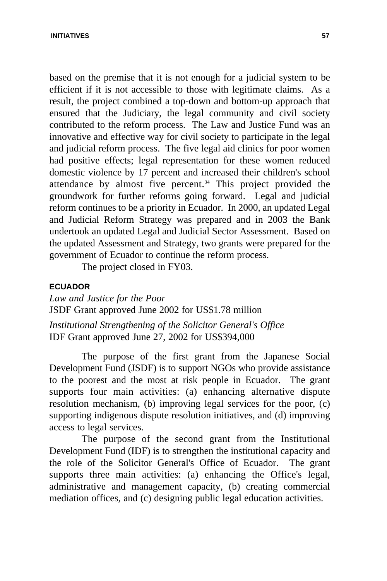based on the premise that it is not enough for a judicial system to be efficient if it is not accessible to those with legitimate claims. As a result, the project combined a top-down and bottom-up approach that ensured that the Judiciary, the legal community and civil society contributed to the reform process. The Law and Justice Fund was an innovative and effective way for civil society to participate in the legal and judicial reform process. The five legal aid clinics for poor women had positive effects; legal representation for these women reduced domestic violence by 17 percent and increased their children's school attendance by almost five percent. $34$  This project provided the groundwork for further reforms going forward. Legal and judicial reform continues to be a priority in Ecuador. In 2000, an updated Legal and Judicial Reform Strategy was prepared and in 2003 the Bank undertook an updated Legal and Judicial Sector Assessment. Based on the updated Assessment and Strategy, two grants were prepared for the government of Ecuador to continue the reform process.

The project closed in FY03.

### **ECUADOR**

*Law and Justice for the Poor* JSDF Grant approved June 2002 for US\$1.78 million *Institutional Strengthening of the Solicitor General's Office* IDF Grant approved June 27, 2002 for US\$394,000

The purpose of the first grant from the Japanese Social Development Fund (JSDF) is to support NGOs who provide assistance to the poorest and the most at risk people in Ecuador. The grant supports four main activities: (a) enhancing alternative dispute resolution mechanism, (b) improving legal services for the poor, (c) supporting indigenous dispute resolution initiatives, and (d) improving access to legal services.

The purpose of the second grant from the Institutional Development Fund (IDF) is to strengthen the institutional capacity and the role of the Solicitor General's Office of Ecuador. The grant supports three main activities: (a) enhancing the Office's legal, administrative and management capacity, (b) creating commercial mediation offices, and (c) designing public legal education activities.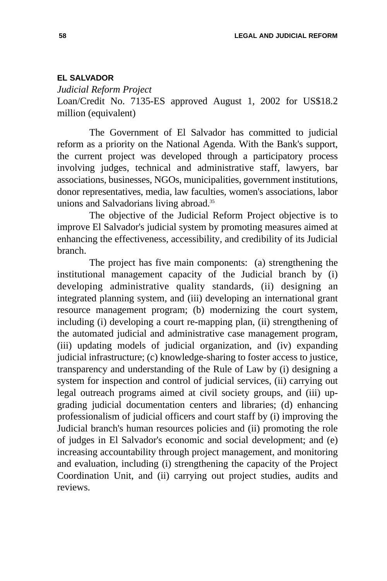## **EL SALVADOR**

*Judicial Reform Project* 

Loan/Credit No. 7135-ES approved August 1, 2002 for US\$18.2 million (equivalent)

The Government of El Salvador has committed to judicial reform as a priority on the National Agenda. With the Bank's support, the current project was developed through a participatory process involving judges, technical and administrative staff, lawyers, bar associations, businesses, NGOs, municipalities, government institutions, donor representatives, media, law faculties, women's associations, labor unions and Salvadorians living abroad.<sup>35</sup>

The objective of the Judicial Reform Project objective is to improve El Salvador's judicial system by promoting measures aimed at enhancing the effectiveness, accessibility, and credibility of its Judicial branch.

The project has five main components: (a) strengthening the institutional management capacity of the Judicial branch by (i) developing administrative quality standards, (ii) designing an integrated planning system, and (iii) developing an international grant resource management program; (b) modernizing the court system, including (i) developing a court re-mapping plan, (ii) strengthening of the automated judicial and administrative case management program, (iii) updating models of judicial organization, and (iv) expanding judicial infrastructure; (c) knowledge-sharing to foster access to justice, transparency and understanding of the Rule of Law by (i) designing a system for inspection and control of judicial services, (ii) carrying out legal outreach programs aimed at civil society groups, and (iii) upgrading judicial documentation centers and libraries; (d) enhancing professionalism of judicial officers and court staff by (i) improving the Judicial branch's human resources policies and (ii) promoting the role of judges in El Salvador's economic and social development; and (e) increasing accountability through project management, and monitoring and evaluation, including (i) strengthening the capacity of the Project Coordination Unit, and (ii) carrying out project studies, audits and reviews.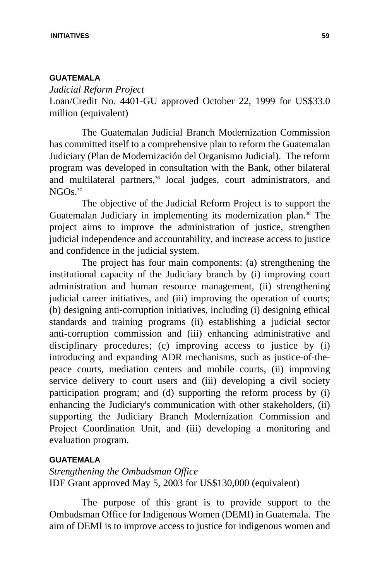# **GUATEMALA**

*Judicial Reform Project*  Loan/Credit No. 4401-GU approved October 22, 1999 for US\$33.0 million (equivalent)

The Guatemalan Judicial Branch Modernization Commission has committed itself to a comprehensive plan to reform the Guatemalan Judiciary (Plan de Modernización del Organismo Judicial). The reform program was developed in consultation with the Bank, other bilateral and multilateral partners,<sup>36</sup> local judges, court administrators, and  $NGOs.<sup>37</sup>$ 

The objective of the Judicial Reform Project is to support the Guatemalan Judiciary in implementing its modernization plan.<sup>38</sup> The project aims to improve the administration of justice, strengthen judicial independence and accountability, and increase access to justice and confidence in the judicial system.

The project has four main components: (a) strengthening the institutional capacity of the Judiciary branch by (i) improving court administration and human resource management, (ii) strengthening judicial career initiatives, and (iii) improving the operation of courts; (b) designing anti-corruption initiatives, including (i) designing ethical standards and training programs (ii) establishing a judicial sector anti-corruption commission and (iii) enhancing administrative and disciplinary procedures; (c) improving access to justice by (i) introducing and expanding ADR mechanisms, such as justice-of-thepeace courts, mediation centers and mobile courts, (ii) improving service delivery to court users and (iii) developing a civil society participation program; and (d) supporting the reform process by (i) enhancing the Judiciary's communication with other stakeholders, (ii) supporting the Judiciary Branch Modernization Commission and Project Coordination Unit, and (iii) developing a monitoring and evaluation program.

# **GUATEMALA**

*Strengthening the Ombudsman Office* IDF Grant approved May 5, 2003 for US\$130,000 (equivalent)

The purpose of this grant is to provide support to the Ombudsman Office for Indigenous Women (DEMI) in Guatemala. The aim of DEMI is to improve access to justice for indigenous women and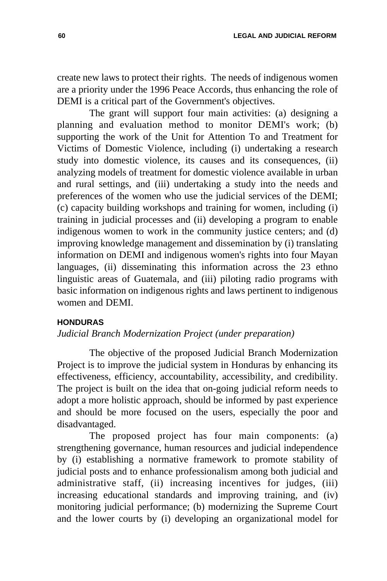create new laws to protect their rights. The needs of indigenous women are a priority under the 1996 Peace Accords, thus enhancing the role of DEMI is a critical part of the Government's objectives.

The grant will support four main activities: (a) designing a planning and evaluation method to monitor DEMI's work; (b) supporting the work of the Unit for Attention To and Treatment for Victims of Domestic Violence, including (i) undertaking a research study into domestic violence, its causes and its consequences, (ii) analyzing models of treatment for domestic violence available in urban and rural settings, and (iii) undertaking a study into the needs and preferences of the women who use the judicial services of the DEMI; (c) capacity building workshops and training for women, including (i) training in judicial processes and (ii) developing a program to enable indigenous women to work in the community justice centers; and (d) improving knowledge management and dissemination by (i) translating information on DEMI and indigenous women's rights into four Mayan languages, (ii) disseminating this information across the 23 ethno linguistic areas of Guatemala, and (iii) piloting radio programs with basic information on indigenous rights and laws pertinent to indigenous women and DEMI.

# **HONDURAS**

### *Judicial Branch Modernization Project (under preparation)*

The objective of the proposed Judicial Branch Modernization Project is to improve the judicial system in Honduras by enhancing its effectiveness, efficiency, accountability, accessibility, and credibility. The project is built on the idea that on-going judicial reform needs to adopt a more holistic approach, should be informed by past experience and should be more focused on the users, especially the poor and disadvantaged.

The proposed project has four main components: (a) strengthening governance, human resources and judicial independence by (i) establishing a normative framework to promote stability of judicial posts and to enhance professionalism among both judicial and administrative staff, (ii) increasing incentives for judges, (iii) increasing educational standards and improving training, and (iv) monitoring judicial performance; (b) modernizing the Supreme Court and the lower courts by (i) developing an organizational model for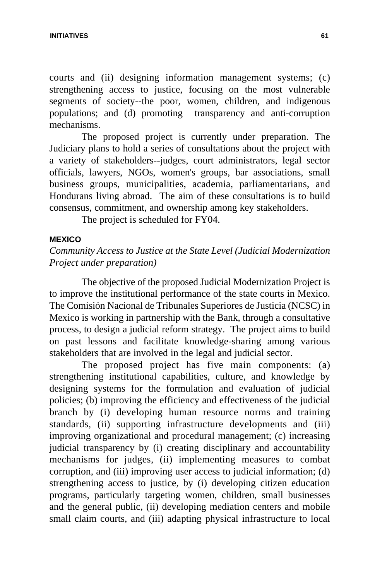courts and (ii) designing information management systems; (c) strengthening access to justice, focusing on the most vulnerable segments of society--the poor, women, children, and indigenous populations; and (d) promoting transparency and anti-corruption mechanisms.

The proposed project is currently under preparation. The Judiciary plans to hold a series of consultations about the project with a variety of stakeholders--judges, court administrators, legal sector officials, lawyers, NGOs, women's groups, bar associations, small business groups, municipalities, academia, parliamentarians, and Hondurans living abroad. The aim of these consultations is to build consensus, commitment, and ownership among key stakeholders.

The project is scheduled for FY04.

# **MEXICO**

# *Community Access to Justice at the State Level (Judicial Modernization Project under preparation)*

The objective of the proposed Judicial Modernization Project is to improve the institutional performance of the state courts in Mexico. The Comisión Nacional de Tribunales Superiores de Justicia (NCSC) in Mexico is working in partnership with the Bank, through a consultative process, to design a judicial reform strategy. The project aims to build on past lessons and facilitate knowledge-sharing among various stakeholders that are involved in the legal and judicial sector.

The proposed project has five main components: (a) strengthening institutional capabilities, culture, and knowledge by designing systems for the formulation and evaluation of judicial policies; (b) improving the efficiency and effectiveness of the judicial branch by (i) developing human resource norms and training standards, (ii) supporting infrastructure developments and (iii) improving organizational and procedural management; (c) increasing judicial transparency by (i) creating disciplinary and accountability mechanisms for judges, (ii) implementing measures to combat corruption, and (iii) improving user access to judicial information; (d) strengthening access to justice, by (i) developing citizen education programs, particularly targeting women, children, small businesses and the general public, (ii) developing mediation centers and mobile small claim courts, and (iii) adapting physical infrastructure to local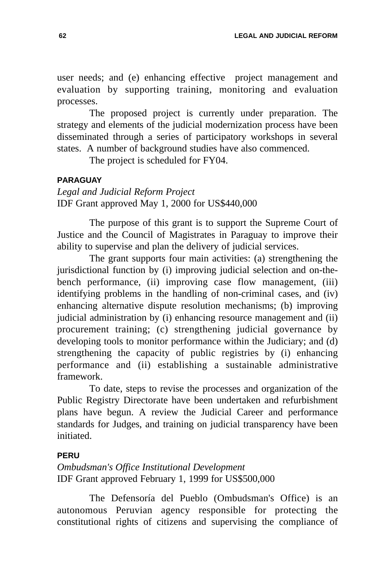user needs; and (e) enhancing effective project management and evaluation by supporting training, monitoring and evaluation processes.

The proposed project is currently under preparation. The strategy and elements of the judicial modernization process have been disseminated through a series of participatory workshops in several states. A number of background studies have also commenced.

The project is scheduled for FY04.

# **PARAGUAY**

*Legal and Judicial Reform Project* IDF Grant approved May 1, 2000 for US\$440,000

The purpose of this grant is to support the Supreme Court of Justice and the Council of Magistrates in Paraguay to improve their ability to supervise and plan the delivery of judicial services.

The grant supports four main activities: (a) strengthening the jurisdictional function by (i) improving judicial selection and on-thebench performance, (ii) improving case flow management, (iii) identifying problems in the handling of non-criminal cases, and (iv) enhancing alternative dispute resolution mechanisms; (b) improving judicial administration by (i) enhancing resource management and (ii) procurement training; (c) strengthening judicial governance by developing tools to monitor performance within the Judiciary; and (d) strengthening the capacity of public registries by (i) enhancing performance and (ii) establishing a sustainable administrative framework.

To date, steps to revise the processes and organization of the Public Registry Directorate have been undertaken and refurbishment plans have begun. A review the Judicial Career and performance standards for Judges, and training on judicial transparency have been initiated.

# **PERU**

*Ombudsman's Office Institutional Development*  IDF Grant approved February 1, 1999 for US\$500,000

The Defensoría del Pueblo (Ombudsman's Office) is an autonomous Peruvian agency responsible for protecting the constitutional rights of citizens and supervising the compliance of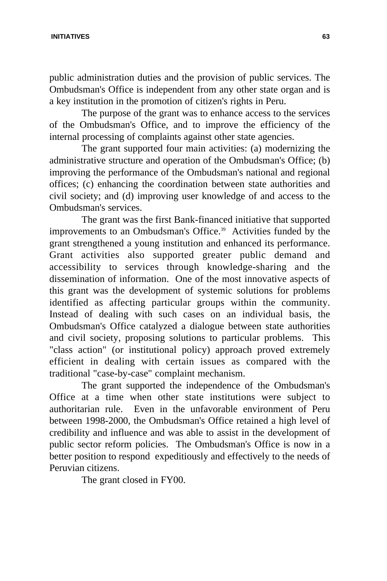#### **INITIATIVES 63**

public administration duties and the provision of public services. The Ombudsman's Office is independent from any other state organ and is a key institution in the promotion of citizen's rights in Peru.

The purpose of the grant was to enhance access to the services of the Ombudsman's Office, and to improve the efficiency of the internal processing of complaints against other state agencies.

The grant supported four main activities: (a) modernizing the administrative structure and operation of the Ombudsman's Office; (b) improving the performance of the Ombudsman's national and regional offices; (c) enhancing the coordination between state authorities and civil society; and (d) improving user knowledge of and access to the Ombudsman's services.

The grant was the first Bank-financed initiative that supported improvements to an Ombudsman's Office.<sup>39</sup> Activities funded by the grant strengthened a young institution and enhanced its performance. Grant activities also supported greater public demand and accessibility to services through knowledge-sharing and the dissemination of information. One of the most innovative aspects of this grant was the development of systemic solutions for problems identified as affecting particular groups within the community. Instead of dealing with such cases on an individual basis, the Ombudsman's Office catalyzed a dialogue between state authorities and civil society, proposing solutions to particular problems. This "class action" (or institutional policy) approach proved extremely efficient in dealing with certain issues as compared with the traditional "case-by-case" complaint mechanism.

The grant supported the independence of the Ombudsman's Office at a time when other state institutions were subject to authoritarian rule. Even in the unfavorable environment of Peru between 1998-2000, the Ombudsman's Office retained a high level of credibility and influence and was able to assist in the development of public sector reform policies. The Ombudsman's Office is now in a better position to respond expeditiously and effectively to the needs of Peruvian citizens.

The grant closed in FY00.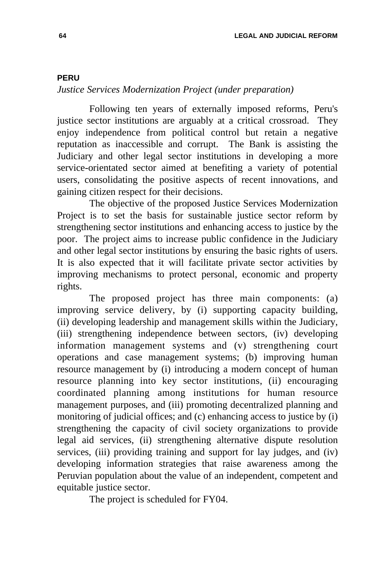#### **PERU**

# *Justice Services Modernization Project (under preparation)*

Following ten years of externally imposed reforms, Peru's justice sector institutions are arguably at a critical crossroad. They enjoy independence from political control but retain a negative reputation as inaccessible and corrupt. The Bank is assisting the Judiciary and other legal sector institutions in developing a more service-orientated sector aimed at benefiting a variety of potential users, consolidating the positive aspects of recent innovations, and gaining citizen respect for their decisions.

The objective of the proposed Justice Services Modernization Project is to set the basis for sustainable justice sector reform by strengthening sector institutions and enhancing access to justice by the poor. The project aims to increase public confidence in the Judiciary and other legal sector institutions by ensuring the basic rights of users. It is also expected that it will facilitate private sector activities by improving mechanisms to protect personal, economic and property rights.

The proposed project has three main components: (a) improving service delivery, by (i) supporting capacity building, (ii) developing leadership and management skills within the Judiciary, (iii) strengthening independence between sectors, (iv) developing information management systems and (v) strengthening court operations and case management systems; (b) improving human resource management by (i) introducing a modern concept of human resource planning into key sector institutions, (ii) encouraging coordinated planning among institutions for human resource management purposes, and (iii) promoting decentralized planning and monitoring of judicial offices; and (c) enhancing access to justice by (i) strengthening the capacity of civil society organizations to provide legal aid services, (ii) strengthening alternative dispute resolution services, (iii) providing training and support for lay judges, and (iv) developing information strategies that raise awareness among the Peruvian population about the value of an independent, competent and equitable justice sector.

The project is scheduled for FY04.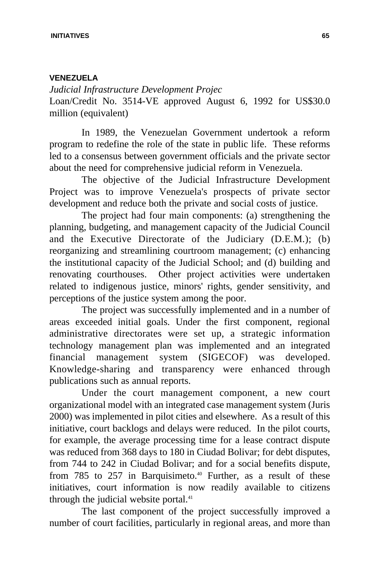### **VENEZUELA**

*Judicial Infrastructure Development Projec* Loan/Credit No. 3514-VE approved August 6, 1992 for US\$30.0 million (equivalent)

In 1989, the Venezuelan Government undertook a reform program to redefine the role of the state in public life. These reforms led to a consensus between government officials and the private sector about the need for comprehensive judicial reform in Venezuela.

The objective of the Judicial Infrastructure Development Project was to improve Venezuela's prospects of private sector development and reduce both the private and social costs of justice.

The project had four main components: (a) strengthening the planning, budgeting, and management capacity of the Judicial Council and the Executive Directorate of the Judiciary (D.E.M.); (b) reorganizing and streamlining courtroom management; (c) enhancing the institutional capacity of the Judicial School; and (d) building and renovating courthouses. Other project activities were undertaken related to indigenous justice, minors' rights, gender sensitivity, and perceptions of the justice system among the poor.

The project was successfully implemented and in a number of areas exceeded initial goals. Under the first component, regional administrative directorates were set up, a strategic information technology management plan was implemented and an integrated financial management system (SIGECOF) was developed. Knowledge-sharing and transparency were enhanced through publications such as annual reports.

Under the court management component, a new court organizational model with an integrated case management system (Juris 2000) was implemented in pilot cities and elsewhere. As a result of this initiative, court backlogs and delays were reduced. In the pilot courts, for example, the average processing time for a lease contract dispute was reduced from 368 days to 180 in Ciudad Bolivar; for debt disputes, from 744 to 242 in Ciudad Bolivar; and for a social benefits dispute, from 785 to 257 in Barquisimeto.<sup>40</sup> Further, as a result of these initiatives, court information is now readily available to citizens through the judicial website portal. $41$ 

The last component of the project successfully improved a number of court facilities, particularly in regional areas, and more than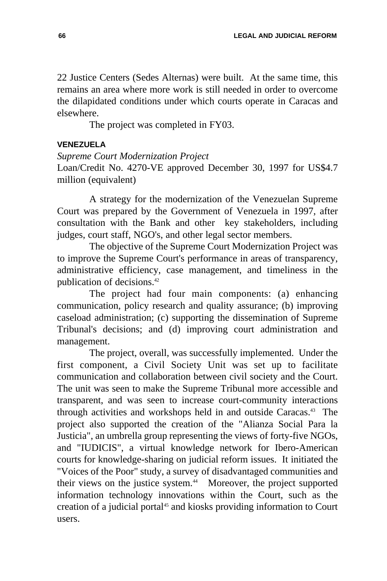22 Justice Centers (Sedes Alternas) were built. At the same time, this remains an area where more work is still needed in order to overcome the dilapidated conditions under which courts operate in Caracas and elsewhere.

The project was completed in FY03.

## **VENEZUELA**

## *Supreme Court Modernization Project*

Loan/Credit No. 4270-VE approved December 30, 1997 for US\$4.7 million (equivalent)

A strategy for the modernization of the Venezuelan Supreme Court was prepared by the Government of Venezuela in 1997, after consultation with the Bank and other key stakeholders, including judges, court staff, NGO's, and other legal sector members.

The objective of the Supreme Court Modernization Project was to improve the Supreme Court's performance in areas of transparency, administrative efficiency, case management, and timeliness in the publication of decisions.<sup>42</sup>

The project had four main components: (a) enhancing communication, policy research and quality assurance; (b) improving caseload administration; (c) supporting the dissemination of Supreme Tribunal's decisions; and (d) improving court administration and management.

The project, overall, was successfully implemented. Under the first component, a Civil Society Unit was set up to facilitate communication and collaboration between civil society and the Court. The unit was seen to make the Supreme Tribunal more accessible and transparent, and was seen to increase court-community interactions through activities and workshops held in and outside Caracas.<sup>43</sup> The project also supported the creation of the "Alianza Social Para la Justicia", an umbrella group representing the views of forty-five NGOs, and "IUDICIS", a virtual knowledge network for Ibero-American courts for knowledge-sharing on judicial reform issues. It initiated the "Voices of the Poor" study, a survey of disadvantaged communities and their views on the justice system.<sup>44</sup> Moreover, the project supported information technology innovations within the Court, such as the creation of a judicial portal<sup>45</sup> and kiosks providing information to Court users.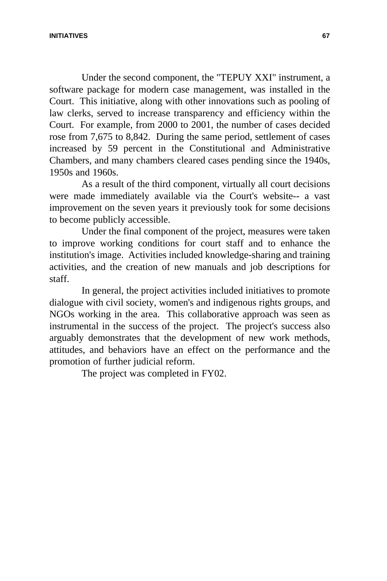Under the second component, the "TEPUY XXI" instrument, a software package for modern case management, was installed in the Court. This initiative, along with other innovations such as pooling of law clerks, served to increase transparency and efficiency within the Court. For example, from 2000 to 2001, the number of cases decided rose from 7,675 to 8,842. During the same period, settlement of cases increased by 59 percent in the Constitutional and Administrative Chambers, and many chambers cleared cases pending since the 1940s, 1950s and 1960s.

As a result of the third component, virtually all court decisions were made immediately available via the Court's website-- a vast improvement on the seven years it previously took for some decisions to become publicly accessible.

Under the final component of the project, measures were taken to improve working conditions for court staff and to enhance the institution's image. Activities included knowledge-sharing and training activities, and the creation of new manuals and job descriptions for staff.

In general, the project activities included initiatives to promote dialogue with civil society, women's and indigenous rights groups, and NGOs working in the area. This collaborative approach was seen as instrumental in the success of the project. The project's success also arguably demonstrates that the development of new work methods, attitudes, and behaviors have an effect on the performance and the promotion of further judicial reform.

The project was completed in FY02.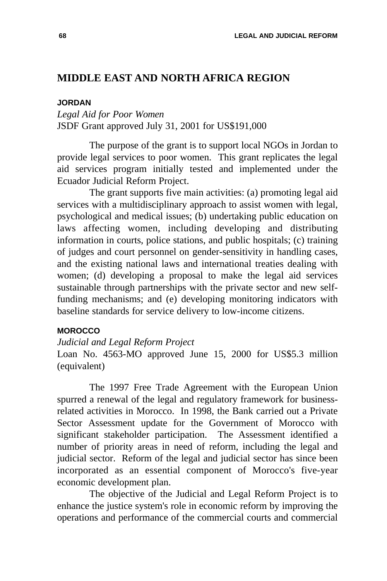## **MIDDLE EAST AND NORTH AFRICA REGION**

#### **JORDAN**

*Legal Aid for Poor Women* JSDF Grant approved July 31, 2001 for US\$191,000

The purpose of the grant is to support local NGOs in Jordan to provide legal services to poor women. This grant replicates the legal aid services program initially tested and implemented under the Ecuador Judicial Reform Project.

The grant supports five main activities: (a) promoting legal aid services with a multidisciplinary approach to assist women with legal, psychological and medical issues; (b) undertaking public education on laws affecting women, including developing and distributing information in courts, police stations, and public hospitals; (c) training of judges and court personnel on gender-sensitivity in handling cases, and the existing national laws and international treaties dealing with women; (d) developing a proposal to make the legal aid services sustainable through partnerships with the private sector and new selffunding mechanisms; and (e) developing monitoring indicators with baseline standards for service delivery to low-income citizens.

#### **MOROCCO**

#### *Judicial and Legal Reform Project*

Loan No. 4563-MO approved June 15, 2000 for US\$5.3 million (equivalent)

The 1997 Free Trade Agreement with the European Union spurred a renewal of the legal and regulatory framework for businessrelated activities in Morocco. In 1998, the Bank carried out a Private Sector Assessment update for the Government of Morocco with significant stakeholder participation. The Assessment identified a number of priority areas in need of reform, including the legal and judicial sector. Reform of the legal and judicial sector has since been incorporated as an essential component of Morocco's five-year economic development plan.

The objective of the Judicial and Legal Reform Project is to enhance the justice system's role in economic reform by improving the operations and performance of the commercial courts and commercial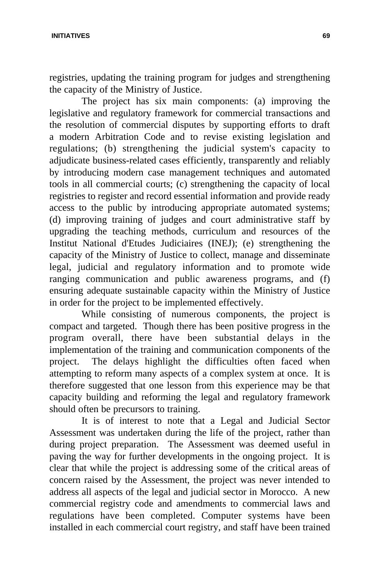**INITIATIVES 69**

registries, updating the training program for judges and strengthening the capacity of the Ministry of Justice.

The project has six main components: (a) improving the legislative and regulatory framework for commercial transactions and the resolution of commercial disputes by supporting efforts to draft a modern Arbitration Code and to revise existing legislation and regulations; (b) strengthening the judicial system's capacity to adjudicate business-related cases efficiently, transparently and reliably by introducing modern case management techniques and automated tools in all commercial courts; (c) strengthening the capacity of local registries to register and record essential information and provide ready access to the public by introducing appropriate automated systems; (d) improving training of judges and court administrative staff by upgrading the teaching methods, curriculum and resources of the Institut National d'Etudes Judiciaires (INEJ); (e) strengthening the capacity of the Ministry of Justice to collect, manage and disseminate legal, judicial and regulatory information and to promote wide ranging communication and public awareness programs, and (f) ensuring adequate sustainable capacity within the Ministry of Justice in order for the project to be implemented effectively.

While consisting of numerous components, the project is compact and targeted. Though there has been positive progress in the program overall, there have been substantial delays in the implementation of the training and communication components of the project. The delays highlight the difficulties often faced when attempting to reform many aspects of a complex system at once. It is therefore suggested that one lesson from this experience may be that capacity building and reforming the legal and regulatory framework should often be precursors to training.

It is of interest to note that a Legal and Judicial Sector Assessment was undertaken during the life of the project, rather than during project preparation. The Assessment was deemed useful in paving the way for further developments in the ongoing project. It is clear that while the project is addressing some of the critical areas of concern raised by the Assessment, the project was never intended to address all aspects of the legal and judicial sector in Morocco. A new commercial registry code and amendments to commercial laws and regulations have been completed. Computer systems have been installed in each commercial court registry, and staff have been trained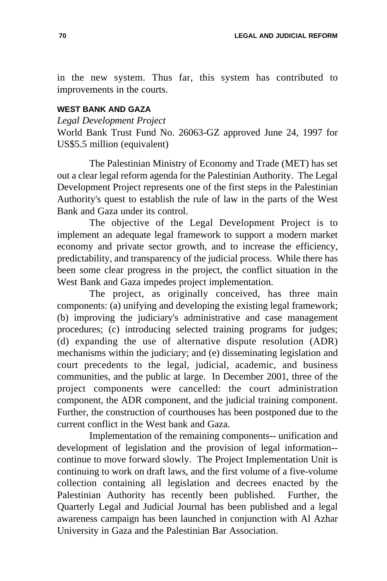in the new system. Thus far, this system has contributed to improvements in the courts.

### **WEST BANK AND GAZA**

*Legal Development Project* 

World Bank Trust Fund No. 26063-GZ approved June 24, 1997 for US\$5.5 million (equivalent)

The Palestinian Ministry of Economy and Trade (MET) has set out a clear legal reform agenda for the Palestinian Authority. The Legal Development Project represents one of the first steps in the Palestinian Authority's quest to establish the rule of law in the parts of the West Bank and Gaza under its control.

The objective of the Legal Development Project is to implement an adequate legal framework to support a modern market economy and private sector growth, and to increase the efficiency, predictability, and transparency of the judicial process. While there has been some clear progress in the project, the conflict situation in the West Bank and Gaza impedes project implementation.

The project, as originally conceived, has three main components: (a) unifying and developing the existing legal framework; (b) improving the judiciary's administrative and case management procedures; (c) introducing selected training programs for judges; (d) expanding the use of alternative dispute resolution (ADR) mechanisms within the judiciary; and (e) disseminating legislation and court precedents to the legal, judicial, academic, and business communities, and the public at large. In December 2001, three of the project components were cancelled: the court administration component, the ADR component, and the judicial training component. Further, the construction of courthouses has been postponed due to the current conflict in the West bank and Gaza.

Implementation of the remaining components-- unification and development of legislation and the provision of legal information- continue to move forward slowly. The Project Implementation Unit is continuing to work on draft laws, and the first volume of a five-volume collection containing all legislation and decrees enacted by the Palestinian Authority has recently been published. Further, the Quarterly Legal and Judicial Journal has been published and a legal awareness campaign has been launched in conjunction with Al Azhar University in Gaza and the Palestinian Bar Association.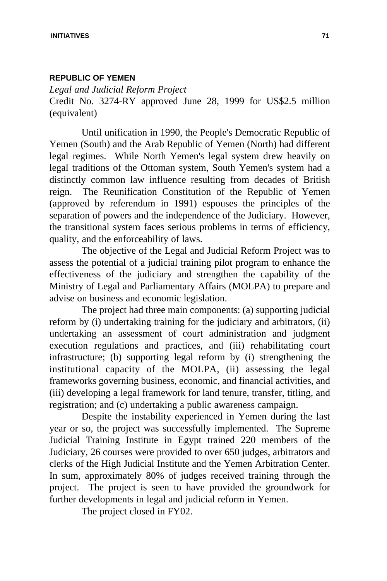#### **REPUBLIC OF YEMEN**

*Legal and Judicial Reform Project*  Credit No. 3274-RY approved June 28, 1999 for US\$2.5 million (equivalent)

Until unification in 1990, the People's Democratic Republic of Yemen (South) and the Arab Republic of Yemen (North) had different legal regimes. While North Yemen's legal system drew heavily on legal traditions of the Ottoman system, South Yemen's system had a distinctly common law influence resulting from decades of British reign. The Reunification Constitution of the Republic of Yemen (approved by referendum in 1991) espouses the principles of the separation of powers and the independence of the Judiciary. However, the transitional system faces serious problems in terms of efficiency, quality, and the enforceability of laws.

The objective of the Legal and Judicial Reform Project was to assess the potential of a judicial training pilot program to enhance the effectiveness of the judiciary and strengthen the capability of the Ministry of Legal and Parliamentary Affairs (MOLPA) to prepare and advise on business and economic legislation.

The project had three main components: (a) supporting judicial reform by (i) undertaking training for the judiciary and arbitrators, (ii) undertaking an assessment of court administration and judgment execution regulations and practices, and (iii) rehabilitating court infrastructure; (b) supporting legal reform by (i) strengthening the institutional capacity of the MOLPA, (ii) assessing the legal frameworks governing business, economic, and financial activities, and (iii) developing a legal framework for land tenure, transfer, titling, and registration; and (c) undertaking a public awareness campaign.

Despite the instability experienced in Yemen during the last year or so, the project was successfully implemented. The Supreme Judicial Training Institute in Egypt trained 220 members of the Judiciary, 26 courses were provided to over 650 judges, arbitrators and clerks of the High Judicial Institute and the Yemen Arbitration Center. In sum, approximately 80% of judges received training through the project. The project is seen to have provided the groundwork for further developments in legal and judicial reform in Yemen.

The project closed in FY02.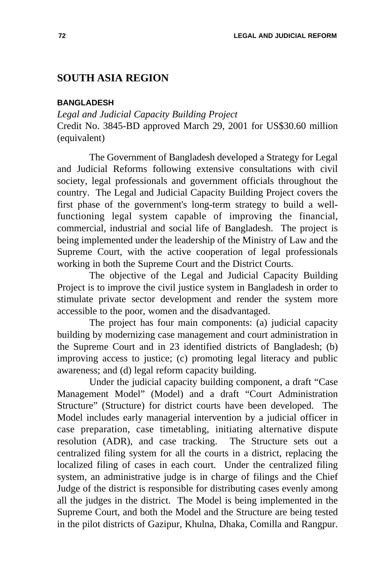## **SOUTH ASIA REGION**

#### **BANGLADESH**

*Legal and Judicial Capacity Building Project*  Credit No. 3845-BD approved March 29, 2001 for US\$30.60 million (equivalent)

The Government of Bangladesh developed a Strategy for Legal and Judicial Reforms following extensive consultations with civil society, legal professionals and government officials throughout the country. The Legal and Judicial Capacity Building Project covers the first phase of the government's long-term strategy to build a wellfunctioning legal system capable of improving the financial, commercial, industrial and social life of Bangladesh. The project is being implemented under the leadership of the Ministry of Law and the Supreme Court, with the active cooperation of legal professionals working in both the Supreme Court and the District Courts.

The objective of the Legal and Judicial Capacity Building Project is to improve the civil justice system in Bangladesh in order to stimulate private sector development and render the system more accessible to the poor, women and the disadvantaged.

The project has four main components: (a) judicial capacity building by modernizing case management and court administration in the Supreme Court and in 23 identified districts of Bangladesh; (b) improving access to justice; (c) promoting legal literacy and public awareness; and (d) legal reform capacity building.

Under the judicial capacity building component, a draft "Case Management Model" (Model) and a draft "Court Administration Structure" (Structure) for district courts have been developed. The Model includes early managerial intervention by a judicial officer in case preparation, case timetabling, initiating alternative dispute resolution (ADR), and case tracking. The Structure sets out a centralized filing system for all the courts in a district, replacing the localized filing of cases in each court. Under the centralized filing system, an administrative judge is in charge of filings and the Chief Judge of the district is responsible for distributing cases evenly among all the judges in the district. The Model is being implemented in the Supreme Court, and both the Model and the Structure are being tested in the pilot districts of Gazipur, Khulna, Dhaka, Comilla and Rangpur.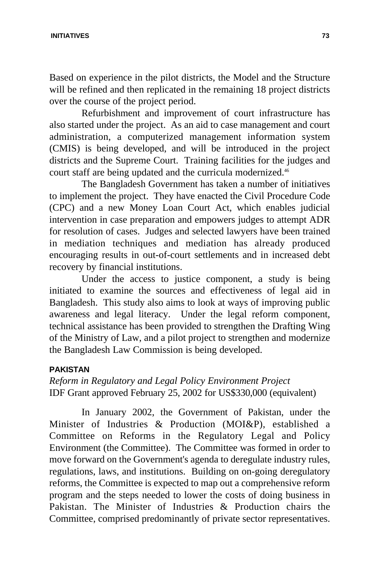#### **INITIATIVES 73**

Based on experience in the pilot districts, the Model and the Structure will be refined and then replicated in the remaining 18 project districts over the course of the project period.

Refurbishment and improvement of court infrastructure has also started under the project. As an aid to case management and court administration, a computerized management information system (CMIS) is being developed, and will be introduced in the project districts and the Supreme Court. Training facilities for the judges and court staff are being updated and the curricula modernized.<sup>46</sup>

The Bangladesh Government has taken a number of initiatives to implement the project. They have enacted the Civil Procedure Code (CPC) and a new Money Loan Court Act, which enables judicial intervention in case preparation and empowers judges to attempt ADR for resolution of cases. Judges and selected lawyers have been trained in mediation techniques and mediation has already produced encouraging results in out-of-court settlements and in increased debt recovery by financial institutions.

Under the access to justice component, a study is being initiated to examine the sources and effectiveness of legal aid in Bangladesh. This study also aims to look at ways of improving public awareness and legal literacy. Under the legal reform component, technical assistance has been provided to strengthen the Drafting Wing of the Ministry of Law, and a pilot project to strengthen and modernize the Bangladesh Law Commission is being developed.

## **PAKISTAN**

*Reform in Regulatory and Legal Policy Environment Project*  IDF Grant approved February 25, 2002 for US\$330,000 (equivalent)

In January 2002, the Government of Pakistan, under the Minister of Industries & Production (MOI&P), established a Committee on Reforms in the Regulatory Legal and Policy Environment (the Committee). The Committee was formed in order to move forward on the Government's agenda to deregulate industry rules, regulations, laws, and institutions. Building on on-going deregulatory reforms, the Committee is expected to map out a comprehensive reform program and the steps needed to lower the costs of doing business in Pakistan. The Minister of Industries & Production chairs the Committee, comprised predominantly of private sector representatives.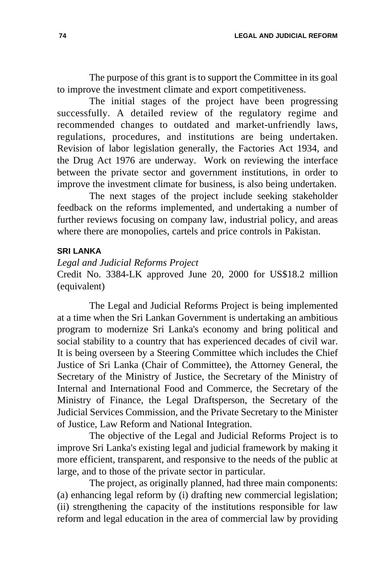The purpose of this grant is to support the Committee in its goal to improve the investment climate and export competitiveness.

The initial stages of the project have been progressing successfully. A detailed review of the regulatory regime and recommended changes to outdated and market-unfriendly laws, regulations, procedures, and institutions are being undertaken. Revision of labor legislation generally, the Factories Act 1934, and the Drug Act 1976 are underway. Work on reviewing the interface between the private sector and government institutions, in order to improve the investment climate for business, is also being undertaken.

The next stages of the project include seeking stakeholder feedback on the reforms implemented, and undertaking a number of further reviews focusing on company law, industrial policy, and areas where there are monopolies, cartels and price controls in Pakistan.

## **SRI LANKA**

*Legal and Judicial Reforms Project*  Credit No. 3384-LK approved June 20, 2000 for US\$18.2 million (equivalent)

The Legal and Judicial Reforms Project is being implemented at a time when the Sri Lankan Government is undertaking an ambitious program to modernize Sri Lanka's economy and bring political and social stability to a country that has experienced decades of civil war. It is being overseen by a Steering Committee which includes the Chief Justice of Sri Lanka (Chair of Committee), the Attorney General, the Secretary of the Ministry of Justice, the Secretary of the Ministry of Internal and International Food and Commerce, the Secretary of the Ministry of Finance, the Legal Draftsperson, the Secretary of the Judicial Services Commission, and the Private Secretary to the Minister of Justice, Law Reform and National Integration.

The objective of the Legal and Judicial Reforms Project is to improve Sri Lanka's existing legal and judicial framework by making it more efficient, transparent, and responsive to the needs of the public at large, and to those of the private sector in particular.

The project, as originally planned, had three main components: (a) enhancing legal reform by (i) drafting new commercial legislation; (ii) strengthening the capacity of the institutions responsible for law reform and legal education in the area of commercial law by providing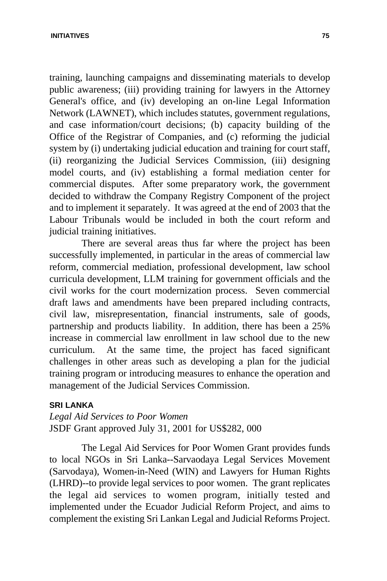training, launching campaigns and disseminating materials to develop public awareness; (iii) providing training for lawyers in the Attorney General's office, and (iv) developing an on-line Legal Information Network (LAWNET), which includes statutes, government regulations, and case information/court decisions; (b) capacity building of the Office of the Registrar of Companies, and (c) reforming the judicial system by (i) undertaking judicial education and training for court staff, (ii) reorganizing the Judicial Services Commission, (iii) designing model courts, and (iv) establishing a formal mediation center for commercial disputes. After some preparatory work, the government decided to withdraw the Company Registry Component of the project and to implement it separately. It was agreed at the end of 2003 that the Labour Tribunals would be included in both the court reform and judicial training initiatives.

There are several areas thus far where the project has been successfully implemented, in particular in the areas of commercial law reform, commercial mediation, professional development, law school curricula development, LLM training for government officials and the civil works for the court modernization process. Seven commercial draft laws and amendments have been prepared including contracts, civil law, misrepresentation, financial instruments, sale of goods, partnership and products liability. In addition, there has been a 25% increase in commercial law enrollment in law school due to the new curriculum. At the same time, the project has faced significant challenges in other areas such as developing a plan for the judicial training program or introducing measures to enhance the operation and management of the Judicial Services Commission.

## **SRI LANKA**

*Legal Aid Services to Poor Women* JSDF Grant approved July 31, 2001 for US\$282, 000

The Legal Aid Services for Poor Women Grant provides funds to local NGOs in Sri Lanka--Sarvaodaya Legal Services Movement (Sarvodaya), Women-in-Need (WIN) and Lawyers for Human Rights (LHRD)--to provide legal services to poor women. The grant replicates the legal aid services to women program, initially tested and implemented under the Ecuador Judicial Reform Project, and aims to complement the existing Sri Lankan Legal and Judicial Reforms Project.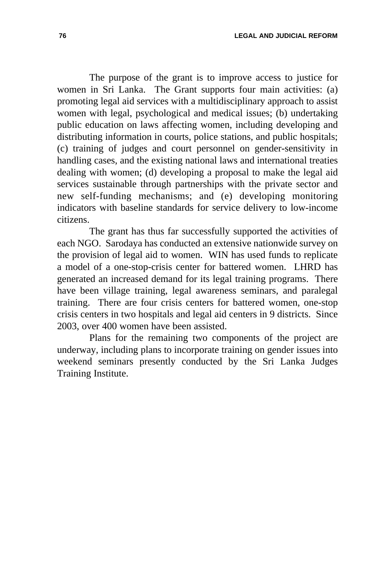**76 LEGAL AND JUDICIAL REFORM**

The purpose of the grant is to improve access to justice for women in Sri Lanka. The Grant supports four main activities: (a) promoting legal aid services with a multidisciplinary approach to assist women with legal, psychological and medical issues; (b) undertaking public education on laws affecting women, including developing and distributing information in courts, police stations, and public hospitals; (c) training of judges and court personnel on gender-sensitivity in handling cases, and the existing national laws and international treaties dealing with women; (d) developing a proposal to make the legal aid services sustainable through partnerships with the private sector and new self-funding mechanisms; and (e) developing monitoring indicators with baseline standards for service delivery to low-income citizens.

The grant has thus far successfully supported the activities of each NGO. Sarodaya has conducted an extensive nationwide survey on the provision of legal aid to women. WIN has used funds to replicate a model of a one-stop-crisis center for battered women. LHRD has generated an increased demand for its legal training programs. There have been village training, legal awareness seminars, and paralegal training. There are four crisis centers for battered women, one-stop crisis centers in two hospitals and legal aid centers in 9 districts. Since 2003, over 400 women have been assisted.

Plans for the remaining two components of the project are underway, including plans to incorporate training on gender issues into weekend seminars presently conducted by the Sri Lanka Judges Training Institute.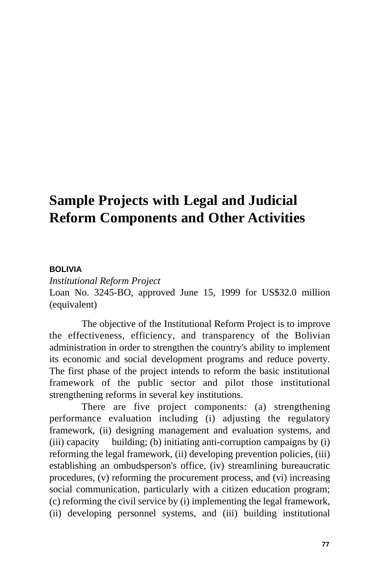# **Sample Projects with Legal and Judicial Reform Components and Other Activities**

## **BOLIVIA**

*Institutional Reform Project*  Loan No. 3245-BO, approved June 15, 1999 for US\$32.0 million (equivalent)

The objective of the Institutional Reform Project is to improve the effectiveness, efficiency, and transparency of the Bolivian administration in order to strengthen the country's ability to implement its economic and social development programs and reduce poverty. The first phase of the project intends to reform the basic institutional framework of the public sector and pilot those institutional strengthening reforms in several key institutions.

There are five project components: (a) strengthening performance evaluation including (i) adjusting the regulatory framework, (ii) designing management and evaluation systems, and (iii) capacity building; (b) initiating anti-corruption campaigns by (i) reforming the legal framework, (ii) developing prevention policies, (iii) establishing an ombudsperson's office, (iv) streamlining bureaucratic procedures, (v) reforming the procurement process, and (vi) increasing social communication, particularly with a citizen education program; (c) reforming the civil service by (i) implementing the legal framework, (ii) developing personnel systems, and (iii) building institutional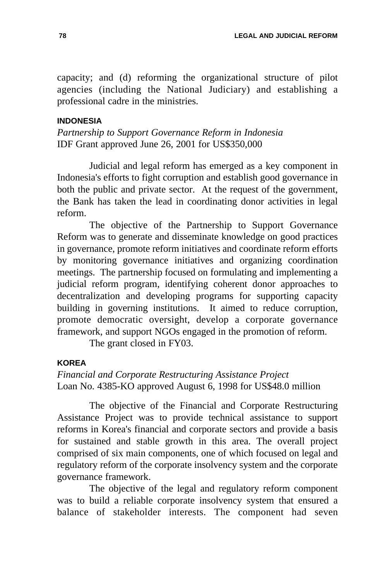capacity; and (d) reforming the organizational structure of pilot agencies (including the National Judiciary) and establishing a professional cadre in the ministries.

#### **INDONESIA**

*Partnership to Support Governance Reform in Indonesia* IDF Grant approved June 26, 2001 for US\$350,000

Judicial and legal reform has emerged as a key component in Indonesia's efforts to fight corruption and establish good governance in both the public and private sector. At the request of the government, the Bank has taken the lead in coordinating donor activities in legal reform.

The objective of the Partnership to Support Governance Reform was to generate and disseminate knowledge on good practices in governance, promote reform initiatives and coordinate reform efforts by monitoring governance initiatives and organizing coordination meetings. The partnership focused on formulating and implementing a judicial reform program, identifying coherent donor approaches to decentralization and developing programs for supporting capacity building in governing institutions. It aimed to reduce corruption, promote democratic oversight, develop a corporate governance framework, and support NGOs engaged in the promotion of reform.

The grant closed in FY03.

#### **KOREA**

*Financial and Corporate Restructuring Assistance Project*  Loan No. 4385-KO approved August 6, 1998 for US\$48.0 million

The objective of the Financial and Corporate Restructuring Assistance Project was to provide technical assistance to support reforms in Korea's financial and corporate sectors and provide a basis for sustained and stable growth in this area. The overall project comprised of six main components, one of which focused on legal and regulatory reform of the corporate insolvency system and the corporate governance framework.

The objective of the legal and regulatory reform component was to build a reliable corporate insolvency system that ensured a balance of stakeholder interests. The component had seven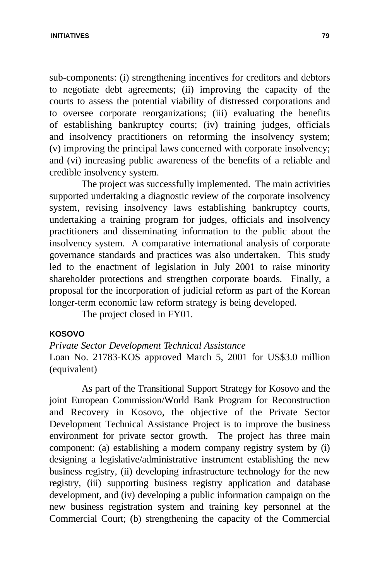**INITIATIVES 79**

sub-components: (i) strengthening incentives for creditors and debtors to negotiate debt agreements; (ii) improving the capacity of the courts to assess the potential viability of distressed corporations and to oversee corporate reorganizations; (iii) evaluating the benefits of establishing bankruptcy courts; (iv) training judges, officials and insolvency practitioners on reforming the insolvency system; (v) improving the principal laws concerned with corporate insolvency; and (vi) increasing public awareness of the benefits of a reliable and credible insolvency system.

The project was successfully implemented. The main activities supported undertaking a diagnostic review of the corporate insolvency system, revising insolvency laws establishing bankruptcy courts, undertaking a training program for judges, officials and insolvency practitioners and disseminating information to the public about the insolvency system. A comparative international analysis of corporate governance standards and practices was also undertaken. This study led to the enactment of legislation in July 2001 to raise minority shareholder protections and strengthen corporate boards. Finally, a proposal for the incorporation of judicial reform as part of the Korean longer-term economic law reform strategy is being developed.

The project closed in FY01.

#### **KOSOVO**

*Private Sector Development Technical Assistance* Loan No. 21783-KOS approved March 5, 2001 for US\$3.0 million (equivalent)

As part of the Transitional Support Strategy for Kosovo and the joint European Commission/World Bank Program for Reconstruction and Recovery in Kosovo, the objective of the Private Sector Development Technical Assistance Project is to improve the business environment for private sector growth. The project has three main component: (a) establishing a modern company registry system by (i) designing a legislative/administrative instrument establishing the new business registry, (ii) developing infrastructure technology for the new registry, (iii) supporting business registry application and database development, and (iv) developing a public information campaign on the new business registration system and training key personnel at the Commercial Court; (b) strengthening the capacity of the Commercial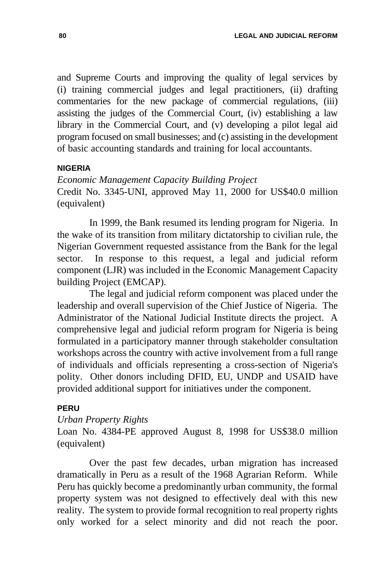and Supreme Courts and improving the quality of legal services by (i) training commercial judges and legal practitioners, (ii) drafting commentaries for the new package of commercial regulations, (iii) assisting the judges of the Commercial Court, (iv) establishing a law library in the Commercial Court, and (v) developing a pilot legal aid program focused on small businesses; and (c) assisting in the development of basic accounting standards and training for local accountants.

#### **NIGERIA**

*Economic Management Capacity Building Project* Credit No. 3345-UNI, approved May 11, 2000 for US\$40.0 million (equivalent)

In 1999, the Bank resumed its lending program for Nigeria. In the wake of its transition from military dictatorship to civilian rule, the Nigerian Government requested assistance from the Bank for the legal sector. In response to this request, a legal and judicial reform component (LJR) was included in the Economic Management Capacity building Project (EMCAP).

The legal and judicial reform component was placed under the leadership and overall supervision of the Chief Justice of Nigeria. The Administrator of the National Judicial Institute directs the project. A comprehensive legal and judicial reform program for Nigeria is being formulated in a participatory manner through stakeholder consultation workshops across the country with active involvement from a full range of individuals and officials representing a cross-section of Nigeria's polity. Other donors including DFID, EU, UNDP and USAID have provided additional support for initiatives under the component.

#### **PERU**

#### *Urban Property Rights*

Loan No. 4384-PE approved August 8, 1998 for US\$38.0 million (equivalent)

Over the past few decades, urban migration has increased dramatically in Peru as a result of the 1968 Agrarian Reform. While Peru has quickly become a predominantly urban community, the formal property system was not designed to effectively deal with this new reality. The system to provide formal recognition to real property rights only worked for a select minority and did not reach the poor.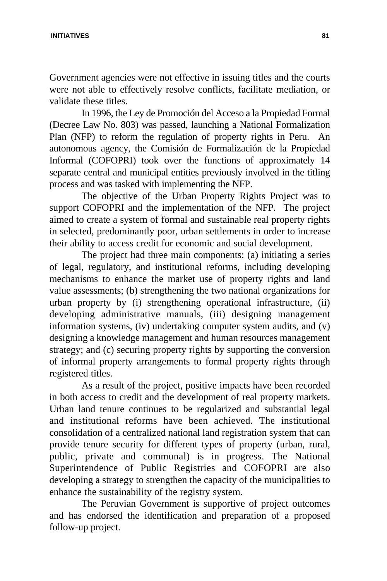#### **INITIATIVES 81**

Government agencies were not effective in issuing titles and the courts were not able to effectively resolve conflicts, facilitate mediation, or validate these titles.

In 1996, the Ley de Promoción del Acceso a la Propiedad Formal (Decree Law No. 803) was passed, launching a National Formalization Plan (NFP) to reform the regulation of property rights in Peru. An autonomous agency, the Comisión de Formalización de la Propiedad Informal (COFOPRI) took over the functions of approximately 14 separate central and municipal entities previously involved in the titling process and was tasked with implementing the NFP.

The objective of the Urban Property Rights Project was to support COFOPRI and the implementation of the NFP. The project aimed to create a system of formal and sustainable real property rights in selected, predominantly poor, urban settlements in order to increase their ability to access credit for economic and social development.

The project had three main components: (a) initiating a series of legal, regulatory, and institutional reforms, including developing mechanisms to enhance the market use of property rights and land value assessments; (b) strengthening the two national organizations for urban property by (i) strengthening operational infrastructure, (ii) developing administrative manuals, (iii) designing management information systems, (iv) undertaking computer system audits, and (v) designing a knowledge management and human resources management strategy; and (c) securing property rights by supporting the conversion of informal property arrangements to formal property rights through registered titles.

As a result of the project, positive impacts have been recorded in both access to credit and the development of real property markets. Urban land tenure continues to be regularized and substantial legal and institutional reforms have been achieved. The institutional consolidation of a centralized national land registration system that can provide tenure security for different types of property (urban, rural, public, private and communal) is in progress. The National Superintendence of Public Registries and COFOPRI are also developing a strategy to strengthen the capacity of the municipalities to enhance the sustainability of the registry system.

The Peruvian Government is supportive of project outcomes and has endorsed the identification and preparation of a proposed follow-up project.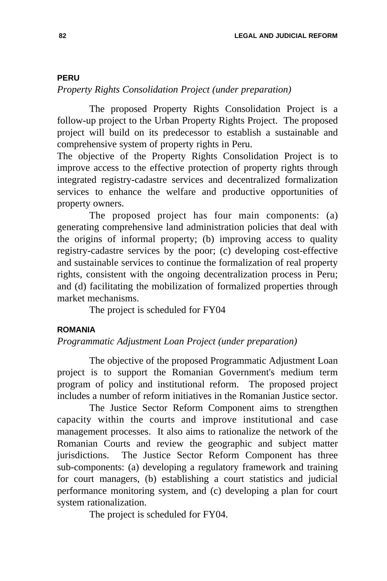#### **PERU**

#### *Property Rights Consolidation Project (under preparation)*

The proposed Property Rights Consolidation Project is a follow-up project to the Urban Property Rights Project. The proposed project will build on its predecessor to establish a sustainable and comprehensive system of property rights in Peru.

The objective of the Property Rights Consolidation Project is to improve access to the effective protection of property rights through integrated registry-cadastre services and decentralized formalization services to enhance the welfare and productive opportunities of property owners.

The proposed project has four main components: (a) generating comprehensive land administration policies that deal with the origins of informal property; (b) improving access to quality registry-cadastre services by the poor; (c) developing cost-effective and sustainable services to continue the formalization of real property rights, consistent with the ongoing decentralization process in Peru; and (d) facilitating the mobilization of formalized properties through market mechanisms.

The project is scheduled for FY04

#### **ROMANIA**

*Programmatic Adjustment Loan Project (under preparation)*

The objective of the proposed Programmatic Adjustment Loan project is to support the Romanian Government's medium term program of policy and institutional reform. The proposed project includes a number of reform initiatives in the Romanian Justice sector.

The Justice Sector Reform Component aims to strengthen capacity within the courts and improve institutional and case management processes. It also aims to rationalize the network of the Romanian Courts and review the geographic and subject matter jurisdictions. The Justice Sector Reform Component has three sub-components: (a) developing a regulatory framework and training for court managers, (b) establishing a court statistics and judicial performance monitoring system, and (c) developing a plan for court system rationalization.

The project is scheduled for FY04.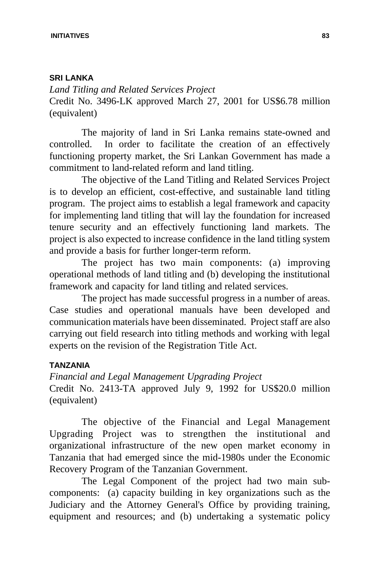#### **SRI LANKA**

*Land Titling and Related Services Project*  Credit No. 3496-LK approved March 27, 2001 for US\$6.78 million (equivalent)

The majority of land in Sri Lanka remains state-owned and controlled. In order to facilitate the creation of an effectively functioning property market, the Sri Lankan Government has made a commitment to land-related reform and land titling.

The objective of the Land Titling and Related Services Project is to develop an efficient, cost-effective, and sustainable land titling program. The project aims to establish a legal framework and capacity for implementing land titling that will lay the foundation for increased tenure security and an effectively functioning land markets. The project is also expected to increase confidence in the land titling system and provide a basis for further longer-term reform.

The project has two main components: (a) improving operational methods of land titling and (b) developing the institutional framework and capacity for land titling and related services.

The project has made successful progress in a number of areas. Case studies and operational manuals have been developed and communication materials have been disseminated. Project staff are also carrying out field research into titling methods and working with legal experts on the revision of the Registration Title Act.

#### **TANZANIA**

*Financial and Legal Management Upgrading Project* Credit No. 2413-TA approved July 9, 1992 for US\$20.0 million (equivalent)

The objective of the Financial and Legal Management Upgrading Project was to strengthen the institutional and organizational infrastructure of the new open market economy in Tanzania that had emerged since the mid-1980s under the Economic Recovery Program of the Tanzanian Government.

The Legal Component of the project had two main subcomponents: (a) capacity building in key organizations such as the Judiciary and the Attorney General's Office by providing training, equipment and resources; and (b) undertaking a systematic policy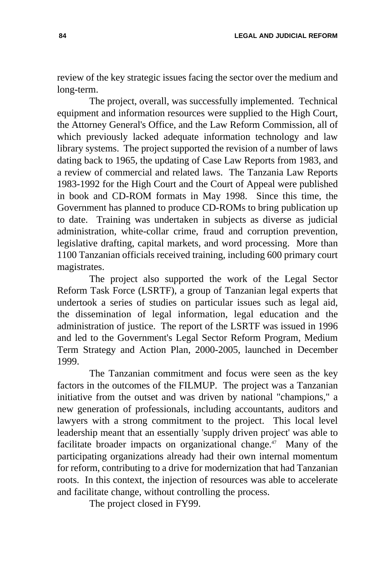review of the key strategic issues facing the sector over the medium and long-term.

The project, overall, was successfully implemented. Technical equipment and information resources were supplied to the High Court, the Attorney General's Office, and the Law Reform Commission, all of which previously lacked adequate information technology and law library systems. The project supported the revision of a number of laws dating back to 1965, the updating of Case Law Reports from 1983, and a review of commercial and related laws. The Tanzania Law Reports 1983-1992 for the High Court and the Court of Appeal were published in book and CD-ROM formats in May 1998. Since this time, the Government has planned to produce CD-ROMs to bring publication up to date. Training was undertaken in subjects as diverse as judicial administration, white-collar crime, fraud and corruption prevention, legislative drafting, capital markets, and word processing. More than 1100 Tanzanian officials received training, including 600 primary court magistrates.

The project also supported the work of the Legal Sector Reform Task Force (LSRTF), a group of Tanzanian legal experts that undertook a series of studies on particular issues such as legal aid, the dissemination of legal information, legal education and the administration of justice. The report of the LSRTF was issued in 1996 and led to the Government's Legal Sector Reform Program, Medium Term Strategy and Action Plan, 2000-2005, launched in December 1999.

The Tanzanian commitment and focus were seen as the key factors in the outcomes of the FILMUP. The project was a Tanzanian initiative from the outset and was driven by national "champions," a new generation of professionals, including accountants, auditors and lawyers with a strong commitment to the project. This local level leadership meant that an essentially 'supply driven project' was able to facilitate broader impacts on organizational change.<sup>47</sup> Many of the participating organizations already had their own internal momentum for reform, contributing to a drive for modernization that had Tanzanian roots. In this context, the injection of resources was able to accelerate and facilitate change, without controlling the process.

The project closed in FY99.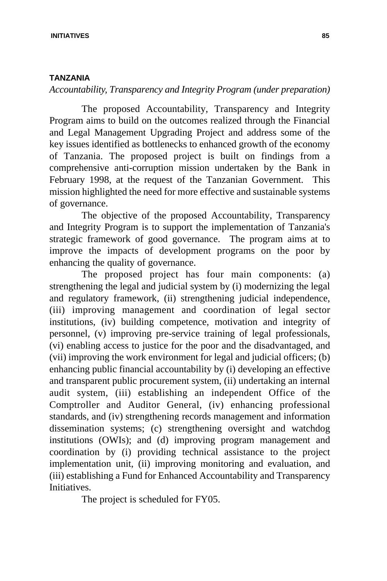#### **TANZANIA**

*Accountability, Transparency and Integrity Program (under preparation)*

The proposed Accountability, Transparency and Integrity Program aims to build on the outcomes realized through the Financial and Legal Management Upgrading Project and address some of the key issues identified as bottlenecks to enhanced growth of the economy of Tanzania. The proposed project is built on findings from a comprehensive anti-corruption mission undertaken by the Bank in February 1998, at the request of the Tanzanian Government. This mission highlighted the need for more effective and sustainable systems of governance.

The objective of the proposed Accountability, Transparency and Integrity Program is to support the implementation of Tanzania's strategic framework of good governance. The program aims at to improve the impacts of development programs on the poor by enhancing the quality of governance.

The proposed project has four main components: (a) strengthening the legal and judicial system by (i) modernizing the legal and regulatory framework, (ii) strengthening judicial independence, (iii) improving management and coordination of legal sector institutions, (iv) building competence, motivation and integrity of personnel, (v) improving pre-service training of legal professionals, (vi) enabling access to justice for the poor and the disadvantaged, and (vii) improving the work environment for legal and judicial officers; (b) enhancing public financial accountability by (i) developing an effective and transparent public procurement system, (ii) undertaking an internal audit system, (iii) establishing an independent Office of the Comptroller and Auditor General, (iv) enhancing professional standards, and (iv) strengthening records management and information dissemination systems; (c) strengthening oversight and watchdog institutions (OWIs); and (d) improving program management and coordination by (i) providing technical assistance to the project implementation unit, (ii) improving monitoring and evaluation, and (iii) establishing a Fund for Enhanced Accountability and Transparency Initiatives.

The project is scheduled for FY05.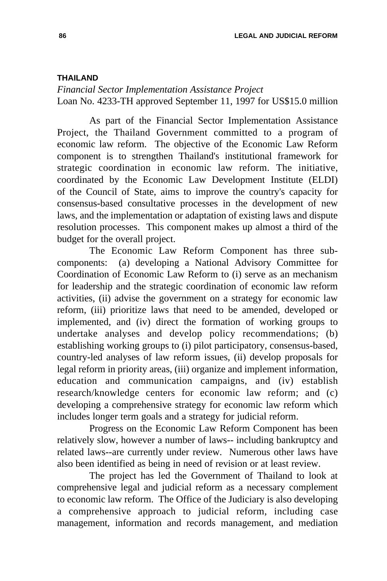#### **THAILAND**

*Financial Sector Implementation Assistance Project*  Loan No. 4233-TH approved September 11, 1997 for US\$15.0 million

As part of the Financial Sector Implementation Assistance Project, the Thailand Government committed to a program of economic law reform. The objective of the Economic Law Reform component is to strengthen Thailand's institutional framework for strategic coordination in economic law reform. The initiative, coordinated by the Economic Law Development Institute (ELDI) of the Council of State, aims to improve the country's capacity for consensus-based consultative processes in the development of new laws, and the implementation or adaptation of existing laws and dispute resolution processes. This component makes up almost a third of the budget for the overall project.

The Economic Law Reform Component has three subcomponents: (a) developing a National Advisory Committee for Coordination of Economic Law Reform to (i) serve as an mechanism for leadership and the strategic coordination of economic law reform activities, (ii) advise the government on a strategy for economic law reform, (iii) prioritize laws that need to be amended, developed or implemented, and (iv) direct the formation of working groups to undertake analyses and develop policy recommendations; (b) establishing working groups to (i) pilot participatory, consensus-based, country-led analyses of law reform issues, (ii) develop proposals for legal reform in priority areas, (iii) organize and implement information, education and communication campaigns, and (iv) establish research/knowledge centers for economic law reform; and (c) developing a comprehensive strategy for economic law reform which includes longer term goals and a strategy for judicial reform.

Progress on the Economic Law Reform Component has been relatively slow, however a number of laws-- including bankruptcy and related laws--are currently under review. Numerous other laws have also been identified as being in need of revision or at least review.

The project has led the Government of Thailand to look at comprehensive legal and judicial reform as a necessary complement to economic law reform. The Office of the Judiciary is also developing a comprehensive approach to judicial reform, including case management, information and records management, and mediation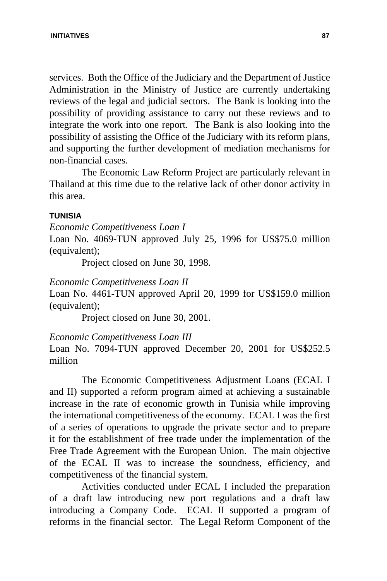services. Both the Office of the Judiciary and the Department of Justice Administration in the Ministry of Justice are currently undertaking reviews of the legal and judicial sectors. The Bank is looking into the possibility of providing assistance to carry out these reviews and to integrate the work into one report. The Bank is also looking into the possibility of assisting the Office of the Judiciary with its reform plans, and supporting the further development of mediation mechanisms for non-financial cases.

The Economic Law Reform Project are particularly relevant in Thailand at this time due to the relative lack of other donor activity in this area.

#### **TUNISIA**

*Economic Competitiveness Loan I*

Loan No. 4069-TUN approved July 25, 1996 for US\$75.0 million (equivalent);

Project closed on June 30, 1998.

### *Economic Competitiveness Loan II*

Loan No. 4461-TUN approved April 20, 1999 for US\$159.0 million (equivalent);

Project closed on June 30, 2001.

*Economic Competitiveness Loan III*

Loan No. 7094-TUN approved December 20, 2001 for US\$252.5 million

The Economic Competitiveness Adjustment Loans (ECAL I and II) supported a reform program aimed at achieving a sustainable increase in the rate of economic growth in Tunisia while improving the international competitiveness of the economy. ECAL I was the first of a series of operations to upgrade the private sector and to prepare it for the establishment of free trade under the implementation of the Free Trade Agreement with the European Union. The main objective of the ECAL II was to increase the soundness, efficiency, and competitiveness of the financial system.

Activities conducted under ECAL I included the preparation of a draft law introducing new port regulations and a draft law introducing a Company Code. ECAL II supported a program of reforms in the financial sector. The Legal Reform Component of the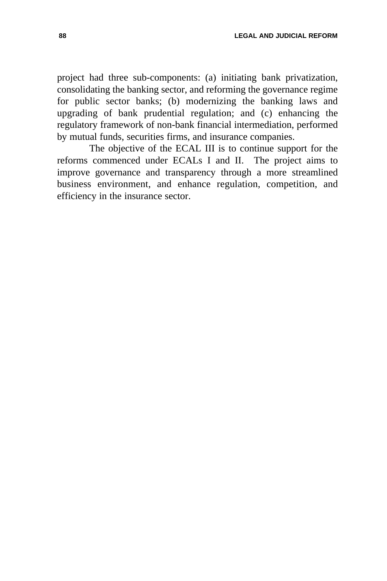project had three sub-components: (a) initiating bank privatization, consolidating the banking sector, and reforming the governance regime for public sector banks; (b) modernizing the banking laws and upgrading of bank prudential regulation; and (c) enhancing the regulatory framework of non-bank financial intermediation, performed by mutual funds, securities firms, and insurance companies.

The objective of the ECAL III is to continue support for the reforms commenced under ECALs I and II. The project aims to improve governance and transparency through a more streamlined business environment, and enhance regulation, competition, and efficiency in the insurance sector.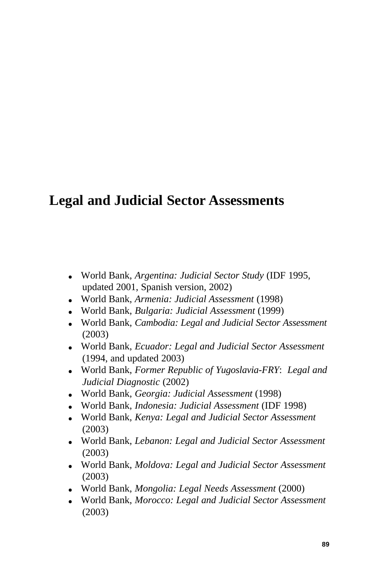## **Legal and Judicial Sector Assessments**

- **.** World Bank, *Argentina: Judicial Sector Study* (IDF 1995, updated 2001, Spanish version, 2002)
- **.** World Bank, *Armenia: Judicial Assessment* (1998)
- World Bank, *Bulgaria: Judicial Assessment* (1999)
- **.** World Bank, *Cambodia: Legal and Judicial Sector Assessment* (2003)
- **.** World Bank, *Ecuador: Legal and Judicial Sector Assessment* (1994, and updated 2003)
- World Bank, *Former Republic of Yugoslavia-FRY: Legal and Judicial Diagnostic* (2002)
- **.** World Bank, *Georgia: Judicial Assessment* (1998)
- **.** World Bank, *Indonesia: Judicial Assessment* (IDF 1998)
- **.** World Bank, *Kenya: Legal and Judicial Sector Assessment* (2003)
- **.** World Bank, *Lebanon: Legal and Judicial Sector Assessment* (2003)
- World Bank, *Moldova: Legal and Judicial Sector Assessment* (2003)
- llllWorld Bank, *Mongolia: Legal Needs Assessment* (2000)
- **.** World Bank, *Morocco: Legal and Judicial Sector Assessment* (2003)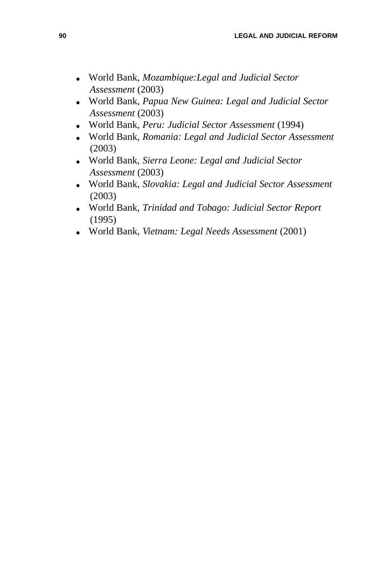- llllWorld Bank, *Mozambique:Legal and Judicial Sector Assessment* (2003)
- **.** World Bank, *Papua New Guinea: Legal and Judicial Sector Assessment* (2003)
- **.** World Bank, *Peru: Judicial Sector Assessment* (1994)
- **.** World Bank, *Romania: Legal and Judicial Sector Assessment* (2003)
- **.** World Bank, *Sierra Leone: Legal and Judicial Sector Assessment* (2003)
- **.** World Bank, *Slovakia: Legal and Judicial Sector Assessment* (2003)
- **.** World Bank, *Trinidad and Tobago: Judicial Sector Report* (1995)
- **.** World Bank, *Vietnam: Legal Needs Assessment* (2001)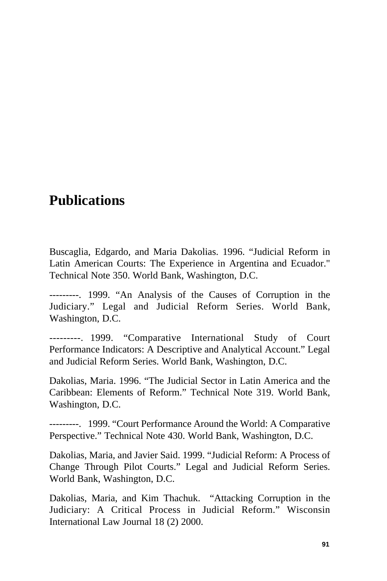## **Publications**

Buscaglia, Edgardo, and Maria Dakolias. 1996. "Judicial Reform in Latin American Courts: The Experience in Argentina and Ecuador." Technical Note 350. World Bank, Washington, D.C.

---------.--1999. "An Analysis of the Causes of Corruption in the Judiciary." Legal and Judicial Reform Series. World Bank, Washington, D.C.

--------. 1999. "Comparative International Study of Court Performance Indicators: A Descriptive and Analytical Account." Legal and Judicial Reform Series. World Bank, Washington, D.C.

Dakolias, Maria. 1996. "The Judicial Sector in Latin America and the Caribbean: Elements of Reform." Technical Note 319. World Bank, Washington, D.C.

---------.--1999. "Court Performance Around the World: A Comparative Perspective." Technical Note 430. World Bank, Washington, D.C.

Dakolias, Maria, and Javier Said. 1999. "Judicial Reform: A Process of Change Through Pilot Courts." Legal and Judicial Reform Series. World Bank, Washington, D.C.

Dakolias, Maria, and Kim Thachuk. "Attacking Corruption in the Judiciary: A Critical Process in Judicial Reform." Wisconsin International Law Journal 18 (2) 2000.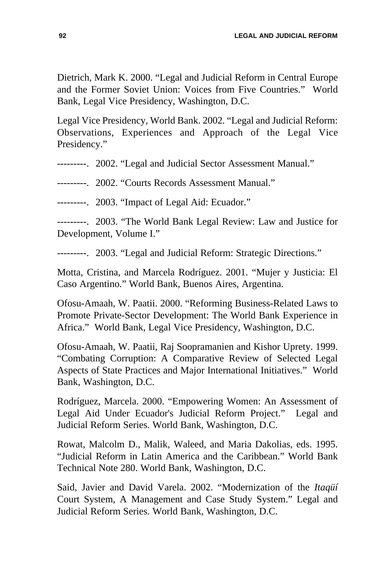Dietrich, Mark K. 2000. "Legal and Judicial Reform in Central Europe and the Former Soviet Union: Voices from Five Countries." World Bank, Legal Vice Presidency, Washington, D.C.

Legal Vice Presidency, World Bank. 2002. "Legal and Judicial Reform: Observations, Experiences and Approach of the Legal Vice Presidency."

---------.--2002. "Legal and Judicial Sector Assessment Manual."

---------.--2002. "Courts Records Assessment Manual."

---------. 2003. "Impact of Legal Aid: Ecuador."

---------... 2003. "The World Bank Legal Review: Law and Justice for Development, Volume I."

---------. 2003. "Legal and Judicial Reform: Strategic Directions."

Motta, Cristina, and Marcela Rodríguez. 2001. "Mujer y Justicia: El Caso Argentino." World Bank, Buenos Aires, Argentina.

Ofosu-Amaah, W. Paatii. 2000. "Reforming Business-Related Laws to Promote Private-Sector Development: The World Bank Experience in Africa." World Bank, Legal Vice Presidency, Washington, D.C.

Ofosu-Amaah, W. Paatii, Raj Soopramanien and Kishor Uprety. 1999. "Combating Corruption: A Comparative Review of Selected Legal Aspects of State Practices and Major International Initiatives." World Bank, Washington, D.C.

Rodríguez, Marcela. 2000. "Empowering Women: An Assessment of Legal Aid Under Ecuador's Judicial Reform Project." Legal and Judicial Reform Series. World Bank, Washington, D.C.

Rowat, Malcolm D., Malik, Waleed, and Maria Dakolias, eds. 1995. "Judicial Reform in Latin America and the Caribbean." World Bank Technical Note 280. World Bank, Washington, D.C.

Said, Javier and David Varela. 2002. "Modernization of the *Itaqüí* Court System, A Management and Case Study System." Legal and Judicial Reform Series. World Bank, Washington, D.C.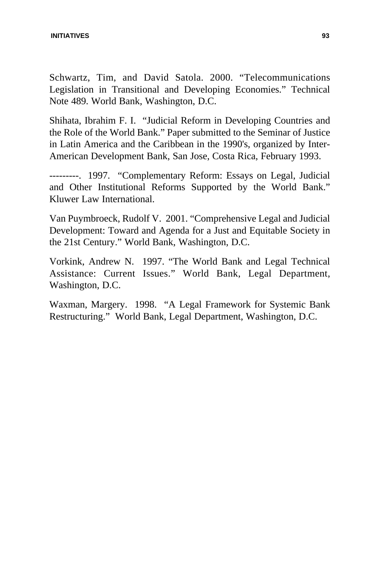#### **INITIATIVES 93**

Schwartz, Tim, and David Satola. 2000. "Telecommunications Legislation in Transitional and Developing Economies." Technical Note 489. World Bank, Washington, D.C.

Shihata, Ibrahim F. I. "Judicial Reform in Developing Countries and the Role of the World Bank." Paper submitted to the Seminar of Justice in Latin America and the Caribbean in the 1990's, organized by Inter-American Development Bank, San Jose, Costa Rica, February 1993.

---------.--1997. "Complementary Reform: Essays on Legal, Judicial and Other Institutional Reforms Supported by the World Bank." Kluwer Law International.

Van Puymbroeck, Rudolf V. 2001. "Comprehensive Legal and Judicial Development: Toward and Agenda for a Just and Equitable Society in the 21st Century." World Bank, Washington, D.C.

Vorkink, Andrew N. 1997. "The World Bank and Legal Technical Assistance: Current Issues." World Bank, Legal Department, Washington, D.C.

Waxman, Margery. 1998. "A Legal Framework for Systemic Bank Restructuring." World Bank, Legal Department, Washington, D.C.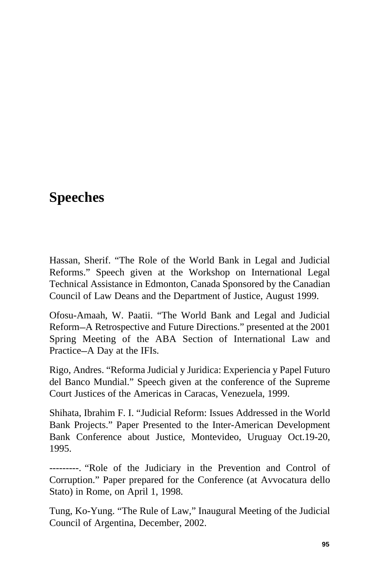## **Speeches**

Hassan, Sherif. "The Role of the World Bank in Legal and Judicial Reforms." Speech given at the Workshop on International Legal Technical Assistance in Edmonton, Canada Sponsored by the Canadian Council of Law Deans and the Department of Justice, August 1999.

Ofosu-Amaah, W. Paatii. "The World Bank and Legal and Judicial Reform–A Retrospective and Future Directions." presented at the 2001 Spring Meeting of the ABA Section of International Law and Practice–A Day at the IFIs.

Rigo, Andres. "Reforma Judicial y Juridica: Experiencia y Papel Futuro del Banco Mundial." Speech given at the conference of the Supreme Court Justices of the Americas in Caracas, Venezuela, 1999.

Shihata, Ibrahim F. I. "Judicial Reform: Issues Addressed in the World Bank Projects." Paper Presented to the Inter-American Development Bank Conference about Justice, Montevideo, Uruguay Oct.19-20, 1995.

--------. "Role of the Judiciary in the Prevention and Control of Corruption." Paper prepared for the Conference (at Avvocatura dello Stato) in Rome, on April 1, 1998.

Tung, Ko-Yung. "The Rule of Law," Inaugural Meeting of the Judicial Council of Argentina, December, 2002.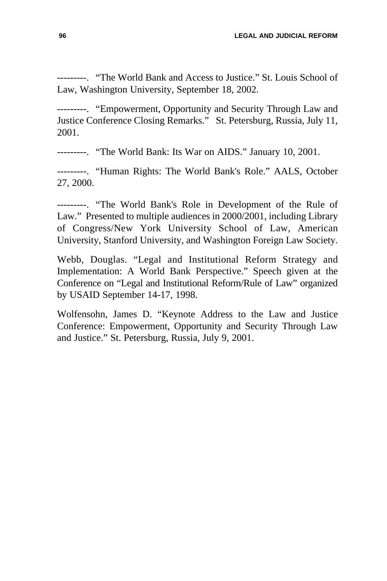--------. "The World Bank and Access to Justice." St. Louis School of Law, Washington University, September 18, 2002.

---------. "Empowerment, Opportunity and Security Through Law and Justice Conference Closing Remarks." St. Petersburg, Russia, July 11, 2001.

--------. "The World Bank: Its War on AIDS." January 10, 2001.

--------. "Human Rights: The World Bank's Role." AALS, October 27, 2000.

--------. "The World Bank's Role in Development of the Rule of Law." Presented to multiple audiences in 2000/2001, including Library of Congress/New York University School of Law, American University, Stanford University, and Washington Foreign Law Society.

Webb, Douglas. "Legal and Institutional Reform Strategy and Implementation: A World Bank Perspective." Speech given at the Conference on "Legal and Institutional Reform/Rule of Law" organized by USAID September 14-17, 1998.

Wolfensohn, James D. "Keynote Address to the Law and Justice Conference: Empowerment, Opportunity and Security Through Law and Justice." St. Petersburg, Russia, July 9, 2001.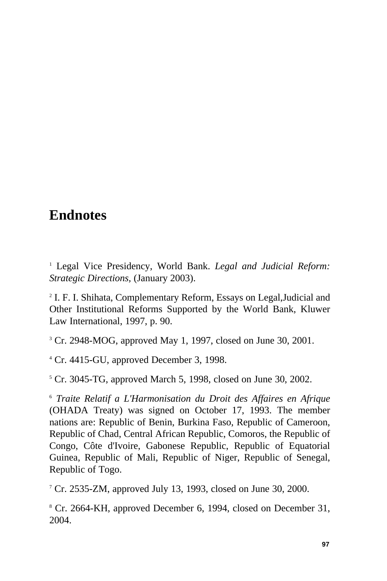## **Endnotes**

<sup>1</sup> Legal Vice Presidency, World Bank. *Legal and Judicial Reform: Strategic Directions,* (January 2003).

2 I. F. I. Shihata, Complementary Reform, Essays on Legal,Judicial and Other Institutional Reforms Supported by the World Bank, Kluwer Law International, 1997, p. 90.

<sup>3</sup> Cr. 2948-MOG, approved May 1, 1997, closed on June 30, 2001.

<sup>4</sup> Cr. 4415-GU, approved December 3, 1998.

 $5$  Cr. 3045-TG, approved March 5, 1998, closed on June 30, 2002.

<sup>6</sup> *Traite Relatif a L'Harmonisation du Droit des Affaires en Afrique* (OHADA Treaty) was signed on October 17, 1993. The member nations are: Republic of Benin, Burkina Faso, Republic of Cameroon, Republic of Chad, Central African Republic, Comoros, the Republic of Congo, Côte d'Ivoire, Gabonese Republic, Republic of Equatorial Guinea, Republic of Mali, Republic of Niger, Republic of Senegal, Republic of Togo.

<sup>7</sup> Cr. 2535-ZM, approved July 13, 1993, closed on June 30, 2000.

<sup>8</sup> Cr. 2664-KH, approved December 6, 1994, closed on December 31, 2004.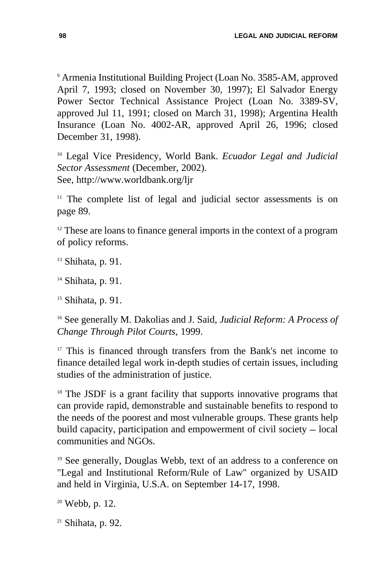<sup>9</sup> Armenia Institutional Building Project (Loan No. 3585-AM, approved April 7, 1993; closed on November 30, 1997); El Salvador Energy Power Sector Technical Assistance Project (Loan No. 3389-SV, approved Jul 11, 1991; closed on March 31, 1998); Argentina Health Insurance (Loan No. 4002-AR, approved April 26, 1996; closed December 31, 1998).

<sup>10</sup> Legal Vice Presidency, World Bank. *Ecuador Legal and Judicial Sector Assessment* (December, 2002). See, http://www.worldbank.org/ljr

<sup>11</sup> The complete list of legal and judicial sector assessments is on page 89.

 $12$ <sup>12</sup> These are loans to finance general imports in the context of a program of policy reforms.

 $13$  Shihata, p. 91.

<sup>14</sup> Shihata, p. 91.

<sup>15</sup> Shihata, p. 91.

<sup>16</sup> See generally M. Dakolias and J. Said, *Judicial Reform: A Process of Change Through Pilot Courts,* 1999.

 $17$  This is financed through transfers from the Bank's net income to finance detailed legal work in-depth studies of certain issues, including studies of the administration of justice.

<sup>18</sup> The JSDF is a grant facility that supports innovative programs that can provide rapid, demonstrable and sustainable benefits to respond to the needs of the poorest and most vulnerable groups. These grants help build capacity, participation and empowerment of civil society  $-$  local communities and NGOs.

<sup>19</sup> See generally, Douglas Webb, text of an address to a conference on "Legal and Institutional Reform/Rule of Law" organized by USAID and held in Virginia, U.S.A. on September 14-17, 1998.

 $20$  Webb, p. 12.

 $21$  Shihata, p. 92.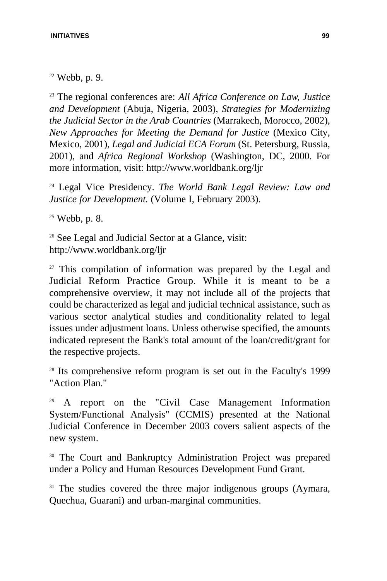#### **INITIATIVES 99**

 $22$  Webb, p. 9.

<sup>23</sup> The regional conferences are: *All Africa Conference on Law, Justice and Development* (Abuja, Nigeria, 2003), *Strategies for Modernizing the Judicial Sector in the Arab Countries* (Marrakech, Morocco, 2002), *New Approaches for Meeting the Demand for Justice* (Mexico City, Mexico, 2001), *Legal and Judicial ECA Forum* (St. Petersburg, Russia, 2001), and *Africa Regional Workshop* (Washington, DC, 2000. For more information, visit: http://www.worldbank.org/ljr

<sup>24</sup> Legal Vice Presidency. *The World Bank Legal Review: Law and Justice for Development.* (Volume I, February 2003).

 $25$  Webb, p. 8.

<sup>26</sup> See Legal and Judicial Sector at a Glance, visit: http://www.worldbank.org/ljr

 $27$  This compilation of information was prepared by the Legal and Judicial Reform Practice Group. While it is meant to be a comprehensive overview, it may not include all of the projects that could be characterized as legal and judicial technical assistance, such as various sector analytical studies and conditionality related to legal issues under adjustment loans. Unless otherwise specified, the amounts indicated represent the Bank's total amount of the loan/credit/grant for the respective projects.

<sup>28</sup> Its comprehensive reform program is set out in the Faculty's 1999 "Action Plan."

<sup>29</sup> A report on the "Civil Case Management Information System/Functional Analysis" (CCMIS) presented at the National Judicial Conference in December 2003 covers salient aspects of the new system.

<sup>30</sup> The Court and Bankruptcy Administration Project was prepared under a Policy and Human Resources Development Fund Grant.

<sup>31</sup> The studies covered the three major indigenous groups (Aymara, Quechua, Guarani) and urban-marginal communities.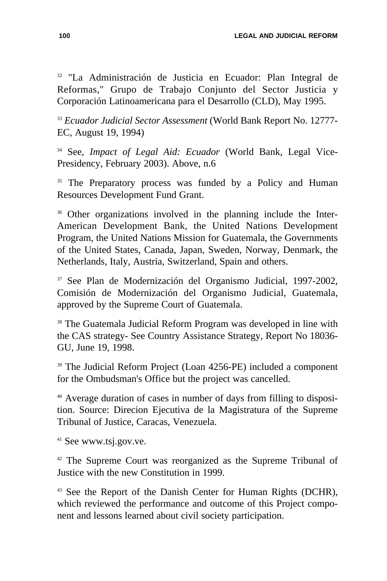<sup>32</sup> "La Administración de Justicia en Ecuador: Plan Integral de Reformas," Grupo de Trabajo Conjunto del Sector Justicia y Corporación Latinoamericana para el Desarrollo (CLD), May 1995.

<sup>33</sup> *Ecuador Judicial Sector Assessment* (World Bank Report No. 12777- EC, August 19, 1994)

<sup>34</sup> See, *Impact of Legal Aid: Ecuador* (World Bank, Legal Vice-Presidency, February 2003). Above, n.6

<sup>35</sup> The Preparatory process was funded by a Policy and Human Resources Development Fund Grant.

<sup>36</sup> Other organizations involved in the planning include the Inter-American Development Bank, the United Nations Development Program, the United Nations Mission for Guatemala, the Governments of the United States, Canada, Japan, Sweden, Norway, Denmark, the Netherlands, Italy, Austria, Switzerland, Spain and others.

<sup>37</sup> See Plan de Modernización del Organismo Judicial, 1997-2002, Comisión de Modernización del Organismo Judicial, Guatemala, approved by the Supreme Court of Guatemala.

<sup>38</sup> The Guatemala Judicial Reform Program was developed in line with the CAS strategy- See Country Assistance Strategy, Report No 18036- GU, June 19, 1998.

<sup>39</sup> The Judicial Reform Project (Loan 4256-PE) included a component for the Ombudsman's Office but the project was cancelled.

<sup>40</sup> Average duration of cases in number of days from filling to disposition. Source: Direcion Ejecutiva de la Magistratura of the Supreme Tribunal of Justice, Caracas, Venezuela.

<sup>41</sup> See www.tsj.gov.ve.

<sup>42</sup> The Supreme Court was reorganized as the Supreme Tribunal of Justice with the new Constitution in 1999.

<sup>43</sup> See the Report of the Danish Center for Human Rights (DCHR), which reviewed the performance and outcome of this Project component and lessons learned about civil society participation.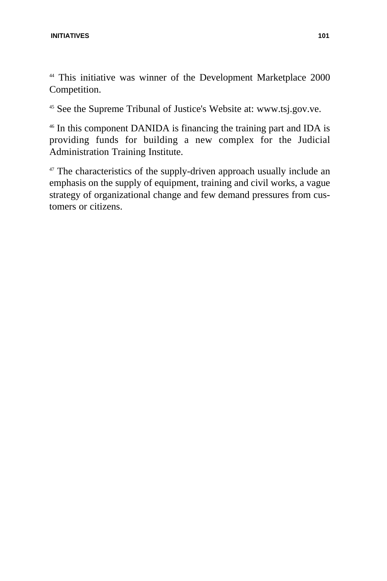<sup>44</sup> This initiative was winner of the Development Marketplace 2000 Competition.

<sup>45</sup> See the Supreme Tribunal of Justice's Website at: www.tsj.gov.ve.

<sup>46</sup> In this component DANIDA is financing the training part and IDA is providing funds for building a new complex for the Judicial Administration Training Institute.

<sup>47</sup> The characteristics of the supply-driven approach usually include an emphasis on the supply of equipment, training and civil works, a vague strategy of organizational change and few demand pressures from customers or citizens.